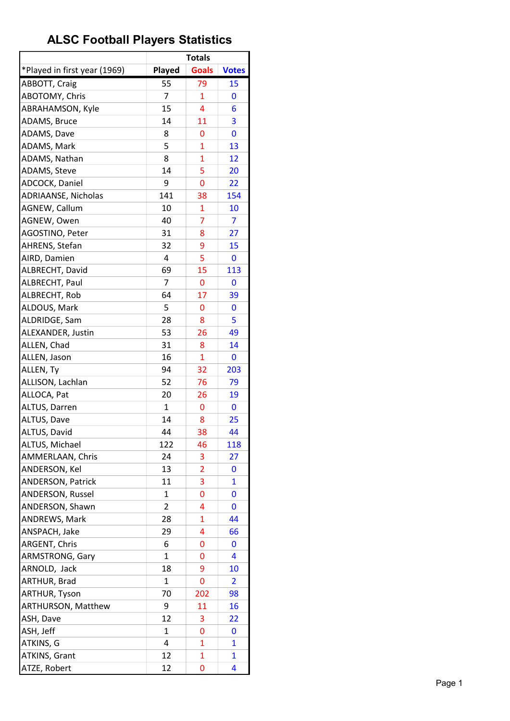|                              |                | <b>Totals</b>  |                         |
|------------------------------|----------------|----------------|-------------------------|
| *Played in first year (1969) | Played         | <b>Goals</b>   | <b>Votes</b>            |
| ABBOTT, Craig                | 55             | 79             | 15                      |
| ABOTOMY, Chris               | 7              | 1              | 0                       |
| ABRAHAMSON, Kyle             | 15             | 4              | 6                       |
| ADAMS, Bruce                 | 14             | 11             | 3                       |
| ADAMS, Dave                  | 8              | 0              | 0                       |
| ADAMS, Mark                  | 5              | $\overline{1}$ | 13                      |
| ADAMS, Nathan                | 8              | $\mathbf{1}$   | 12                      |
| ADAMS, Steve                 | 14             | 5              | 20                      |
| ADCOCK, Daniel               | 9              | 0              | 22                      |
| ADRIAANSE, Nicholas          | 141            | 38             | 154                     |
| AGNEW, Callum                | 10             | 1              | 10                      |
| AGNEW, Owen                  | 40             | $\overline{7}$ | 7                       |
| AGOSTINO, Peter              | 31             | 8              | 27                      |
| AHRENS, Stefan               | 32             | 9              | 15                      |
| AIRD, Damien                 | 4              | 5              | 0                       |
| ALBRECHT, David              | 69             | 15             | 113                     |
| ALBRECHT, Paul               | $\overline{7}$ | 0              | 0                       |
| ALBRECHT, Rob                | 64             | 17             | 39                      |
| ALDOUS, Mark                 | 5              | 0              | 0                       |
| ALDRIDGE, Sam                | 28             | 8              | 5                       |
| ALEXANDER, Justin            | 53             | 26             | 49                      |
| ALLEN, Chad                  | 31             | 8              | 14                      |
| ALLEN, Jason                 | 16             | 1              | 0                       |
| ALLEN, Ty                    | 94             | 32             | 203                     |
| ALLISON, Lachlan             | 52             | 76             | 79                      |
| ALLOCA, Pat                  | 20             | 26             | 19                      |
| ALTUS, Darren                | $\mathbf{1}$   | 0              | 0                       |
| ALTUS, Dave                  | 14             | 8              | 25                      |
| ALTUS, David                 | 44             | 38             | 44                      |
| ALTUS, Michael               | 122            | 46             | 118                     |
| AMMERLAAN, Chris             | 24             | 3              | 27                      |
| ANDERSON, Kel                | 13             | $\overline{2}$ | 0                       |
| <b>ANDERSON, Patrick</b>     | 11             | 3              | $\mathbf{1}$            |
| <b>ANDERSON, Russel</b>      | 1              | 0              | 0                       |
| ANDERSON, Shawn              | 2              | 4              | 0                       |
| ANDREWS, Mark                | 28             | 1              | 44                      |
| ANSPACH, Jake                | 29             | 4              | 66                      |
| ARGENT, Chris                | 6              | 0              | 0                       |
| <b>ARMSTRONG, Gary</b>       | 1              | 0              | 4                       |
| ARNOLD, Jack                 | 18             | 9              | 10                      |
| ARTHUR, Brad                 | $\mathbf{1}$   | 0              | $\overline{\mathbf{2}}$ |
| ARTHUR, Tyson                | 70             | 202            | 98                      |
| <b>ARTHURSON, Matthew</b>    | 9              | 11             | 16                      |
| ASH, Dave                    | 12             | 3              | <u>22</u>               |
| ASH, Jeff                    | 1              | 0              | 0                       |
| ATKINS, G                    | 4              | 1              | $\mathbf{1}$            |
| ATKINS, Grant                | 12             | $\mathbf{1}$   | $\mathbf{1}$            |
| ATZE, Robert                 | 12             | 0              | 4                       |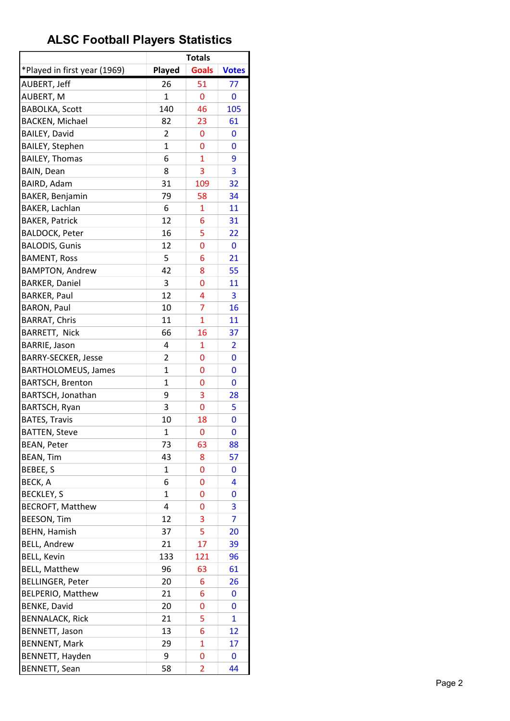|                              |                | <b>Totals</b>  |                |
|------------------------------|----------------|----------------|----------------|
| *Played in first year (1969) | Played         | <b>Goals</b>   | <b>Votes</b>   |
| AUBERT, Jeff                 | 26             | 51             | 77             |
| AUBERT, M                    | 1              | 0              | 0              |
| <b>BABOLKA, Scott</b>        | 140            | 46             | 105            |
| <b>BACKEN, Michael</b>       | 82             | 23             | 61             |
| <b>BAILEY, David</b>         | $\overline{2}$ | 0              | 0              |
| <b>BAILEY, Stephen</b>       | 1              | 0              | 0              |
| <b>BAILEY, Thomas</b>        | 6              | $\overline{1}$ | 9              |
| <b>BAIN, Dean</b>            | 8              | 3              | 3              |
| BAIRD, Adam                  | 31             | 109            | 32             |
| BAKER, Benjamin              | 79             | 58             | 34             |
| BAKER, Lachlan               | 6              | 1              | 11             |
| <b>BAKER, Patrick</b>        | 12             | 6              | 31             |
| <b>BALDOCK, Peter</b>        | 16             | 5              | 22             |
| <b>BALODIS, Gunis</b>        | 12             | 0              | 0              |
| <b>BAMENT, Ross</b>          | 5              | 6              | 21             |
| <b>BAMPTON, Andrew</b>       | 42             | 8              | 55             |
| <b>BARKER, Daniel</b>        | 3              | 0              | 11             |
| <b>BARKER, Paul</b>          | 12             | 4              | 3              |
| <b>BARON, Paul</b>           | 10             | $\overline{7}$ | 16             |
| <b>BARRAT, Chris</b>         | 11             | $\overline{1}$ | 11             |
| BARRETT, Nick                | 66             | 16             | 37             |
| <b>BARRIE, Jason</b>         | 4              | 1              | $\overline{2}$ |
| <b>BARRY-SECKER, Jesse</b>   | 2              | 0              | 0              |
| <b>BARTHOLOMEUS, James</b>   | $\mathbf{1}$   | 0              | 0              |
| <b>BARTSCH, Brenton</b>      | 1              | 0              | 0              |
| BARTSCH, Jonathan            | 9              | 3              | 28             |
| <b>BARTSCH, Ryan</b>         | 3              | 0              | 5              |
| <b>BATES, Travis</b>         | 10             | 18             | 0              |
| <b>BATTEN, Steve</b>         | $\mathbf{1}$   | 0              | $\mathbf 0$    |
|                              |                |                |                |
| <b>BEAN, Peter</b>           | 73             | 63             | 88             |
| <b>BEAN, Tim</b>             | 43             | 8              | 57             |
| BEBEE, S                     | 1              | 0              | 0              |
| BECK, A                      | 6              | 0              | 4              |
| <b>BECKLEY, S</b>            | 1              | 0              | 0              |
| <b>BECROFT, Matthew</b>      | 4              | 0              | 3              |
| <b>BEESON, Tim</b>           | 12             | 3              | 7              |
| <b>BEHN, Hamish</b>          | 37             | 5              | 20             |
| <b>BELL, Andrew</b>          | 21             | 17             | 39             |
| <b>BELL, Kevin</b>           | 133            | 121            | 96             |
| <b>BELL, Matthew</b>         | 96             | 63             | 61             |
| <b>BELLINGER, Peter</b>      | 20             | 6              | 26             |
| BELPERIO, Matthew            | 21             | 6              | 0              |
| <b>BENKE, David</b>          | 20             | 0              | 0              |
| <b>BENNALACK, Rick</b>       | 21             | 5              | $\overline{1}$ |
| BENNETT, Jason               | 13             | 6              | 12             |
| <b>BENNENT, Mark</b>         | 29             | $\overline{1}$ | 17             |
| BENNETT, Hayden              | 9              | 0              | 0              |
| <b>BENNETT, Sean</b>         | 58             | $\overline{2}$ | 44             |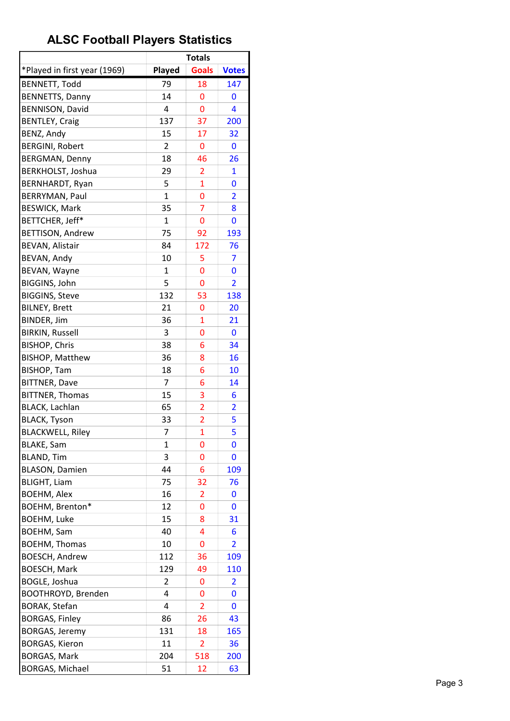|                              |              | <b>Totals</b>  |                |
|------------------------------|--------------|----------------|----------------|
| *Played in first year (1969) | Played       | <b>Goals</b>   | <b>Votes</b>   |
| <b>BENNETT, Todd</b>         | 79           | 18             | 147            |
| <b>BENNETTS, Danny</b>       | 14           | 0              | 0              |
| <b>BENNISON, David</b>       | 4            | 0              | 4              |
| <b>BENTLEY, Craig</b>        | 137          | 37             | 200            |
| BENZ, Andy                   | 15           | 17             | 32             |
| <b>BERGINI, Robert</b>       | 2            | 0              | 0              |
| <b>BERGMAN, Denny</b>        | 18           | 46             | 26             |
| BERKHOLST, Joshua            | 29           | 2              | 1              |
| <b>BERNHARDT, Ryan</b>       | 5            | $\mathbf{1}$   | 0              |
| BERRYMAN, Paul               | $\mathbf{1}$ | 0              | $\overline{2}$ |
| <b>BESWICK, Mark</b>         | 35           | 7              | 8              |
| BETTCHER, Jeff*              | $\mathbf{1}$ | 0              | 0              |
| <b>BETTISON, Andrew</b>      | 75           | 92             | 193            |
| <b>BEVAN, Alistair</b>       | 84           | 172            | 76             |
| BEVAN, Andy                  | 10           | 5              | 7              |
| BEVAN, Wayne                 | 1            | 0              | 0              |
| <b>BIGGINS, John</b>         | 5            | 0              | $\overline{2}$ |
| <b>BIGGINS, Steve</b>        | 132          | 53             | 138            |
| <b>BILNEY, Brett</b>         | 21           | 0              | 20             |
| BINDER, Jim                  | 36           | $\overline{1}$ | 21             |
| <b>BIRKIN, Russell</b>       | 3            | 0              | 0              |
| <b>BISHOP, Chris</b>         | 38           | 6              | 34             |
| <b>BISHOP, Matthew</b>       | 36           | 8              | 16             |
| <b>BISHOP, Tam</b>           | 18           | 6              | 10             |
| <b>BITTNER, Dave</b>         | 7            | 6              | 14             |
| <b>BITTNER, Thomas</b>       | 15           | 3              | 6              |
| BLACK, Lachlan               | 65           | $\overline{2}$ | $\overline{2}$ |
| <b>BLACK, Tyson</b>          | 33           | 2              | 5              |
| <b>BLACKWELL, Riley</b>      | 7            | $\overline{1}$ | 5              |
| <b>BLAKE, Sam</b>            | 1            | 0              | 0              |
| <b>BLAND, Tim</b>            | 3            | 0              | 0              |
| <b>BLASON, Damien</b>        | 44           | 6              | 109            |
| <b>BLIGHT, Liam</b>          | 75           | 32             | 76             |
| <b>BOEHM, Alex</b>           | 16           | 2              | 0              |
| BOEHM, Brenton*              | 12           | 0              | 0              |
| <b>BOEHM, Luke</b>           | 15           | 8              | 31             |
| <b>BOEHM, Sam</b>            | 40           | 4              | 6              |
| <b>BOEHM, Thomas</b>         | 10           | 0              | $\overline{2}$ |
| <b>BOESCH, Andrew</b>        | 112          | 36             | 109            |
| <b>BOESCH, Mark</b>          | 129          | 49             | 110            |
| BOGLE, Joshua                | 2            | 0              | 2              |
| <b>BOOTHROYD, Brenden</b>    | 4            | 0              | 0              |
| <b>BORAK, Stefan</b>         | 4            | $\overline{2}$ | 0              |
| <b>BORGAS, Finley</b>        | 86           | 26             | 43             |
| <b>BORGAS, Jeremy</b>        | 131          | 18             | 165            |
| <b>BORGAS, Kieron</b>        | 11           | 2              | 36             |
| <b>BORGAS, Mark</b>          | 204          | 518            | 200            |
| <b>BORGAS, Michael</b>       | 51           | 12             | 63             |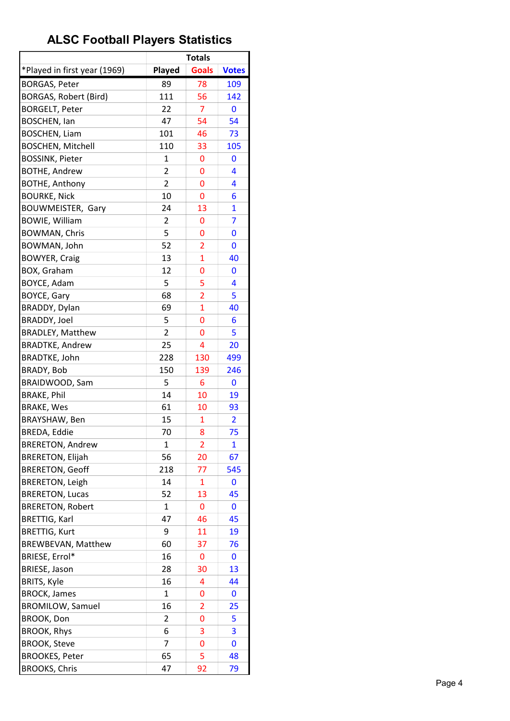| *Played in first year (1969)<br><b>Goals</b><br>Played<br><b>Votes</b><br><b>BORGAS, Peter</b><br>89<br>78<br>109<br><b>BORGAS, Robert (Bird)</b><br>111<br>142<br>56<br>7<br><b>BORGELT, Peter</b><br>22<br>0<br><b>BOSCHEN, lan</b><br>54<br>47<br>54<br>101<br><b>BOSCHEN, Liam</b><br>46<br>73<br><b>BOSCHEN, Mitchell</b><br>110<br>33<br>105<br><b>BOSSINK, Pieter</b><br>1<br>0<br>0<br><b>BOTHE, Andrew</b><br>2<br>0<br>4<br>$\overline{2}$<br><b>BOTHE, Anthony</b><br>0<br>4<br>10<br><b>BOURKE, Nick</b><br>0<br>6<br>BOUWMEISTER, Gary<br>24<br>13<br>$\mathbf{1}$<br><b>BOWIE, William</b><br>$\overline{2}$<br>7<br>0<br>5<br><b>BOWMAN, Chris</b><br>0<br>0<br>52<br>BOWMAN, John<br>$\overline{2}$<br>0<br>13<br>$\mathbf{1}$<br><b>BOWYER, Craig</b><br>40<br>12<br>BOX, Graham<br>0<br>0<br>5<br>BOYCE, Adam<br>5<br>4<br>68<br><b>BOYCE, Gary</b><br>2<br>5<br>BRADDY, Dylan<br>69<br>$\mathbf{1}$<br>40<br><b>BRADDY, Joel</b><br>5<br>0<br>6<br>$\overline{2}$<br><b>BRADLEY, Matthew</b><br>0<br>5<br>25<br>$\overline{4}$<br><b>BRADTKE, Andrew</b><br>20<br><b>BRADTKE, John</b><br>228<br>130<br>499<br>150<br>246<br>BRADY, Bob<br>139<br>BRAIDWOOD, Sam<br>5<br>6<br>0<br><b>BRAKE, Phil</b><br>14<br>10<br>19<br><b>BRAKE, Wes</b><br>61<br>10<br>93<br>BRAYSHAW, Ben<br>15<br>1<br>$\overline{2}$<br><b>BREDA, Eddie</b><br>70<br>8<br>75<br><b>BRERETON, Andrew</b><br>1<br>2<br>1<br>56<br><b>BRERETON, Elijah</b><br>20<br>67<br><b>BRERETON, Geoff</b><br>218<br>545<br>77<br><b>BRERETON, Leigh</b><br>14<br>$\mathbf 1$<br>0<br>52<br><b>BRERETON, Lucas</b><br>13<br>45<br><b>BRERETON, Robert</b><br>$\mathbf{1}$<br>$\mathbf 0$<br>0<br><b>BRETTIG, Karl</b><br>47<br>46<br>45<br><b>BRETTIG, Kurt</b><br>9<br>11<br>19<br><b>BREWBEVAN, Matthew</b><br>60<br>37<br>76<br>BRIESE, Errol*<br>16<br>0<br>0<br><b>BRIESE, Jason</b><br>28<br>30<br>13<br><b>BRITS, Kyle</b><br>16<br>44<br>4<br><b>BROCK, James</b><br>$\mathbf{1}$<br>0<br>0<br><b>BROMILOW, Samuel</b><br>16<br>$\overline{2}$<br>25<br>BROOK, Don<br>0<br>5<br>2<br><b>BROOK, Rhys</b><br>3<br>6<br>3<br><b>BROOK, Steve</b><br>7<br>0<br>0<br>5<br><b>BROOKES, Peter</b><br>65<br>48<br><b>BROOKS, Chris</b><br>47<br>92<br>79 |  | <b>Totals</b> |  |
|----------------------------------------------------------------------------------------------------------------------------------------------------------------------------------------------------------------------------------------------------------------------------------------------------------------------------------------------------------------------------------------------------------------------------------------------------------------------------------------------------------------------------------------------------------------------------------------------------------------------------------------------------------------------------------------------------------------------------------------------------------------------------------------------------------------------------------------------------------------------------------------------------------------------------------------------------------------------------------------------------------------------------------------------------------------------------------------------------------------------------------------------------------------------------------------------------------------------------------------------------------------------------------------------------------------------------------------------------------------------------------------------------------------------------------------------------------------------------------------------------------------------------------------------------------------------------------------------------------------------------------------------------------------------------------------------------------------------------------------------------------------------------------------------------------------------------------------------------------------------------------------------------------------------------------------------------------------------------------------------------------------------------------------------------------------------------------------------------------------------------------------------------------------------------------------------------------------------------------------|--|---------------|--|
|                                                                                                                                                                                                                                                                                                                                                                                                                                                                                                                                                                                                                                                                                                                                                                                                                                                                                                                                                                                                                                                                                                                                                                                                                                                                                                                                                                                                                                                                                                                                                                                                                                                                                                                                                                                                                                                                                                                                                                                                                                                                                                                                                                                                                                        |  |               |  |
|                                                                                                                                                                                                                                                                                                                                                                                                                                                                                                                                                                                                                                                                                                                                                                                                                                                                                                                                                                                                                                                                                                                                                                                                                                                                                                                                                                                                                                                                                                                                                                                                                                                                                                                                                                                                                                                                                                                                                                                                                                                                                                                                                                                                                                        |  |               |  |
|                                                                                                                                                                                                                                                                                                                                                                                                                                                                                                                                                                                                                                                                                                                                                                                                                                                                                                                                                                                                                                                                                                                                                                                                                                                                                                                                                                                                                                                                                                                                                                                                                                                                                                                                                                                                                                                                                                                                                                                                                                                                                                                                                                                                                                        |  |               |  |
|                                                                                                                                                                                                                                                                                                                                                                                                                                                                                                                                                                                                                                                                                                                                                                                                                                                                                                                                                                                                                                                                                                                                                                                                                                                                                                                                                                                                                                                                                                                                                                                                                                                                                                                                                                                                                                                                                                                                                                                                                                                                                                                                                                                                                                        |  |               |  |
|                                                                                                                                                                                                                                                                                                                                                                                                                                                                                                                                                                                                                                                                                                                                                                                                                                                                                                                                                                                                                                                                                                                                                                                                                                                                                                                                                                                                                                                                                                                                                                                                                                                                                                                                                                                                                                                                                                                                                                                                                                                                                                                                                                                                                                        |  |               |  |
|                                                                                                                                                                                                                                                                                                                                                                                                                                                                                                                                                                                                                                                                                                                                                                                                                                                                                                                                                                                                                                                                                                                                                                                                                                                                                                                                                                                                                                                                                                                                                                                                                                                                                                                                                                                                                                                                                                                                                                                                                                                                                                                                                                                                                                        |  |               |  |
|                                                                                                                                                                                                                                                                                                                                                                                                                                                                                                                                                                                                                                                                                                                                                                                                                                                                                                                                                                                                                                                                                                                                                                                                                                                                                                                                                                                                                                                                                                                                                                                                                                                                                                                                                                                                                                                                                                                                                                                                                                                                                                                                                                                                                                        |  |               |  |
|                                                                                                                                                                                                                                                                                                                                                                                                                                                                                                                                                                                                                                                                                                                                                                                                                                                                                                                                                                                                                                                                                                                                                                                                                                                                                                                                                                                                                                                                                                                                                                                                                                                                                                                                                                                                                                                                                                                                                                                                                                                                                                                                                                                                                                        |  |               |  |
|                                                                                                                                                                                                                                                                                                                                                                                                                                                                                                                                                                                                                                                                                                                                                                                                                                                                                                                                                                                                                                                                                                                                                                                                                                                                                                                                                                                                                                                                                                                                                                                                                                                                                                                                                                                                                                                                                                                                                                                                                                                                                                                                                                                                                                        |  |               |  |
|                                                                                                                                                                                                                                                                                                                                                                                                                                                                                                                                                                                                                                                                                                                                                                                                                                                                                                                                                                                                                                                                                                                                                                                                                                                                                                                                                                                                                                                                                                                                                                                                                                                                                                                                                                                                                                                                                                                                                                                                                                                                                                                                                                                                                                        |  |               |  |
|                                                                                                                                                                                                                                                                                                                                                                                                                                                                                                                                                                                                                                                                                                                                                                                                                                                                                                                                                                                                                                                                                                                                                                                                                                                                                                                                                                                                                                                                                                                                                                                                                                                                                                                                                                                                                                                                                                                                                                                                                                                                                                                                                                                                                                        |  |               |  |
|                                                                                                                                                                                                                                                                                                                                                                                                                                                                                                                                                                                                                                                                                                                                                                                                                                                                                                                                                                                                                                                                                                                                                                                                                                                                                                                                                                                                                                                                                                                                                                                                                                                                                                                                                                                                                                                                                                                                                                                                                                                                                                                                                                                                                                        |  |               |  |
|                                                                                                                                                                                                                                                                                                                                                                                                                                                                                                                                                                                                                                                                                                                                                                                                                                                                                                                                                                                                                                                                                                                                                                                                                                                                                                                                                                                                                                                                                                                                                                                                                                                                                                                                                                                                                                                                                                                                                                                                                                                                                                                                                                                                                                        |  |               |  |
|                                                                                                                                                                                                                                                                                                                                                                                                                                                                                                                                                                                                                                                                                                                                                                                                                                                                                                                                                                                                                                                                                                                                                                                                                                                                                                                                                                                                                                                                                                                                                                                                                                                                                                                                                                                                                                                                                                                                                                                                                                                                                                                                                                                                                                        |  |               |  |
|                                                                                                                                                                                                                                                                                                                                                                                                                                                                                                                                                                                                                                                                                                                                                                                                                                                                                                                                                                                                                                                                                                                                                                                                                                                                                                                                                                                                                                                                                                                                                                                                                                                                                                                                                                                                                                                                                                                                                                                                                                                                                                                                                                                                                                        |  |               |  |
|                                                                                                                                                                                                                                                                                                                                                                                                                                                                                                                                                                                                                                                                                                                                                                                                                                                                                                                                                                                                                                                                                                                                                                                                                                                                                                                                                                                                                                                                                                                                                                                                                                                                                                                                                                                                                                                                                                                                                                                                                                                                                                                                                                                                                                        |  |               |  |
|                                                                                                                                                                                                                                                                                                                                                                                                                                                                                                                                                                                                                                                                                                                                                                                                                                                                                                                                                                                                                                                                                                                                                                                                                                                                                                                                                                                                                                                                                                                                                                                                                                                                                                                                                                                                                                                                                                                                                                                                                                                                                                                                                                                                                                        |  |               |  |
|                                                                                                                                                                                                                                                                                                                                                                                                                                                                                                                                                                                                                                                                                                                                                                                                                                                                                                                                                                                                                                                                                                                                                                                                                                                                                                                                                                                                                                                                                                                                                                                                                                                                                                                                                                                                                                                                                                                                                                                                                                                                                                                                                                                                                                        |  |               |  |
|                                                                                                                                                                                                                                                                                                                                                                                                                                                                                                                                                                                                                                                                                                                                                                                                                                                                                                                                                                                                                                                                                                                                                                                                                                                                                                                                                                                                                                                                                                                                                                                                                                                                                                                                                                                                                                                                                                                                                                                                                                                                                                                                                                                                                                        |  |               |  |
|                                                                                                                                                                                                                                                                                                                                                                                                                                                                                                                                                                                                                                                                                                                                                                                                                                                                                                                                                                                                                                                                                                                                                                                                                                                                                                                                                                                                                                                                                                                                                                                                                                                                                                                                                                                                                                                                                                                                                                                                                                                                                                                                                                                                                                        |  |               |  |
|                                                                                                                                                                                                                                                                                                                                                                                                                                                                                                                                                                                                                                                                                                                                                                                                                                                                                                                                                                                                                                                                                                                                                                                                                                                                                                                                                                                                                                                                                                                                                                                                                                                                                                                                                                                                                                                                                                                                                                                                                                                                                                                                                                                                                                        |  |               |  |
|                                                                                                                                                                                                                                                                                                                                                                                                                                                                                                                                                                                                                                                                                                                                                                                                                                                                                                                                                                                                                                                                                                                                                                                                                                                                                                                                                                                                                                                                                                                                                                                                                                                                                                                                                                                                                                                                                                                                                                                                                                                                                                                                                                                                                                        |  |               |  |
|                                                                                                                                                                                                                                                                                                                                                                                                                                                                                                                                                                                                                                                                                                                                                                                                                                                                                                                                                                                                                                                                                                                                                                                                                                                                                                                                                                                                                                                                                                                                                                                                                                                                                                                                                                                                                                                                                                                                                                                                                                                                                                                                                                                                                                        |  |               |  |
|                                                                                                                                                                                                                                                                                                                                                                                                                                                                                                                                                                                                                                                                                                                                                                                                                                                                                                                                                                                                                                                                                                                                                                                                                                                                                                                                                                                                                                                                                                                                                                                                                                                                                                                                                                                                                                                                                                                                                                                                                                                                                                                                                                                                                                        |  |               |  |
|                                                                                                                                                                                                                                                                                                                                                                                                                                                                                                                                                                                                                                                                                                                                                                                                                                                                                                                                                                                                                                                                                                                                                                                                                                                                                                                                                                                                                                                                                                                                                                                                                                                                                                                                                                                                                                                                                                                                                                                                                                                                                                                                                                                                                                        |  |               |  |
|                                                                                                                                                                                                                                                                                                                                                                                                                                                                                                                                                                                                                                                                                                                                                                                                                                                                                                                                                                                                                                                                                                                                                                                                                                                                                                                                                                                                                                                                                                                                                                                                                                                                                                                                                                                                                                                                                                                                                                                                                                                                                                                                                                                                                                        |  |               |  |
|                                                                                                                                                                                                                                                                                                                                                                                                                                                                                                                                                                                                                                                                                                                                                                                                                                                                                                                                                                                                                                                                                                                                                                                                                                                                                                                                                                                                                                                                                                                                                                                                                                                                                                                                                                                                                                                                                                                                                                                                                                                                                                                                                                                                                                        |  |               |  |
|                                                                                                                                                                                                                                                                                                                                                                                                                                                                                                                                                                                                                                                                                                                                                                                                                                                                                                                                                                                                                                                                                                                                                                                                                                                                                                                                                                                                                                                                                                                                                                                                                                                                                                                                                                                                                                                                                                                                                                                                                                                                                                                                                                                                                                        |  |               |  |
|                                                                                                                                                                                                                                                                                                                                                                                                                                                                                                                                                                                                                                                                                                                                                                                                                                                                                                                                                                                                                                                                                                                                                                                                                                                                                                                                                                                                                                                                                                                                                                                                                                                                                                                                                                                                                                                                                                                                                                                                                                                                                                                                                                                                                                        |  |               |  |
|                                                                                                                                                                                                                                                                                                                                                                                                                                                                                                                                                                                                                                                                                                                                                                                                                                                                                                                                                                                                                                                                                                                                                                                                                                                                                                                                                                                                                                                                                                                                                                                                                                                                                                                                                                                                                                                                                                                                                                                                                                                                                                                                                                                                                                        |  |               |  |
|                                                                                                                                                                                                                                                                                                                                                                                                                                                                                                                                                                                                                                                                                                                                                                                                                                                                                                                                                                                                                                                                                                                                                                                                                                                                                                                                                                                                                                                                                                                                                                                                                                                                                                                                                                                                                                                                                                                                                                                                                                                                                                                                                                                                                                        |  |               |  |
|                                                                                                                                                                                                                                                                                                                                                                                                                                                                                                                                                                                                                                                                                                                                                                                                                                                                                                                                                                                                                                                                                                                                                                                                                                                                                                                                                                                                                                                                                                                                                                                                                                                                                                                                                                                                                                                                                                                                                                                                                                                                                                                                                                                                                                        |  |               |  |
|                                                                                                                                                                                                                                                                                                                                                                                                                                                                                                                                                                                                                                                                                                                                                                                                                                                                                                                                                                                                                                                                                                                                                                                                                                                                                                                                                                                                                                                                                                                                                                                                                                                                                                                                                                                                                                                                                                                                                                                                                                                                                                                                                                                                                                        |  |               |  |
|                                                                                                                                                                                                                                                                                                                                                                                                                                                                                                                                                                                                                                                                                                                                                                                                                                                                                                                                                                                                                                                                                                                                                                                                                                                                                                                                                                                                                                                                                                                                                                                                                                                                                                                                                                                                                                                                                                                                                                                                                                                                                                                                                                                                                                        |  |               |  |
|                                                                                                                                                                                                                                                                                                                                                                                                                                                                                                                                                                                                                                                                                                                                                                                                                                                                                                                                                                                                                                                                                                                                                                                                                                                                                                                                                                                                                                                                                                                                                                                                                                                                                                                                                                                                                                                                                                                                                                                                                                                                                                                                                                                                                                        |  |               |  |
|                                                                                                                                                                                                                                                                                                                                                                                                                                                                                                                                                                                                                                                                                                                                                                                                                                                                                                                                                                                                                                                                                                                                                                                                                                                                                                                                                                                                                                                                                                                                                                                                                                                                                                                                                                                                                                                                                                                                                                                                                                                                                                                                                                                                                                        |  |               |  |
|                                                                                                                                                                                                                                                                                                                                                                                                                                                                                                                                                                                                                                                                                                                                                                                                                                                                                                                                                                                                                                                                                                                                                                                                                                                                                                                                                                                                                                                                                                                                                                                                                                                                                                                                                                                                                                                                                                                                                                                                                                                                                                                                                                                                                                        |  |               |  |
|                                                                                                                                                                                                                                                                                                                                                                                                                                                                                                                                                                                                                                                                                                                                                                                                                                                                                                                                                                                                                                                                                                                                                                                                                                                                                                                                                                                                                                                                                                                                                                                                                                                                                                                                                                                                                                                                                                                                                                                                                                                                                                                                                                                                                                        |  |               |  |
|                                                                                                                                                                                                                                                                                                                                                                                                                                                                                                                                                                                                                                                                                                                                                                                                                                                                                                                                                                                                                                                                                                                                                                                                                                                                                                                                                                                                                                                                                                                                                                                                                                                                                                                                                                                                                                                                                                                                                                                                                                                                                                                                                                                                                                        |  |               |  |
|                                                                                                                                                                                                                                                                                                                                                                                                                                                                                                                                                                                                                                                                                                                                                                                                                                                                                                                                                                                                                                                                                                                                                                                                                                                                                                                                                                                                                                                                                                                                                                                                                                                                                                                                                                                                                                                                                                                                                                                                                                                                                                                                                                                                                                        |  |               |  |
|                                                                                                                                                                                                                                                                                                                                                                                                                                                                                                                                                                                                                                                                                                                                                                                                                                                                                                                                                                                                                                                                                                                                                                                                                                                                                                                                                                                                                                                                                                                                                                                                                                                                                                                                                                                                                                                                                                                                                                                                                                                                                                                                                                                                                                        |  |               |  |
|                                                                                                                                                                                                                                                                                                                                                                                                                                                                                                                                                                                                                                                                                                                                                                                                                                                                                                                                                                                                                                                                                                                                                                                                                                                                                                                                                                                                                                                                                                                                                                                                                                                                                                                                                                                                                                                                                                                                                                                                                                                                                                                                                                                                                                        |  |               |  |
|                                                                                                                                                                                                                                                                                                                                                                                                                                                                                                                                                                                                                                                                                                                                                                                                                                                                                                                                                                                                                                                                                                                                                                                                                                                                                                                                                                                                                                                                                                                                                                                                                                                                                                                                                                                                                                                                                                                                                                                                                                                                                                                                                                                                                                        |  |               |  |
|                                                                                                                                                                                                                                                                                                                                                                                                                                                                                                                                                                                                                                                                                                                                                                                                                                                                                                                                                                                                                                                                                                                                                                                                                                                                                                                                                                                                                                                                                                                                                                                                                                                                                                                                                                                                                                                                                                                                                                                                                                                                                                                                                                                                                                        |  |               |  |
|                                                                                                                                                                                                                                                                                                                                                                                                                                                                                                                                                                                                                                                                                                                                                                                                                                                                                                                                                                                                                                                                                                                                                                                                                                                                                                                                                                                                                                                                                                                                                                                                                                                                                                                                                                                                                                                                                                                                                                                                                                                                                                                                                                                                                                        |  |               |  |
|                                                                                                                                                                                                                                                                                                                                                                                                                                                                                                                                                                                                                                                                                                                                                                                                                                                                                                                                                                                                                                                                                                                                                                                                                                                                                                                                                                                                                                                                                                                                                                                                                                                                                                                                                                                                                                                                                                                                                                                                                                                                                                                                                                                                                                        |  |               |  |
|                                                                                                                                                                                                                                                                                                                                                                                                                                                                                                                                                                                                                                                                                                                                                                                                                                                                                                                                                                                                                                                                                                                                                                                                                                                                                                                                                                                                                                                                                                                                                                                                                                                                                                                                                                                                                                                                                                                                                                                                                                                                                                                                                                                                                                        |  |               |  |
|                                                                                                                                                                                                                                                                                                                                                                                                                                                                                                                                                                                                                                                                                                                                                                                                                                                                                                                                                                                                                                                                                                                                                                                                                                                                                                                                                                                                                                                                                                                                                                                                                                                                                                                                                                                                                                                                                                                                                                                                                                                                                                                                                                                                                                        |  |               |  |
|                                                                                                                                                                                                                                                                                                                                                                                                                                                                                                                                                                                                                                                                                                                                                                                                                                                                                                                                                                                                                                                                                                                                                                                                                                                                                                                                                                                                                                                                                                                                                                                                                                                                                                                                                                                                                                                                                                                                                                                                                                                                                                                                                                                                                                        |  |               |  |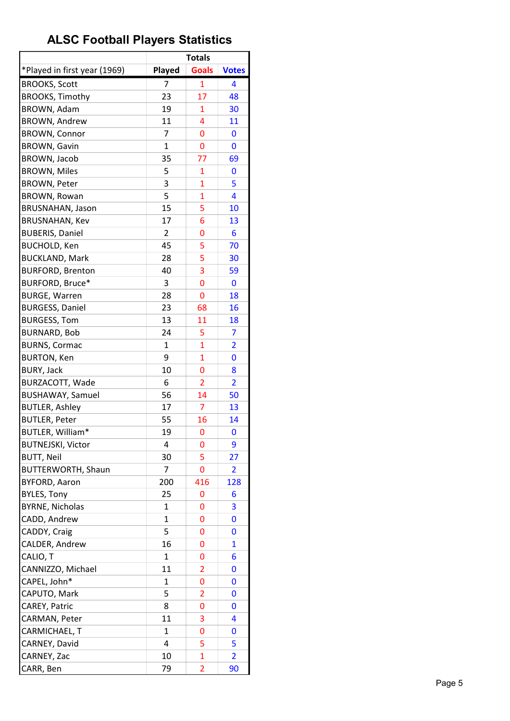|                                               |                | <b>Totals</b>  |                |
|-----------------------------------------------|----------------|----------------|----------------|
| *Played in first year (1969)                  | Played         | <b>Goals</b>   | <b>Votes</b>   |
| <b>BROOKS, Scott</b>                          | 7              | 1              | 4              |
| <b>BROOKS, Timothy</b>                        | 23             | 17             | 48             |
| BROWN, Adam                                   | 19             | 1              | 30             |
| <b>BROWN, Andrew</b>                          | 11             | 4              | 11             |
| <b>BROWN, Connor</b>                          | $\overline{7}$ | 0              | 0              |
| <b>BROWN, Gavin</b>                           | 1              | 0              | 0              |
| BROWN, Jacob                                  | 35             | 77             | 69             |
| <b>BROWN, Miles</b>                           | 5              | 1              | 0              |
| <b>BROWN, Peter</b>                           | 3              | 1              | 5              |
| <b>BROWN, Rowan</b>                           | 5              | $\overline{1}$ | 4              |
| <b>BRUSNAHAN, Jason</b>                       | 15             | 5              | 10             |
| <b>BRUSNAHAN, Kev</b>                         | 17             | 6              | 13             |
| <b>BUBERIS, Daniel</b>                        | 2              | 0              | 6              |
| <b>BUCHOLD, Ken</b>                           | 45             | 5              | 70             |
| <b>BUCKLAND, Mark</b>                         | 28             | 5              | 30             |
| <b>BURFORD, Brenton</b>                       | 40             | 3              | 59             |
| BURFORD, Bruce*                               | 3              | $\overline{0}$ | 0              |
| <b>BURGE, Warren</b>                          | 28             | 0              | 18             |
| <b>BURGESS, Daniel</b>                        | 23             | 68             | 16             |
| <b>BURGESS, Tom</b>                           | 13             | 11             | 18             |
| <b>BURNARD, Bob</b>                           | 24             | 5              | 7              |
| <b>BURNS, Cormac</b>                          | $\mathbf{1}$   | 1              | $\overline{2}$ |
| <b>BURTON, Ken</b>                            | 9              | 1              | 0              |
| <b>BURY, Jack</b>                             | 10             | 0              | 8              |
| BURZACOTT, Wade                               | 6              |                | $\overline{2}$ |
|                                               | 56             | 2<br>14        |                |
| <b>BUSHAWAY, Samuel</b>                       | 17             | 7              | 50<br>13       |
| <b>BUTLER, Ashley</b><br><b>BUTLER, Peter</b> | 55             | 16             |                |
| BUTLER, William*                              | 19             | $\overline{0}$ | 14<br>0        |
|                                               |                |                |                |
| <b>BUTNEJSKI, Victor</b>                      | 4              | 0              | 9              |
| <b>BUTT, Neil</b>                             | 30             | 5              | 27             |
| BUTTERWORTH, Shaun                            | 7              | 0              | $\overline{2}$ |
| <b>BYFORD, Aaron</b>                          | 200            | 416            | 128            |
| <b>BYLES, Tony</b>                            | 25             | 0              | 6              |
| <b>BYRNE, Nicholas</b>                        | 1              | 0              | 3              |
| CADD, Andrew                                  | $\mathbf{1}$   | 0              | 0              |
| CADDY, Craig                                  | 5              | 0              | 0              |
| CALDER, Andrew                                | 16             | 0              | $\overline{1}$ |
| CALIO, T                                      | 1              | 0              | 6              |
| CANNIZZO, Michael                             | 11             | 2              | 0              |
| CAPEL, John*                                  | 1              | 0              | 0              |
| CAPUTO, Mark                                  | 5              | 2              | 0              |
| CAREY, Patric                                 | 8              | 0              | 0              |
| CARMAN, Peter                                 | 11             | 3              | 4              |
| CARMICHAEL, T                                 | $\mathbf{1}$   | 0              | 0              |
| CARNEY, David                                 | 4              | 5              | 5              |
| CARNEY, Zac                                   | 10             | $\mathbf{1}$   | $\overline{2}$ |
| CARR, Ben                                     | 79             | 2              | 90             |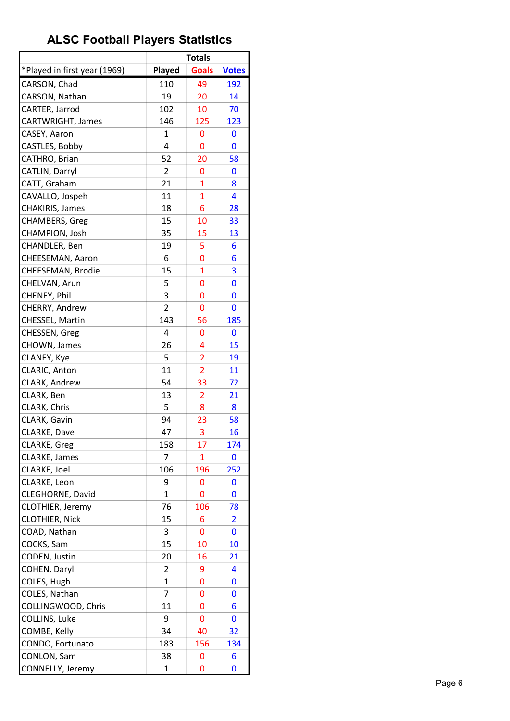|                              |                | <b>Totals</b>       |              |
|------------------------------|----------------|---------------------|--------------|
| *Played in first year (1969) | Played         | <b>Goals</b>        | <b>Votes</b> |
| CARSON, Chad                 | 110            | 49                  | 192          |
| CARSON, Nathan               | 19             | 20                  | 14           |
| CARTER, Jarrod               | 102            | 10                  | 70           |
| CARTWRIGHT, James            | 146            | 125                 | 123          |
| CASEY, Aaron                 | $\mathbf{1}$   | 0                   | 0            |
| CASTLES, Bobby               | 4              | 0                   | 0            |
| CATHRO, Brian                | 52             | 20                  | 58           |
| CATLIN, Darryl               | 2              | 0                   | 0            |
| CATT, Graham                 | 21             | $\mathbf{1}$        | 8            |
| CAVALLO, Jospeh              | 11             | $\mathbf{1}$        | 4            |
| CHAKIRIS, James              | 18             | 6                   | 28           |
| CHAMBERS, Greg               | 15             | 10                  | 33           |
| CHAMPION, Josh               | 35             | 15                  | 13           |
| CHANDLER, Ben                | 19             | 5                   | 6            |
| CHEESEMAN, Aaron             | 6              | 0                   | 6            |
| CHEESEMAN, Brodie            | 15             | $\mathbf{1}$        | 3            |
| CHELVAN, Arun                | 5              | 0                   | 0            |
| CHENEY, Phil                 | 3              | 0                   | 0            |
| CHERRY, Andrew               | $\overline{2}$ | 0                   | 0            |
| CHESSEL, Martin              | 143            | 56                  | 185          |
| CHESSEN, Greg                | 4              | 0                   | 0            |
| CHOWN, James                 | 26             | 4                   | 15           |
| CLANEY, Kye                  | 5              |                     | 19           |
| CLARIC, Anton                | 11             | 2<br>$\overline{2}$ | 11           |
| CLARK, Andrew                | 54             | 33                  |              |
|                              |                |                     | 72           |
| CLARK, Ben                   | 13             | $\overline{2}$      | 21           |
| CLARK, Chris                 | 5<br>94        | 8                   | 8            |
| CLARK, Gavin<br>CLARKE, Dave |                | 23                  | 58           |
|                              | 47             | 3                   | 16           |
| CLARKE, Greg                 | 158            | 17                  | 174          |
| <b>CLARKE, James</b>         | 7              | 1                   | 0            |
| CLARKE, Joel                 | 106            | 196                 | 252          |
| CLARKE, Leon                 | 9              | 0                   | 0            |
| CLEGHORNE, David             | $\mathbf{1}$   | 0                   | 0            |
| CLOTHIER, Jeremy             | 76             | 106                 | 78           |
| <b>CLOTHIER, Nick</b>        | 15             | 6                   | 2            |
| COAD, Nathan                 | 3              | 0                   | 0            |
| COCKS, Sam                   | 15             | 10                  | 10           |
| CODEN, Justin                | 20             | 16                  | 21           |
| COHEN, Daryl                 | 2              | 9                   | 4            |
| COLES, Hugh                  | $\mathbf 1$    | 0                   | 0            |
| COLES, Nathan                | 7              | 0                   | 0            |
| COLLINGWOOD, Chris           | 11             | 0                   | 6            |
| COLLINS, Luke                | 9              | 0                   | 0            |
| COMBE, Kelly                 | 34             | 40                  | 32           |
| CONDO, Fortunato             | 183            | 156                 | 134          |
| CONLON, Sam                  | 38             | 0                   | 6            |
| CONNELLY, Jeremy             | 1              | 0                   | 0            |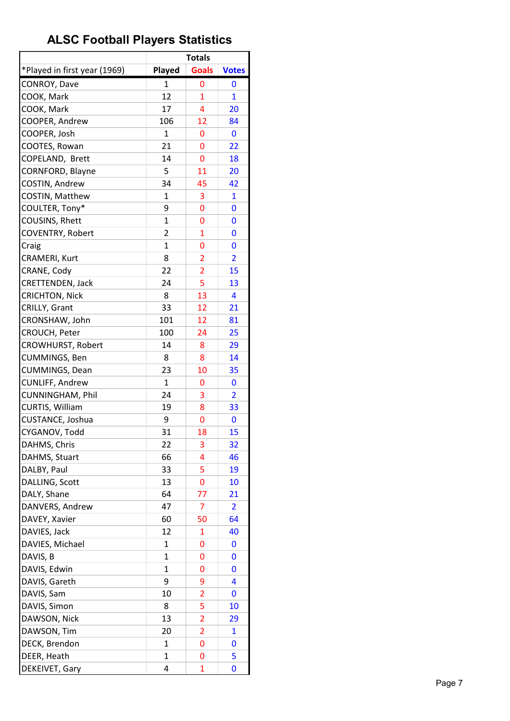|                              |              | <b>Totals</b>           |                         |
|------------------------------|--------------|-------------------------|-------------------------|
| *Played in first year (1969) | Played       | <b>Goals</b>            | <b>Votes</b>            |
| CONROY, Dave                 | 1            | 0                       | 0                       |
| COOK, Mark                   | 12           | $\mathbf{1}$            | $\mathbf{1}$            |
| COOK, Mark                   | 17           | 4                       | 20                      |
| COOPER, Andrew               | 106          | 12                      | 84                      |
| COOPER, Josh                 | 1            | 0                       | 0                       |
| COOTES, Rowan                | 21           | 0                       | 22                      |
| COPELAND, Brett              | 14           | 0                       | 18                      |
| CORNFORD, Blayne             | 5            | 11                      | 20                      |
| COSTIN, Andrew               | 34           | 45                      | 42                      |
| COSTIN, Matthew              | $\mathbf{1}$ | 3                       | $\mathbf{1}$            |
| COULTER, Tony*               | 9            | 0                       | 0                       |
| COUSINS, Rhett               | 1            | 0                       | 0                       |
| COVENTRY, Robert             | 2            | $\mathbf{1}$            | 0                       |
| Craig                        | $\mathbf{1}$ | 0                       | 0                       |
| CRAMERI, Kurt                | 8            | $\overline{2}$          | $\overline{\mathbf{2}}$ |
| CRANE, Cody                  | 22           | $\overline{2}$          | 15                      |
| CRETTENDEN, Jack             | 24           | 5                       | 13                      |
| <b>CRICHTON, Nick</b>        | 8            | 13                      | 4                       |
| CRILLY, Grant                | 33           | 12                      | 21                      |
| CRONSHAW, John               | 101          | 12                      | 81                      |
| CROUCH, Peter                | 100          | 24                      | 25                      |
| <b>CROWHURST, Robert</b>     | 14           | 8                       | 29                      |
| CUMMINGS, Ben                | 8            | 8                       | 14                      |
| CUMMINGS, Dean               | 23           | 10                      | 35                      |
| CUNLIFF, Andrew              | 1            | 0                       | 0                       |
| CUNNINGHAM, Phil             | 24           | 3                       | $\overline{2}$          |
| CURTIS, William              | 19           | 8                       | 33                      |
| CUSTANCE, Joshua             | 9            | 0                       | 0                       |
| CYGANOV, Todd                | 31           | 18                      | 15                      |
| DAHMS, Chris                 | 22           | 3                       | 32                      |
| DAHMS, Stuart                | 66           | 4                       | 46                      |
| DALBY, Paul                  | 33           | 5                       | 19                      |
| DALLING, Scott               | 13           | 0                       | 10                      |
| DALY, Shane                  | 64           | 77                      | 21                      |
| DANVERS, Andrew              | 47           | 7                       | 2                       |
| DAVEY, Xavier                | 60           | 50                      | 64                      |
| DAVIES, Jack                 | 12           | 1                       | 40                      |
| DAVIES, Michael              | 1            | 0                       | 0                       |
| DAVIS, B                     | 1            | 0                       | 0                       |
| DAVIS, Edwin                 | 1            | 0                       | 0                       |
|                              | 9            |                         |                         |
| DAVIS, Gareth                | 10           | 9                       | 4                       |
| DAVIS, Sam                   | 8            | 2<br>5                  | 0                       |
| DAVIS, Simon                 |              |                         | 10                      |
| DAWSON, Nick                 | 13           | $\overline{\mathbf{c}}$ | 29                      |
| DAWSON, Tim                  | 20           | $\overline{2}$          | $\mathbf{1}$            |
| DECK, Brendon                | 1            | 0                       | 0                       |
| DEER, Heath                  | 1            | 0                       | 5                       |
| DEKEIVET, Gary               | 4            | 1                       | 0                       |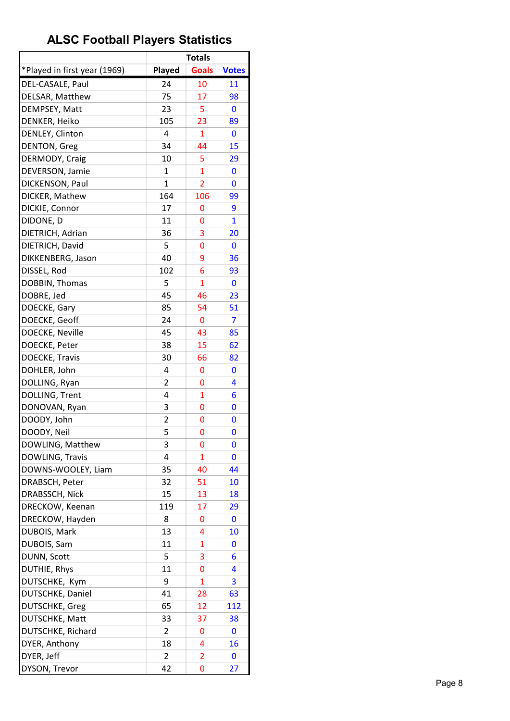|                              |                | <b>Totals</b>  |              |
|------------------------------|----------------|----------------|--------------|
| *Played in first year (1969) | <b>Played</b>  | <b>Goals</b>   | <b>Votes</b> |
| DEL-CASALE, Paul             | 24             | 10             | 11           |
| DELSAR, Matthew              | 75             | 17             | 98           |
| DEMPSEY, Matt                | 23             | 5              | 0            |
| DENKER, Heiko                | 105            | 23             | 89           |
| DENLEY, Clinton              | 4              | $\mathbf{1}$   | 0            |
| <b>DENTON, Greg</b>          | 34             | 44             | 15           |
| DERMODY, Craig               | 10             | 5              | 29           |
| DEVERSON, Jamie              | $\mathbf{1}$   | $\mathbf{1}$   | 0            |
| DICKENSON, Paul              | 1              | 2              | 0            |
| DICKER, Mathew               | 164            | 106            | 99           |
| DICKIE, Connor               | 17             | 0              | 9            |
| DIDONE, D                    | 11             | 0              | $\mathbf{1}$ |
| DIETRICH, Adrian             | 36             | 3              | 20           |
| DIETRICH, David              | 5              | 0              | 0            |
| DIKKENBERG, Jason            | 40             | 9              | 36           |
| DISSEL, Rod                  | 102            | 6              | 93           |
| DOBBIN, Thomas               | 5              | $\overline{1}$ | 0            |
| DOBRE, Jed                   | 45             | 46             | 23           |
| DOECKE, Gary                 | 85             | 54             | 51           |
| DOECKE, Geoff                | 24             | 0              | 7            |
| DOECKE, Neville              | 45             | 43             | 85           |
| DOECKE, Peter                | 38             | 15             | 62           |
| <b>DOECKE, Travis</b>        | 30             | 66             | 82           |
| DOHLER, John                 | 4              | 0              | 0            |
| DOLLING, Ryan                | 2              | 0              | 4            |
| DOLLING, Trent               | 4              | $\overline{1}$ | 6            |
| DONOVAN, Ryan                | 3              | 0              | 0            |
| DOODY, John                  | $\overline{2}$ | 0              | 0            |
| DOODY, Neil                  | 5              | 0              | 0            |
| DOWLING, Matthew             | 3              | 0              | 0            |
| DOWLING, Travis              | 4              | 1              | 0            |
| DOWNS-WOOLEY, Liam           | 35             | 40             | 44           |
| DRABSCH, Peter               | 32             | 51             | 10           |
| DRABSSCH, Nick               | 15             | 13             | 18           |
| DRECKOW, Keenan              | 119            | 17             | 29           |
| DRECKOW, Hayden              | 8              | 0              | 0            |
| DUBOIS, Mark                 | 13             | 4              | 10           |
| DUBOIS, Sam                  | 11             | 1              | 0            |
| DUNN, Scott                  | 5              | 3              | 6            |
| DUTHIE, Rhys                 | 11             | 0              | 4            |
| DUTSCHKE, Kym                | 9              | $\mathbf{1}$   | 3            |
| DUTSCHKE, Daniel             | 41             | 28             | 63           |
| DUTSCHKE, Greg               | 65             | 12             | 112          |
| DUTSCHKE, Matt               | 33             | 37             | 38           |
| DUTSCHKE, Richard            | $\overline{2}$ | 0              | 0            |
| DYER, Anthony                | 18             | 4              | 16           |
| DYER, Jeff                   | $\overline{2}$ | $\overline{2}$ | 0            |
| DYSON, Trevor                | 42             | 0              | 27           |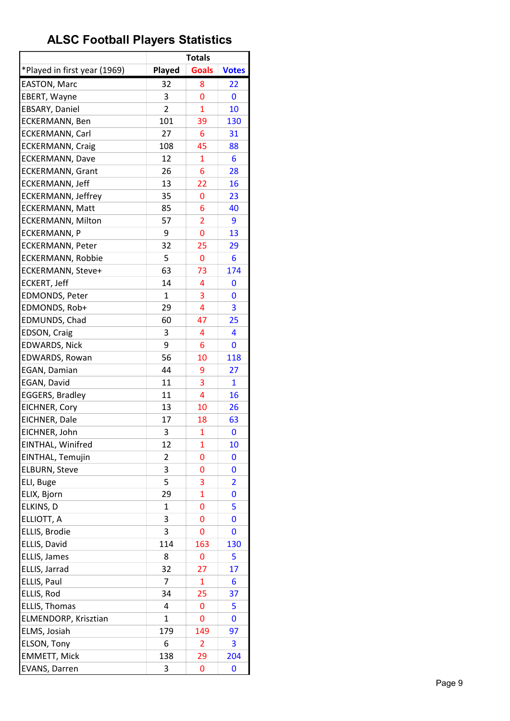|                              |                | <b>Totals</b>  |                |
|------------------------------|----------------|----------------|----------------|
| *Played in first year (1969) | Played         | <b>Goals</b>   | <b>Votes</b>   |
| <b>EASTON, Marc</b>          | 32             | 8              | 22             |
| EBERT, Wayne                 | 3              | 0              | 0              |
| EBSARY, Daniel               | $\overline{2}$ | $\overline{1}$ | 10             |
| ECKERMANN, Ben               | 101            | 39             | 130            |
| <b>ECKERMANN, Carl</b>       | 27             | 6              | 31             |
| <b>ECKERMANN, Craig</b>      | 108            | 45             | 88             |
| <b>ECKERMANN, Dave</b>       | 12             | $\mathbf{1}$   | 6              |
| <b>ECKERMANN, Grant</b>      | 26             | 6              | 28             |
| ECKERMANN, Jeff              | 13             | 22             | 16             |
| <b>ECKERMANN, Jeffrey</b>    | 35             | 0              | 23             |
| <b>ECKERMANN, Matt</b>       | 85             | 6              | 40             |
| <b>ECKERMANN, Milton</b>     | 57             | $\overline{2}$ | 9              |
| <b>ECKERMANN, P</b>          | 9              | 0              | 13             |
| <b>ECKERMANN, Peter</b>      | 32             | 25             | 29             |
| <b>ECKERMANN, Robbie</b>     | 5              | 0              | 6              |
| ECKERMANN, Steve+            | 63             | 73             | 174            |
| <b>ECKERT, Jeff</b>          | 14             | 4              | 0              |
| <b>EDMONDS, Peter</b>        | 1              | 3              | 0              |
| EDMONDS, Rob+                | 29             | 4              | 3              |
| EDMUNDS, Chad                | 60             | 47             | 25             |
| EDSON, Craig                 | 3              | 4              | 4              |
| <b>EDWARDS, Nick</b>         | 9              | 6              | 0              |
| EDWARDS, Rowan               | 56             | 10             | 118            |
| EGAN, Damian                 | 44             | 9              | 27             |
| EGAN, David                  | 11             | 3              | 1              |
| <b>EGGERS, Bradley</b>       | 11             | 4              | 16             |
| EICHNER, Cory                | 13             | 10             | 26             |
| EICHNER, Dale                | 17             | 18             | 63             |
| EICHNER, John                | 3              | $\mathbf{1}$   | 0              |
| EINTHAL, Winifred            | 12             | 1              | 10             |
| EINTHAL, Temujin             | $\overline{2}$ | 0              | 0              |
| <b>ELBURN, Steve</b>         | 3              | 0              | 0              |
| ELI, Buge                    | 5              | 3              | $\overline{2}$ |
| ELIX, Bjorn                  | 29             | $\overline{1}$ | 0              |
| ELKINS, D                    | 1              | 0              | 5              |
| ELLIOTT, A                   | 3              | 0              | 0              |
| ELLIS, Brodie                | 3              | 0              | 0              |
| ELLIS, David                 | 114            | 163            | 130            |
| ELLIS, James                 | 8              | 0              | 5              |
| ELLIS, Jarrad                | 32             | 27             | 17             |
| ELLIS, Paul                  | 7              | $\mathbf{1}$   | 6              |
| ELLIS, Rod                   | 34             | 25             | 37             |
| ELLIS, Thomas                | 4              | 0              | 5              |
| ELMENDORP, Krisztian         | 1              | 0              | 0              |
| ELMS, Josiah                 | 179            | 149            | 97             |
| ELSON, Tony                  | 6              | $\overline{2}$ | 3              |
| <b>EMMETT, Mick</b>          | 138            | 29             | 204            |
| <b>EVANS, Darren</b>         | 3              | 0              | 0              |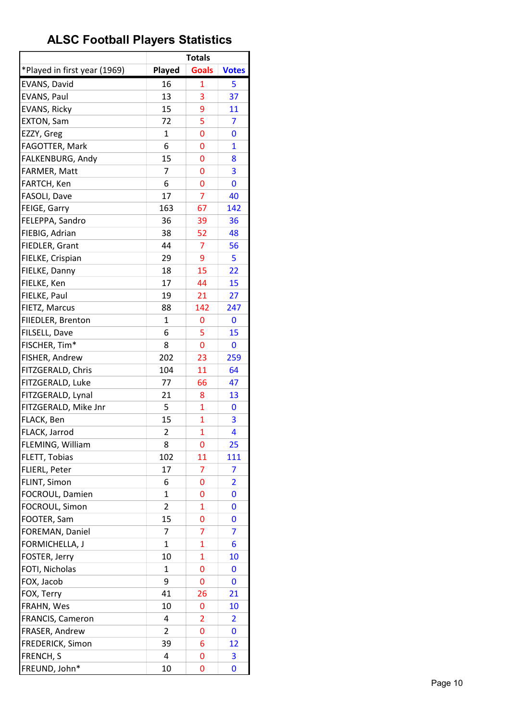|                              |                | <b>Totals</b>  |                         |
|------------------------------|----------------|----------------|-------------------------|
| *Played in first year (1969) | Played         | <b>Goals</b>   | <b>Votes</b>            |
| EVANS, David                 | 16             | 1              | 5                       |
| EVANS, Paul                  | 13             | 3              | 37                      |
| <b>EVANS, Ricky</b>          | 15             | 9              | 11                      |
| <b>EXTON, Sam</b>            | 72             | 5              | 7                       |
| EZZY, Greg                   | $\mathbf{1}$   | 0              | 0                       |
| FAGOTTER, Mark               | 6              | 0              | $\mathbf{1}$            |
| FALKENBURG, Andy             | 15             | 0              | 8                       |
| FARMER, Matt                 | 7              | 0              | 3                       |
| FARTCH, Ken                  | 6              | 0              | 0                       |
| FASOLI, Dave                 | 17             | 7              | 40                      |
| FEIGE, Garry                 | 163            | 67             | 142                     |
| FELEPPA, Sandro              | 36             | 39             | 36                      |
| FIEBIG, Adrian               | 38             | 52             | 48                      |
| FIEDLER, Grant               | 44             | 7              | 56                      |
| FIELKE, Crispian             | 29             | 9              | 5                       |
| FIELKE, Danny                | 18             | 15             | 22                      |
| FIELKE, Ken                  | 17             | 44             | 15                      |
| FIELKE, Paul                 | 19             | 21             | 27                      |
| FIETZ, Marcus                | 88             | 142            | 247                     |
| FIIEDLER, Brenton            | 1              | 0              | 0                       |
| FILSELL, Dave                | 6              | 5              | 15                      |
| FISCHER, Tim*                | 8              | 0              | 0                       |
| FISHER, Andrew               | 202            | 23             | 259                     |
| FITZGERALD, Chris            | 104            | 11             | 64                      |
| FITZGERALD, Luke             | 77             | 66             | 47                      |
| FITZGERALD, Lynal            | 21             | 8              | 13                      |
| FITZGERALD, Mike Jnr         | 5              | $\mathbf{1}$   | 0                       |
| FLACK, Ben                   | 15             | 1              | 3                       |
| FLACK, Jarrod                | $\overline{2}$ | $\mathbf{1}$   | 4                       |
| FLEMING, William             | 8              | 0              | 25                      |
| FLETT, Tobias                | 102            | 11             | 111                     |
| FLIERL, Peter                | 17             | 7              | 7                       |
| FLINT, Simon                 | 6              | 0              | $\overline{\mathbf{2}}$ |
| FOCROUL, Damien              | $\mathbf{1}$   | 0              | 0                       |
| FOCROUL, Simon               | 2              | 1              | 0                       |
| FOOTER, Sam                  | 15             | 0              | 0                       |
| FOREMAN, Daniel              | 7              | 7              | 7                       |
| FORMICHELLA, J               | 1              | $\overline{1}$ | 6                       |
| FOSTER, Jerry                | 10             | $\mathbf{1}$   | 10                      |
| FOTI, Nicholas               | 1              | 0              | 0                       |
| FOX, Jacob                   | 9              | 0              | 0                       |
| FOX, Terry                   | 41             |                |                         |
| FRAHN, Wes                   | 10             | 26<br>0        | 21<br>10                |
|                              | 4              |                |                         |
| FRANCIS, Cameron             | $\overline{2}$ | 2              | 2                       |
| FRASER, Andrew               |                | 0              | 0                       |
| FREDERICK, Simon             | 39             | 6              | 12                      |
| FRENCH, S                    | 4              | 0              | 3                       |
| FREUND, John*                | 10             | 0              | 0                       |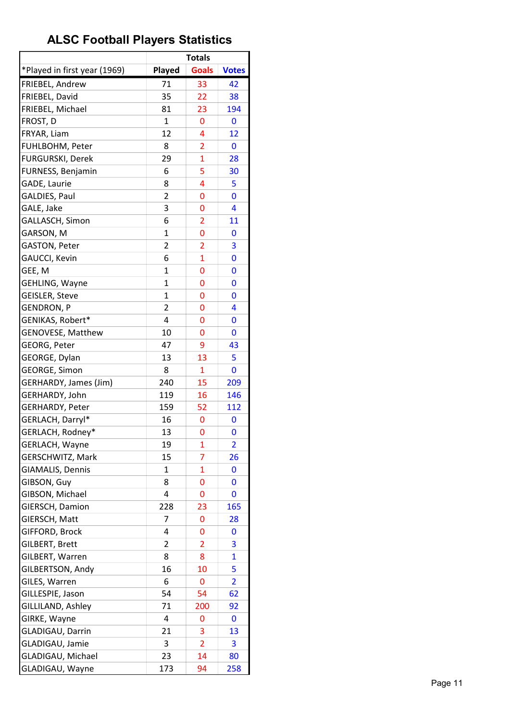| *Played in first year (1969)<br><b>Goals</b><br><b>Played</b><br><b>Votes</b><br>FRIEBEL, Andrew<br>71<br>33<br>42<br>FRIEBEL, David<br>35<br>22<br>38<br>FRIEBEL, Michael<br>81<br>23<br>194<br>FROST, D<br>$\mathbf{1}$<br>0<br>0<br>12<br>4<br>FRYAR, Liam<br>12<br>FUHLBOHM, Peter<br>8<br>$\overline{2}$<br>0<br>$\overline{1}$<br>FURGURSKI, Derek<br>29<br>28<br>5<br><b>FURNESS, Benjamin</b><br>6<br>30<br>GADE, Laurie<br>8<br>4<br>5<br><b>GALDIES, Paul</b><br>$\overline{2}$<br>0<br>0<br>GALE, Jake<br>3<br>4<br>0<br>6<br>$\overline{2}$<br>GALLASCH, Simon<br>11<br>GARSON, M<br>1<br>0<br>0<br>$\overline{2}$<br><b>GASTON, Peter</b><br>3<br>$\overline{2}$<br>$\overline{1}$<br>GAUCCI, Kevin<br>6<br>0<br>GEE, M<br>1<br>0<br>0<br>GEHLING, Wayne<br>$\mathbf{1}$<br>$\overline{0}$<br>0<br><b>GEISLER, Steve</b><br>1<br>0<br>0<br>$\overline{2}$<br><b>GENDRON, P</b><br>4<br>0<br>4<br>GENIKAS, Robert*<br>0<br>0<br><b>GENOVESE, Matthew</b><br>10<br>0<br>0<br><b>GEORG, Peter</b><br>9<br>47<br>43<br>GEORGE, Dylan<br>13<br>13<br>5<br>8<br><b>GEORGE, Simon</b><br>$\mathbf{1}$<br>0<br>GERHARDY, James (Jim)<br>240<br>15<br>209<br>GERHARDY, John<br>119<br>16<br>146<br>GERHARDY, Peter<br>159<br>52<br>112<br>GERLACH, Darryl*<br>16<br>0<br>0<br>GERLACH, Rodney*<br>13<br>0<br>0<br>GERLACH, Wayne<br>19<br>1<br>2<br>7<br><b>GERSCHWITZ, Mark</b><br>15<br>26<br><b>GIAMALIS, Dennis</b><br>$\mathbf 1$<br>1<br>0<br>GIBSON, Guy<br>8<br>0<br>0<br>GIBSON, Michael<br>4<br>0<br>0<br>GIERSCH, Damion<br>228<br>23<br>165<br>7<br>GIERSCH, Matt<br>0<br>28<br>GIFFORD, Brock<br>4<br>0<br>0<br>GILBERT, Brett<br>$\overline{2}$<br>$\overline{2}$<br>3<br>$\mathbf{1}$<br>GILBERT, Warren<br>8<br>8<br>GILBERTSON, Andy<br>16<br>10<br>5<br>6<br>GILES, Warren<br>0<br>$\overline{2}$<br>GILLESPIE, Jason<br>54<br>54<br>62<br>71<br>GILLILAND, Ashley<br>200<br>92<br>GIRKE, Wayne<br>4<br>0<br>0<br>21<br>3<br>GLADIGAU, Darrin<br>13<br>GLADIGAU, Jamie<br>$\overline{2}$<br>3<br>3 |                   |    | <b>Totals</b> |    |
|--------------------------------------------------------------------------------------------------------------------------------------------------------------------------------------------------------------------------------------------------------------------------------------------------------------------------------------------------------------------------------------------------------------------------------------------------------------------------------------------------------------------------------------------------------------------------------------------------------------------------------------------------------------------------------------------------------------------------------------------------------------------------------------------------------------------------------------------------------------------------------------------------------------------------------------------------------------------------------------------------------------------------------------------------------------------------------------------------------------------------------------------------------------------------------------------------------------------------------------------------------------------------------------------------------------------------------------------------------------------------------------------------------------------------------------------------------------------------------------------------------------------------------------------------------------------------------------------------------------------------------------------------------------------------------------------------------------------------------------------------------------------------------------------------------------------------------------------------------------------------------------------------------------------------------------------------------------------------------------------------------------------------|-------------------|----|---------------|----|
|                                                                                                                                                                                                                                                                                                                                                                                                                                                                                                                                                                                                                                                                                                                                                                                                                                                                                                                                                                                                                                                                                                                                                                                                                                                                                                                                                                                                                                                                                                                                                                                                                                                                                                                                                                                                                                                                                                                                                                                                                          |                   |    |               |    |
|                                                                                                                                                                                                                                                                                                                                                                                                                                                                                                                                                                                                                                                                                                                                                                                                                                                                                                                                                                                                                                                                                                                                                                                                                                                                                                                                                                                                                                                                                                                                                                                                                                                                                                                                                                                                                                                                                                                                                                                                                          |                   |    |               |    |
|                                                                                                                                                                                                                                                                                                                                                                                                                                                                                                                                                                                                                                                                                                                                                                                                                                                                                                                                                                                                                                                                                                                                                                                                                                                                                                                                                                                                                                                                                                                                                                                                                                                                                                                                                                                                                                                                                                                                                                                                                          |                   |    |               |    |
|                                                                                                                                                                                                                                                                                                                                                                                                                                                                                                                                                                                                                                                                                                                                                                                                                                                                                                                                                                                                                                                                                                                                                                                                                                                                                                                                                                                                                                                                                                                                                                                                                                                                                                                                                                                                                                                                                                                                                                                                                          |                   |    |               |    |
|                                                                                                                                                                                                                                                                                                                                                                                                                                                                                                                                                                                                                                                                                                                                                                                                                                                                                                                                                                                                                                                                                                                                                                                                                                                                                                                                                                                                                                                                                                                                                                                                                                                                                                                                                                                                                                                                                                                                                                                                                          |                   |    |               |    |
|                                                                                                                                                                                                                                                                                                                                                                                                                                                                                                                                                                                                                                                                                                                                                                                                                                                                                                                                                                                                                                                                                                                                                                                                                                                                                                                                                                                                                                                                                                                                                                                                                                                                                                                                                                                                                                                                                                                                                                                                                          |                   |    |               |    |
|                                                                                                                                                                                                                                                                                                                                                                                                                                                                                                                                                                                                                                                                                                                                                                                                                                                                                                                                                                                                                                                                                                                                                                                                                                                                                                                                                                                                                                                                                                                                                                                                                                                                                                                                                                                                                                                                                                                                                                                                                          |                   |    |               |    |
|                                                                                                                                                                                                                                                                                                                                                                                                                                                                                                                                                                                                                                                                                                                                                                                                                                                                                                                                                                                                                                                                                                                                                                                                                                                                                                                                                                                                                                                                                                                                                                                                                                                                                                                                                                                                                                                                                                                                                                                                                          |                   |    |               |    |
|                                                                                                                                                                                                                                                                                                                                                                                                                                                                                                                                                                                                                                                                                                                                                                                                                                                                                                                                                                                                                                                                                                                                                                                                                                                                                                                                                                                                                                                                                                                                                                                                                                                                                                                                                                                                                                                                                                                                                                                                                          |                   |    |               |    |
|                                                                                                                                                                                                                                                                                                                                                                                                                                                                                                                                                                                                                                                                                                                                                                                                                                                                                                                                                                                                                                                                                                                                                                                                                                                                                                                                                                                                                                                                                                                                                                                                                                                                                                                                                                                                                                                                                                                                                                                                                          |                   |    |               |    |
|                                                                                                                                                                                                                                                                                                                                                                                                                                                                                                                                                                                                                                                                                                                                                                                                                                                                                                                                                                                                                                                                                                                                                                                                                                                                                                                                                                                                                                                                                                                                                                                                                                                                                                                                                                                                                                                                                                                                                                                                                          |                   |    |               |    |
|                                                                                                                                                                                                                                                                                                                                                                                                                                                                                                                                                                                                                                                                                                                                                                                                                                                                                                                                                                                                                                                                                                                                                                                                                                                                                                                                                                                                                                                                                                                                                                                                                                                                                                                                                                                                                                                                                                                                                                                                                          |                   |    |               |    |
|                                                                                                                                                                                                                                                                                                                                                                                                                                                                                                                                                                                                                                                                                                                                                                                                                                                                                                                                                                                                                                                                                                                                                                                                                                                                                                                                                                                                                                                                                                                                                                                                                                                                                                                                                                                                                                                                                                                                                                                                                          |                   |    |               |    |
|                                                                                                                                                                                                                                                                                                                                                                                                                                                                                                                                                                                                                                                                                                                                                                                                                                                                                                                                                                                                                                                                                                                                                                                                                                                                                                                                                                                                                                                                                                                                                                                                                                                                                                                                                                                                                                                                                                                                                                                                                          |                   |    |               |    |
|                                                                                                                                                                                                                                                                                                                                                                                                                                                                                                                                                                                                                                                                                                                                                                                                                                                                                                                                                                                                                                                                                                                                                                                                                                                                                                                                                                                                                                                                                                                                                                                                                                                                                                                                                                                                                                                                                                                                                                                                                          |                   |    |               |    |
|                                                                                                                                                                                                                                                                                                                                                                                                                                                                                                                                                                                                                                                                                                                                                                                                                                                                                                                                                                                                                                                                                                                                                                                                                                                                                                                                                                                                                                                                                                                                                                                                                                                                                                                                                                                                                                                                                                                                                                                                                          |                   |    |               |    |
|                                                                                                                                                                                                                                                                                                                                                                                                                                                                                                                                                                                                                                                                                                                                                                                                                                                                                                                                                                                                                                                                                                                                                                                                                                                                                                                                                                                                                                                                                                                                                                                                                                                                                                                                                                                                                                                                                                                                                                                                                          |                   |    |               |    |
|                                                                                                                                                                                                                                                                                                                                                                                                                                                                                                                                                                                                                                                                                                                                                                                                                                                                                                                                                                                                                                                                                                                                                                                                                                                                                                                                                                                                                                                                                                                                                                                                                                                                                                                                                                                                                                                                                                                                                                                                                          |                   |    |               |    |
|                                                                                                                                                                                                                                                                                                                                                                                                                                                                                                                                                                                                                                                                                                                                                                                                                                                                                                                                                                                                                                                                                                                                                                                                                                                                                                                                                                                                                                                                                                                                                                                                                                                                                                                                                                                                                                                                                                                                                                                                                          |                   |    |               |    |
|                                                                                                                                                                                                                                                                                                                                                                                                                                                                                                                                                                                                                                                                                                                                                                                                                                                                                                                                                                                                                                                                                                                                                                                                                                                                                                                                                                                                                                                                                                                                                                                                                                                                                                                                                                                                                                                                                                                                                                                                                          |                   |    |               |    |
|                                                                                                                                                                                                                                                                                                                                                                                                                                                                                                                                                                                                                                                                                                                                                                                                                                                                                                                                                                                                                                                                                                                                                                                                                                                                                                                                                                                                                                                                                                                                                                                                                                                                                                                                                                                                                                                                                                                                                                                                                          |                   |    |               |    |
|                                                                                                                                                                                                                                                                                                                                                                                                                                                                                                                                                                                                                                                                                                                                                                                                                                                                                                                                                                                                                                                                                                                                                                                                                                                                                                                                                                                                                                                                                                                                                                                                                                                                                                                                                                                                                                                                                                                                                                                                                          |                   |    |               |    |
|                                                                                                                                                                                                                                                                                                                                                                                                                                                                                                                                                                                                                                                                                                                                                                                                                                                                                                                                                                                                                                                                                                                                                                                                                                                                                                                                                                                                                                                                                                                                                                                                                                                                                                                                                                                                                                                                                                                                                                                                                          |                   |    |               |    |
|                                                                                                                                                                                                                                                                                                                                                                                                                                                                                                                                                                                                                                                                                                                                                                                                                                                                                                                                                                                                                                                                                                                                                                                                                                                                                                                                                                                                                                                                                                                                                                                                                                                                                                                                                                                                                                                                                                                                                                                                                          |                   |    |               |    |
|                                                                                                                                                                                                                                                                                                                                                                                                                                                                                                                                                                                                                                                                                                                                                                                                                                                                                                                                                                                                                                                                                                                                                                                                                                                                                                                                                                                                                                                                                                                                                                                                                                                                                                                                                                                                                                                                                                                                                                                                                          |                   |    |               |    |
|                                                                                                                                                                                                                                                                                                                                                                                                                                                                                                                                                                                                                                                                                                                                                                                                                                                                                                                                                                                                                                                                                                                                                                                                                                                                                                                                                                                                                                                                                                                                                                                                                                                                                                                                                                                                                                                                                                                                                                                                                          |                   |    |               |    |
|                                                                                                                                                                                                                                                                                                                                                                                                                                                                                                                                                                                                                                                                                                                                                                                                                                                                                                                                                                                                                                                                                                                                                                                                                                                                                                                                                                                                                                                                                                                                                                                                                                                                                                                                                                                                                                                                                                                                                                                                                          |                   |    |               |    |
|                                                                                                                                                                                                                                                                                                                                                                                                                                                                                                                                                                                                                                                                                                                                                                                                                                                                                                                                                                                                                                                                                                                                                                                                                                                                                                                                                                                                                                                                                                                                                                                                                                                                                                                                                                                                                                                                                                                                                                                                                          |                   |    |               |    |
|                                                                                                                                                                                                                                                                                                                                                                                                                                                                                                                                                                                                                                                                                                                                                                                                                                                                                                                                                                                                                                                                                                                                                                                                                                                                                                                                                                                                                                                                                                                                                                                                                                                                                                                                                                                                                                                                                                                                                                                                                          |                   |    |               |    |
|                                                                                                                                                                                                                                                                                                                                                                                                                                                                                                                                                                                                                                                                                                                                                                                                                                                                                                                                                                                                                                                                                                                                                                                                                                                                                                                                                                                                                                                                                                                                                                                                                                                                                                                                                                                                                                                                                                                                                                                                                          |                   |    |               |    |
|                                                                                                                                                                                                                                                                                                                                                                                                                                                                                                                                                                                                                                                                                                                                                                                                                                                                                                                                                                                                                                                                                                                                                                                                                                                                                                                                                                                                                                                                                                                                                                                                                                                                                                                                                                                                                                                                                                                                                                                                                          |                   |    |               |    |
|                                                                                                                                                                                                                                                                                                                                                                                                                                                                                                                                                                                                                                                                                                                                                                                                                                                                                                                                                                                                                                                                                                                                                                                                                                                                                                                                                                                                                                                                                                                                                                                                                                                                                                                                                                                                                                                                                                                                                                                                                          |                   |    |               |    |
|                                                                                                                                                                                                                                                                                                                                                                                                                                                                                                                                                                                                                                                                                                                                                                                                                                                                                                                                                                                                                                                                                                                                                                                                                                                                                                                                                                                                                                                                                                                                                                                                                                                                                                                                                                                                                                                                                                                                                                                                                          |                   |    |               |    |
|                                                                                                                                                                                                                                                                                                                                                                                                                                                                                                                                                                                                                                                                                                                                                                                                                                                                                                                                                                                                                                                                                                                                                                                                                                                                                                                                                                                                                                                                                                                                                                                                                                                                                                                                                                                                                                                                                                                                                                                                                          |                   |    |               |    |
|                                                                                                                                                                                                                                                                                                                                                                                                                                                                                                                                                                                                                                                                                                                                                                                                                                                                                                                                                                                                                                                                                                                                                                                                                                                                                                                                                                                                                                                                                                                                                                                                                                                                                                                                                                                                                                                                                                                                                                                                                          |                   |    |               |    |
|                                                                                                                                                                                                                                                                                                                                                                                                                                                                                                                                                                                                                                                                                                                                                                                                                                                                                                                                                                                                                                                                                                                                                                                                                                                                                                                                                                                                                                                                                                                                                                                                                                                                                                                                                                                                                                                                                                                                                                                                                          |                   |    |               |    |
|                                                                                                                                                                                                                                                                                                                                                                                                                                                                                                                                                                                                                                                                                                                                                                                                                                                                                                                                                                                                                                                                                                                                                                                                                                                                                                                                                                                                                                                                                                                                                                                                                                                                                                                                                                                                                                                                                                                                                                                                                          |                   |    |               |    |
|                                                                                                                                                                                                                                                                                                                                                                                                                                                                                                                                                                                                                                                                                                                                                                                                                                                                                                                                                                                                                                                                                                                                                                                                                                                                                                                                                                                                                                                                                                                                                                                                                                                                                                                                                                                                                                                                                                                                                                                                                          |                   |    |               |    |
|                                                                                                                                                                                                                                                                                                                                                                                                                                                                                                                                                                                                                                                                                                                                                                                                                                                                                                                                                                                                                                                                                                                                                                                                                                                                                                                                                                                                                                                                                                                                                                                                                                                                                                                                                                                                                                                                                                                                                                                                                          |                   |    |               |    |
|                                                                                                                                                                                                                                                                                                                                                                                                                                                                                                                                                                                                                                                                                                                                                                                                                                                                                                                                                                                                                                                                                                                                                                                                                                                                                                                                                                                                                                                                                                                                                                                                                                                                                                                                                                                                                                                                                                                                                                                                                          |                   |    |               |    |
|                                                                                                                                                                                                                                                                                                                                                                                                                                                                                                                                                                                                                                                                                                                                                                                                                                                                                                                                                                                                                                                                                                                                                                                                                                                                                                                                                                                                                                                                                                                                                                                                                                                                                                                                                                                                                                                                                                                                                                                                                          |                   |    |               |    |
|                                                                                                                                                                                                                                                                                                                                                                                                                                                                                                                                                                                                                                                                                                                                                                                                                                                                                                                                                                                                                                                                                                                                                                                                                                                                                                                                                                                                                                                                                                                                                                                                                                                                                                                                                                                                                                                                                                                                                                                                                          |                   |    |               |    |
|                                                                                                                                                                                                                                                                                                                                                                                                                                                                                                                                                                                                                                                                                                                                                                                                                                                                                                                                                                                                                                                                                                                                                                                                                                                                                                                                                                                                                                                                                                                                                                                                                                                                                                                                                                                                                                                                                                                                                                                                                          |                   |    |               |    |
|                                                                                                                                                                                                                                                                                                                                                                                                                                                                                                                                                                                                                                                                                                                                                                                                                                                                                                                                                                                                                                                                                                                                                                                                                                                                                                                                                                                                                                                                                                                                                                                                                                                                                                                                                                                                                                                                                                                                                                                                                          |                   |    |               |    |
|                                                                                                                                                                                                                                                                                                                                                                                                                                                                                                                                                                                                                                                                                                                                                                                                                                                                                                                                                                                                                                                                                                                                                                                                                                                                                                                                                                                                                                                                                                                                                                                                                                                                                                                                                                                                                                                                                                                                                                                                                          |                   |    |               |    |
|                                                                                                                                                                                                                                                                                                                                                                                                                                                                                                                                                                                                                                                                                                                                                                                                                                                                                                                                                                                                                                                                                                                                                                                                                                                                                                                                                                                                                                                                                                                                                                                                                                                                                                                                                                                                                                                                                                                                                                                                                          |                   |    |               |    |
|                                                                                                                                                                                                                                                                                                                                                                                                                                                                                                                                                                                                                                                                                                                                                                                                                                                                                                                                                                                                                                                                                                                                                                                                                                                                                                                                                                                                                                                                                                                                                                                                                                                                                                                                                                                                                                                                                                                                                                                                                          |                   |    |               |    |
|                                                                                                                                                                                                                                                                                                                                                                                                                                                                                                                                                                                                                                                                                                                                                                                                                                                                                                                                                                                                                                                                                                                                                                                                                                                                                                                                                                                                                                                                                                                                                                                                                                                                                                                                                                                                                                                                                                                                                                                                                          | GLADIGAU, Michael | 23 | 14            | 80 |
| 173<br>GLADIGAU, Wayne<br>94<br>258                                                                                                                                                                                                                                                                                                                                                                                                                                                                                                                                                                                                                                                                                                                                                                                                                                                                                                                                                                                                                                                                                                                                                                                                                                                                                                                                                                                                                                                                                                                                                                                                                                                                                                                                                                                                                                                                                                                                                                                      |                   |    |               |    |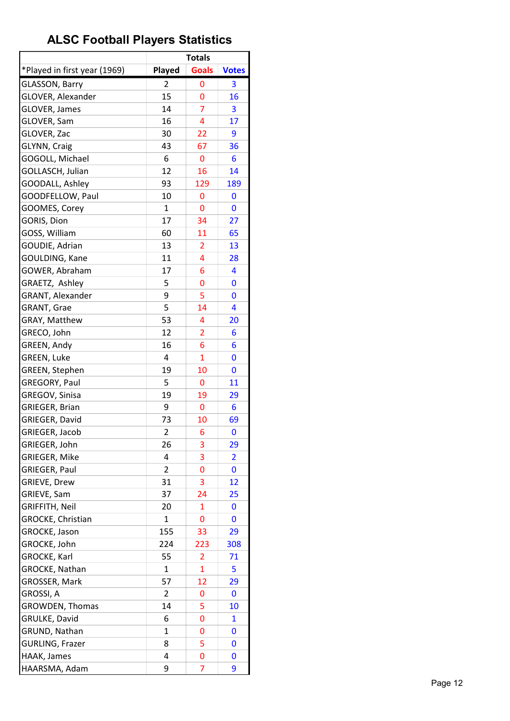|                              |                | <b>Totals</b>  |                |
|------------------------------|----------------|----------------|----------------|
| *Played in first year (1969) | Played         | <b>Goals</b>   | <b>Votes</b>   |
| <b>GLASSON, Barry</b>        | 2              | 0              | 3              |
| <b>GLOVER, Alexander</b>     | 15             | 0              | 16             |
| GLOVER, James                | 14             | $\overline{7}$ | 3              |
| GLOVER, Sam                  | 16             | 4              | 17             |
| GLOVER, Zac                  | 30             | 22             | 9              |
| GLYNN, Craig                 | 43             | 67             | 36             |
| GOGOLL, Michael              | 6              | 0              | 6              |
| GOLLASCH, Julian             | 12             | 16             | 14             |
| GOODALL, Ashley              | 93             | 129            | 189            |
| GOODFELLOW, Paul             | 10             | 0              | 0              |
| GOOMES, Corey                | $\mathbf{1}$   | 0              | 0              |
| GORIS, Dion                  | 17             | 34             | 27             |
| GOSS, William                | 60             | 11             | 65             |
| GOUDIE, Adrian               | 13             | $\overline{2}$ | 13             |
| GOULDING, Kane               | 11             | 4              | 28             |
| GOWER, Abraham               | 17             | 6              | 4              |
| GRAETZ, Ashley               | 5              | 0              | 0              |
| GRANT, Alexander             | 9              | 5              | 0              |
| <b>GRANT, Grae</b>           | 5              | 14             | 4              |
| GRAY, Matthew                | 53             | 4              | 20             |
| GRECO, John                  | 12             | $\overline{2}$ | 6              |
| GREEN, Andy                  | 16             | 6              | 6              |
| GREEN, Luke                  | 4              | $\mathbf{1}$   | 0              |
| GREEN, Stephen               | 19             | 10             | 0              |
| GREGORY, Paul                | 5              | 0              | 11             |
| GREGOV, Sinisa               | 19             | 19             | 29             |
| GRIEGER, Brian               | 9              | 0              | 6              |
| GRIEGER, David               | 73             | 10             | 69             |
| GRIEGER, Jacob               | $\overline{2}$ | 6              | 0              |
| GRIEGER, John                | 26             | 3              | 29             |
| <b>GRIEGER, Mike</b>         | 4              | 3              | $\overline{2}$ |
| GRIEGER, Paul                | 2              | 0              | 0              |
| <b>GRIEVE, Drew</b>          | 31             | 3              | 12             |
| GRIEVE, Sam                  | 37             | 24             | 25             |
| <b>GRIFFITH, Neil</b>        | 20             | 1              | 0              |
| GROCKE, Christian            | $\mathbf{1}$   | 0              | 0              |
| GROCKE, Jason                | 155            | 33             | 29             |
| GROCKE, John                 | 224            | 223            | 308            |
| GROCKE, Karl                 | 55             | 2              | 71             |
| GROCKE, Nathan               | $\mathbf{1}$   | $\mathbf{1}$   | 5              |
| GROSSER, Mark                | 57             | 12             | 29             |
| GROSSI, A                    | 2              | 0              | 0              |
| <b>GROWDEN, Thomas</b>       | 14             | 5              | 10             |
| GRULKE, David                | 6              | 0              | 1              |
| GRUND, Nathan                | $\mathbf{1}$   | 0              | 0              |
| <b>GURLING, Frazer</b>       | 8              | 5              | 0              |
| HAAK, James                  | 4              | 0              | 0              |
| HAARSMA, Adam                | 9              | 7              | 9              |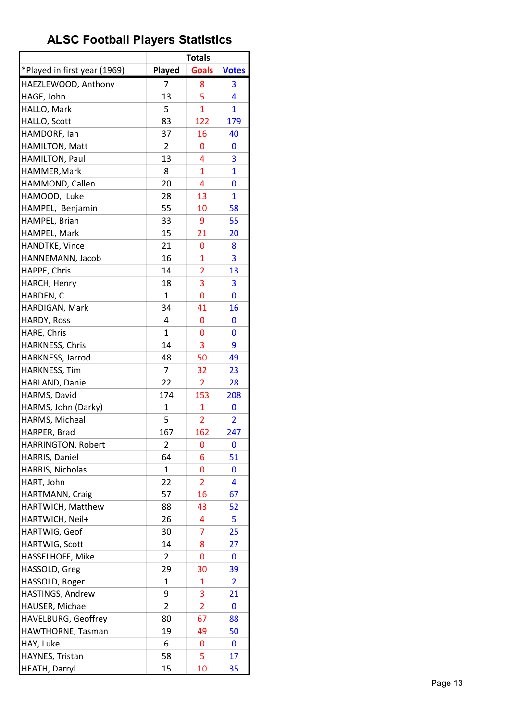|                              |                | <b>Totals</b>       |                         |
|------------------------------|----------------|---------------------|-------------------------|
| *Played in first year (1969) | Played         | <b>Goals</b>        | <b>Votes</b>            |
| HAEZLEWOOD, Anthony          | 7              | 8                   | 3                       |
| HAGE, John                   | 13             | 5                   | 4                       |
| HALLO, Mark                  | 5              | $\overline{1}$      | $\mathbf{1}$            |
| HALLO, Scott                 | 83             | 122                 | 179                     |
| HAMDORF, lan                 | 37             | 16                  | 40                      |
| HAMILTON, Matt               | 2              | 0                   | 0                       |
| HAMILTON, Paul               | 13             | 4                   | 3                       |
| HAMMER, Mark                 | 8              | $\mathbf{1}$        | $\mathbf{1}$            |
| HAMMOND, Callen              | 20             | 4                   | 0                       |
| HAMOOD, Luke                 | 28             | 13                  | $\mathbf{1}$            |
| HAMPEL, Benjamin             | 55             | 10                  | 58                      |
| HAMPEL, Brian                | 33             | 9                   | 55                      |
| HAMPEL, Mark                 | 15             | 21                  | 20                      |
| HANDTKE, Vince               | 21             | 0                   | 8                       |
| HANNEMANN, Jacob             | 16             | $\mathbf{1}$        | 3                       |
| HAPPE, Chris                 | 14             | $\overline{2}$      | 13                      |
| <b>HARCH, Henry</b>          | 18             | 3                   | 3                       |
| HARDEN, C                    | 1              | 0                   | 0                       |
| HARDIGAN, Mark               | 34             | 41                  | 16                      |
| HARDY, Ross                  | 4              | 0                   | 0                       |
| HARE, Chris                  | $\mathbf{1}$   | 0                   | 0                       |
| HARKNESS, Chris              | 14             | 3                   | 9                       |
| HARKNESS, Jarrod             | 48             | 50                  | 49                      |
| HARKNESS, Tim                | 7              | 32                  | 23                      |
|                              | 22             | $\overline{2}$      |                         |
| HARLAND, Daniel              | 174            |                     | 28<br>208               |
| HARMS, David                 |                | 153                 |                         |
| HARMS, John (Darky)          | 1<br>5         | 1<br>$\overline{2}$ | 0<br>$\overline{2}$     |
| HARMS, Micheal               |                | 162                 | 247                     |
| HARPER, Brad                 | 167            |                     |                         |
| HARRINGTON, Robert           | 2              | 0                   | 0                       |
| HARRIS, Daniel               | 64             | 6                   | 51                      |
| HARRIS, Nicholas             | 1              | 0                   | 0                       |
| HART, John                   | 22             | $\overline{2}$      | 4                       |
| HARTMANN, Craig              | 57             | 16                  | 67                      |
| HARTWICH, Matthew            | 88             | 43                  | 52                      |
| HARTWICH, Neil+              | 26             | 4                   | 5                       |
| HARTWIG, Geof                | 30             | 7                   | 25                      |
| HARTWIG, Scott               | 14             | 8                   | 27                      |
| HASSELHOFF, Mike             | 2              | 0                   | 0                       |
| HASSOLD, Greg                | 29             | 30                  | 39                      |
| HASSOLD, Roger               | 1              | 1                   | $\overline{\mathbf{c}}$ |
| HASTINGS, Andrew             | 9              | 3                   | 21                      |
| HAUSER, Michael              | $\overline{2}$ | $\overline{2}$      | 0                       |
| HAVELBURG, Geoffrey          | 80             | 67                  | 88                      |
| HAWTHORNE, Tasman            | 19             | 49                  | 50                      |
| HAY, Luke                    | 6              | 0                   | 0                       |
| HAYNES, Tristan              | 58             | 5                   | 17                      |
| HEATH, Darryl                | 15             | 10                  | 35                      |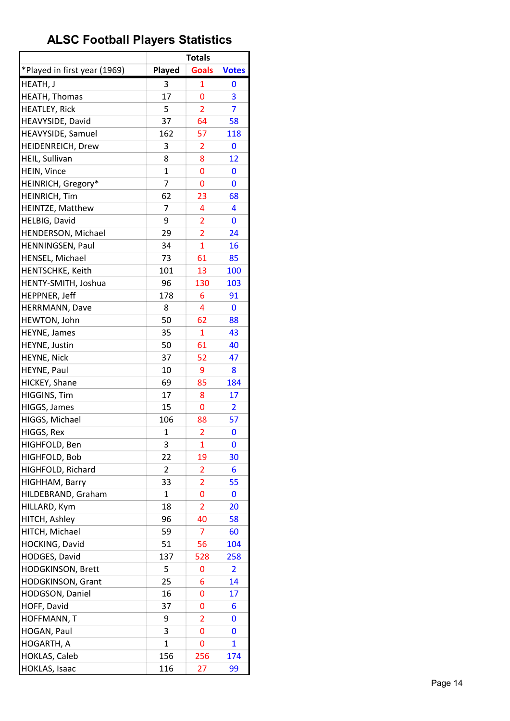|                              |              | <b>Totals</b>  |                |
|------------------------------|--------------|----------------|----------------|
| *Played in first year (1969) | Played       | <b>Goals</b>   | <b>Votes</b>   |
| HEATH, J                     | 3            | 1              | 0              |
| <b>HEATH, Thomas</b>         | 17           | 0              | 3              |
| <b>HEATLEY, Rick</b>         | 5            | $\overline{2}$ | 7              |
| HEAVYSIDE, David             | 37           | 64             | 58             |
| HEAVYSIDE, Samuel            | 162          | 57             | 118            |
| HEIDENREICH, Drew            | 3            | 2              | 0              |
| HEIL, Sullivan               | 8            | 8              | 12             |
| HEIN, Vince                  | $\mathbf{1}$ | 0              | 0              |
| HEINRICH, Gregory*           | 7            | 0              | 0              |
| <b>HEINRICH, Tim</b>         | 62           | 23             | 68             |
| HEINTZE, Matthew             | 7            | 4              | 4              |
| HELBIG, David                | 9            | $\overline{2}$ | 0              |
| HENDERSON, Michael           | 29           | $\overline{2}$ | 24             |
| HENNINGSEN, Paul             | 34           | $\overline{1}$ | 16             |
| HENSEL, Michael              | 73           | 61             | 85             |
| HENTSCHKE, Keith             | 101          | 13             | 100            |
| HENTY-SMITH, Joshua          | 96           | 130            | 103            |
| HEPPNER, Jeff                | 178          | 6              | 91             |
| HERRMANN, Dave               | 8            | 4              | 0              |
| HEWTON, John                 | 50           | 62             | 88             |
| HEYNE, James                 | 35           | $\mathbf{1}$   | 43             |
| HEYNE, Justin                | 50           | 61             | 40             |
| HEYNE, Nick                  | 37           | 52             | 47             |
| HEYNE, Paul                  | 10           | 9              | 8              |
| HICKEY, Shane                | 69           | 85             | 184            |
| HIGGINS, Tim                 | 17           | 8              | 17             |
| HIGGS, James                 | 15           | 0              | $\overline{2}$ |
| HIGGS, Michael               | 106          | 88             | 57             |
| HIGGS, Rex                   | $\mathbf 1$  | $\overline{2}$ | 0              |
| HIGHFOLD, Ben                | 3            | 1              | 0              |
| HIGHFOLD, Bob                | 22           | 19             | 30             |
| HIGHFOLD, Richard            | 2            | 2              | 6              |
| HIGHHAM, Barry               | 33           | $\overline{2}$ | 55             |
| HILDEBRAND, Graham           | 1            | 0              | 0              |
| HILLARD, Kym                 | 18           | 2              | 20             |
| HITCH, Ashley                | 96           | 40             | 58             |
| HITCH, Michael               | 59           | 7              | 60             |
| HOCKING, David               | 51           | 56             | 104            |
| HODGES, David                | 137          | 528            | 258            |
| HODGKINSON, Brett            | 5            | 0              | $\overline{2}$ |
| <b>HODGKINSON, Grant</b>     | 25           | 6              | 14             |
| HODGSON, Daniel              | 16           | 0              | 17             |
| HOFF, David                  | 37           | 0              | 6              |
| HOFFMANN, T                  | 9            | 2              | 0              |
| HOGAN, Paul                  | 3            | 0              | 0              |
| HOGARTH, A                   | $\mathbf{1}$ | 0              | 1              |
| <b>HOKLAS, Caleb</b>         | 156          | 256            | 174            |
| HOKLAS, Isaac                | 116          | 27             | 99             |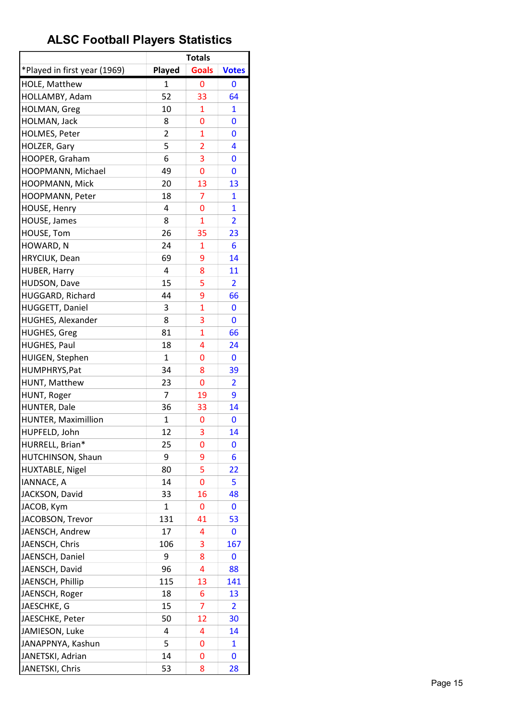|                              |                | <b>Totals</b>  |                |
|------------------------------|----------------|----------------|----------------|
| *Played in first year (1969) | Played         | <b>Goals</b>   | <b>Votes</b>   |
| HOLE, Matthew                | 1              | 0              | 0              |
| HOLLAMBY, Adam               | 52             | 33             | 64             |
| HOLMAN, Greg                 | 10             | 1              | 1              |
| HOLMAN, Jack                 | 8              | 0              | 0              |
| HOLMES, Peter                | $\overline{2}$ | 1              | 0              |
| HOLZER, Gary                 | 5              | 2              | 4              |
| HOOPER, Graham               | 6              | 3              | 0              |
| HOOPMANN, Michael            | 49             | 0              | 0              |
| HOOPMANN, Mick               | 20             | 13             | 13             |
| HOOPMANN, Peter              | 18             | $\overline{7}$ | $\mathbf{1}$   |
| HOUSE, Henry                 | 4              | 0              | $\mathbf{1}$   |
| HOUSE, James                 | 8              | $\mathbf{1}$   | $\overline{2}$ |
| HOUSE, Tom                   | 26             | 35             | 23             |
| HOWARD, N                    | 24             | 1              | 6              |
| HRYCIUK, Dean                | 69             | 9              | 14             |
| HUBER, Harry                 | 4              | 8              | 11             |
| HUDSON, Dave                 | 15             | 5              | $\overline{2}$ |
| HUGGARD, Richard             | 44             | 9              | 66             |
| HUGGETT, Daniel              | 3              | 1              | 0              |
| HUGHES, Alexander            | 8              | 3              | 0              |
| <b>HUGHES, Greg</b>          | 81             | $\mathbf{1}$   | 66             |
| <b>HUGHES, Paul</b>          | 18             | 4              | 24             |
| HUIGEN, Stephen              | $\mathbf{1}$   | 0              | 0              |
| HUMPHRYS, Pat                | 34             | 8              | 39             |
| HUNT, Matthew                | 23             | 0              | $\overline{2}$ |
| HUNT, Roger                  | $\overline{7}$ | 19             | 9              |
| HUNTER, Dale                 | 36             | 33             | 14             |
| HUNTER, Maximillion          | 1              | 0              | 0              |
| HUPFELD, John                | 12             | 3              | 14             |
| HURRELL, Brian*              | 25             | 0              | 0              |
| HUTCHINSON, Shaun            | 9              | 9              | 6              |
| HUXTABLE, Nigel              | 80             | 5              | 22             |
| IANNACE, A                   | 14             | 0              | 5              |
| JACKSON, David               | 33             | 16             | 48             |
| JACOB, Kym                   | 1              | 0              | 0              |
| JACOBSON, Trevor             | 131            | 41             | 53             |
| JAENSCH, Andrew              | 17             | 4              | 0              |
| JAENSCH, Chris               | 106            | 3              | 167            |
| JAENSCH, Daniel              | 9              | 8              | 0              |
| JAENSCH, David               | 96             | 4              | 88             |
| JAENSCH, Phillip             | 115            | 13             | 141            |
| JAENSCH, Roger               | 18             | 6              | 13             |
| JAESCHKE, G                  | 15             | $\overline{7}$ | $\overline{2}$ |
| JAESCHKE, Peter              | 50             | 12             | 30             |
| JAMIESON, Luke               | 4              | 4              | 14             |
| JANAPPNYA, Kashun            | 5              | 0              | 1              |
| JANETSKI, Adrian             | 14             | 0              | 0              |
| JANETSKI, Chris              | 53             | 8              | 28             |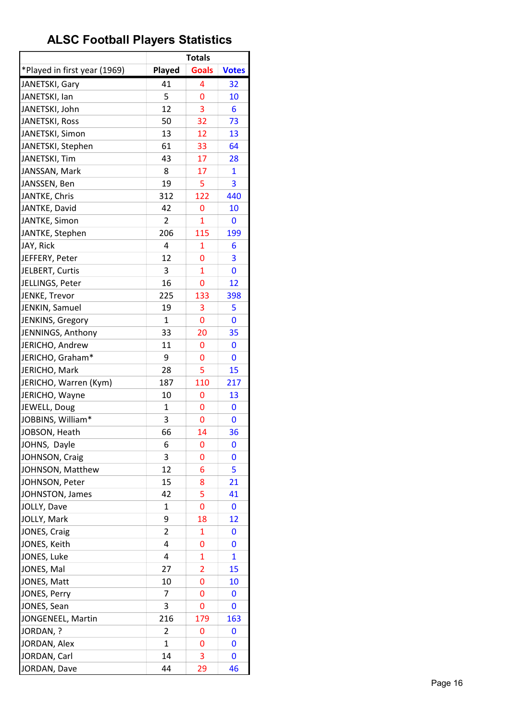|                              |                | <b>Totals</b> |              |
|------------------------------|----------------|---------------|--------------|
| *Played in first year (1969) | Played         | <b>Goals</b>  | <b>Votes</b> |
| JANETSKI, Gary               | 41             | 4             | 32           |
| JANETSKI, lan                | 5              | 0             | 10           |
| JANETSKI, John               | 12             | 3             | 6            |
| JANETSKI, Ross               | 50             | 32            | 73           |
| JANETSKI, Simon              | 13             | 12            | 13           |
| JANETSKI, Stephen            | 61             | 33            | 64           |
| JANETSKI, Tim                | 43             | 17            | 28           |
| JANSSAN, Mark                | 8              | 17            | $\mathbf{1}$ |
| JANSSEN, Ben                 | 19             | 5             | 3            |
| JANTKE, Chris                | 312            | 122           | 440          |
| JANTKE, David                | 42             | 0             | 10           |
| JANTKE, Simon                | $\overline{2}$ | 1             | 0            |
| JANTKE, Stephen              | 206            | 115           | 199          |
| JAY, Rick                    | 4              | 1             | 6            |
| JEFFERY, Peter               | 12             | 0             | 3            |
| JELBERT, Curtis              | 3              | $\mathbf{1}$  | 0            |
| JELLINGS, Peter              | 16             | 0             | 12           |
| JENKE, Trevor                | 225            | 133           | 398          |
| JENKIN, Samuel               | 19             | 3             | 5            |
| JENKINS, Gregory             | $\mathbf{1}$   | 0             | 0            |
| JENNINGS, Anthony            | 33             | 20            | 35           |
| JERICHO, Andrew              | 11             | 0             | 0            |
| JERICHO, Graham*             | 9              | 0             | 0            |
| JERICHO, Mark                | 28             | 5             | 15           |
| JERICHO, Warren (Kym)        | 187            | 110           | 217          |
| JERICHO, Wayne               | 10             | 0             | 13           |
| JEWELL, Doug                 | $\mathbf{1}$   | 0             | 0            |
| JOBBINS, William*            | 3              | 0             | 0            |
| JOBSON, Heath                | 66             | 14            | 36           |
| JOHNS, Dayle                 | 6              | 0             | 0            |
| JOHNSON, Craig               | 3              | 0             | 0            |
| JOHNSON, Matthew             | 12             | 6             | 5            |
| JOHNSON, Peter               | 15             | 8             | 21           |
|                              | 42             | 5             | 41           |
| JOHNSTON, James              | 1              | 0             |              |
| JOLLY, Dave                  | 9              |               | 0            |
| JOLLY, Mark                  |                | 18            | 12           |
| JONES, Craig                 | 2              | 1             | 0            |
| JONES, Keith                 | 4              | 0             | 0            |
| JONES, Luke                  | 4              | 1             | 1            |
| JONES, Mal                   | 27             | 2             | 15           |
| JONES, Matt                  | 10             | 0             | 10           |
| JONES, Perry                 | 7              | 0             | 0            |
| JONES, Sean                  | 3              | 0             | 0            |
| JONGENEEL, Martin            | 216            | 179           | 163          |
| JORDAN, ?                    | 2              | 0             | 0            |
| JORDAN, Alex                 | $\mathbf{1}$   | 0             | 0            |
| JORDAN, Carl                 | 14             | 3             | 0            |
| JORDAN, Dave                 | 44             | 29            | 46           |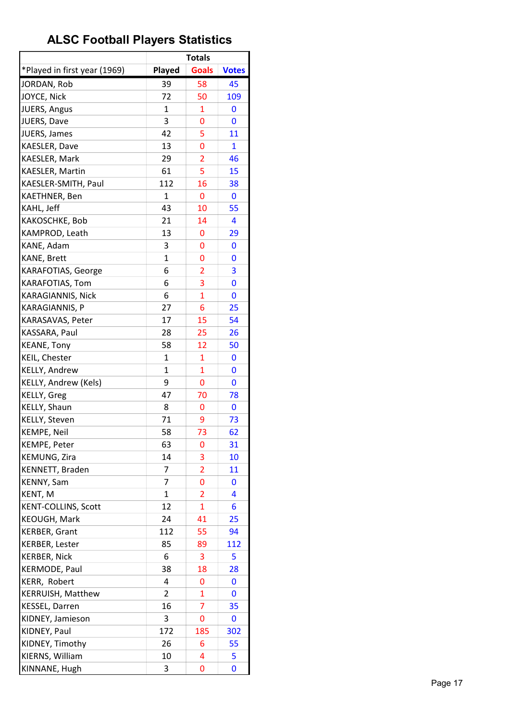|                                       |              | <b>Totals</b>  |              |
|---------------------------------------|--------------|----------------|--------------|
| *Played in first year (1969)          | Played       | <b>Goals</b>   | <b>Votes</b> |
| JORDAN, Rob                           | 39           | 58             | 45           |
| JOYCE, Nick                           | 72           | 50             | 109          |
| JUERS, Angus                          | 1            | 1              | 0            |
| JUERS, Dave                           | 3            | 0              | 0            |
| JUERS, James                          | 42           | 5              | 11           |
| KAESLER, Dave                         | 13           | 0              | 1            |
| KAESLER, Mark                         | 29           | $\overline{2}$ | 46           |
| KAESLER, Martin                       | 61           | 5              | 15           |
| KAESLER-SMITH, Paul                   | 112          | 16             | 38           |
| KAETHNER, Ben                         | 1            | 0              | $\mathbf 0$  |
| KAHL, Jeff                            | 43           | 10             | 55           |
| KAKOSCHKE, Bob                        | 21           | 14             | 4            |
| KAMPROD, Leath                        | 13           | 0              | 29           |
| KANE, Adam                            | 3            | 0              | 0            |
| KANE, Brett                           | 1            | 0              | 0            |
| KARAFOTIAS, George                    | 6            | $\overline{2}$ | 3            |
| KARAFOTIAS, Tom                       | 6            | 3              | 0            |
| KARAGIANNIS, Nick                     | 6            | $\mathbf{1}$   | 0            |
| KARAGIANNIS, P                        | 27           | 6              | 25           |
| KARASAVAS, Peter                      | 17           | 15             | 54           |
| KASSARA, Paul                         | 28           | 25             | 26           |
| <b>KEANE, Tony</b>                    | 58           | 12             | 50           |
| KEIL, Chester                         | 1            |                |              |
|                                       | $\mathbf{1}$ | 1<br>1         | 0<br>0       |
| KELLY, Andrew<br>KELLY, Andrew (Kels) | 9            | 0              |              |
|                                       | 47           |                | 0            |
| KELLY, Greg                           |              | 70             | 78           |
| KELLY, Shaun                          | 8            | 0              | 0            |
| KELLY, Steven                         | 71<br>58     | 9              | 73           |
| <b>KEMPE, Neil</b>                    |              | 73             | 62           |
| KEMPE, Peter                          | 63           | 0              | 31           |
| KEMUNG, Zira                          | 14           | 3              | 10           |
| KENNETT, Braden                       | 7            | $\overline{2}$ | 11           |
| KENNY, Sam                            | 7            | 0              | 0            |
| KENT, M                               | $\mathbf{1}$ | 2              | 4            |
| <b>KENT-COLLINS, Scott</b>            | 12           | 1              | 6            |
| KEOUGH, Mark                          | 24           | 41             | 25           |
| <b>KERBER, Grant</b>                  | 112          | 55             | 94           |
| KERBER, Lester                        | 85           | 89             | 112          |
| <b>KERBER, Nick</b>                   | 6            | 3              | 5            |
| KERMODE, Paul                         | 38           | 18             | 28           |
| KERR, Robert                          | 4            | 0              | 0            |
| KERRUISH, Matthew                     | 2            | 1              | 0            |
| <b>KESSEL, Darren</b>                 | 16           | 7              | 35           |
| KIDNEY, Jamieson                      | 3            | 0              | 0            |
| KIDNEY, Paul                          | 172          | 185            | 302          |
| KIDNEY, Timothy                       | 26           | 6              | 55           |
| KIERNS, William                       | 10           | 4              | 5            |
| KINNANE, Hugh                         | 3            | 0              | 0            |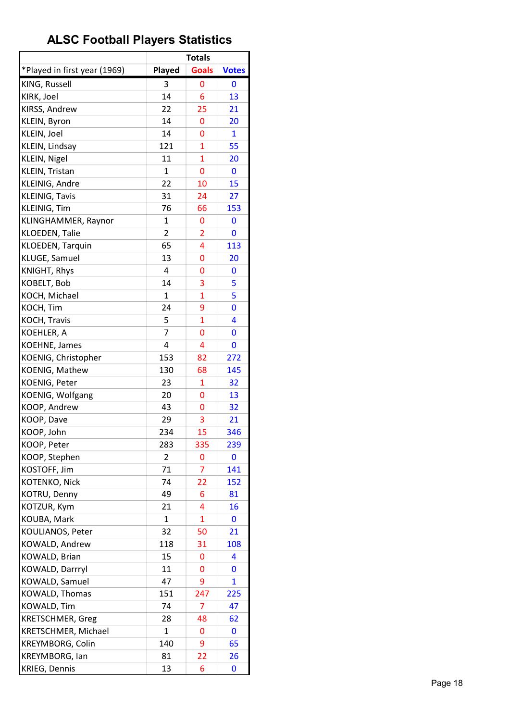|                              |                | <b>Totals</b>  |              |
|------------------------------|----------------|----------------|--------------|
| *Played in first year (1969) | Played         | <b>Goals</b>   | <b>Votes</b> |
| KING, Russell                | 3              | 0              | 0            |
| KIRK, Joel                   | 14             | 6              | 13           |
| KIRSS, Andrew                | 22             | 25             | 21           |
| KLEIN, Byron                 | 14             | 0              | 20           |
| KLEIN, Joel                  | 14             | 0              | $\mathbf{1}$ |
| KLEIN, Lindsay               | 121            | $\mathbf{1}$   | 55           |
| KLEIN, Nigel                 | 11             | $\overline{1}$ | 20           |
| KLEIN, Tristan               | $\mathbf{1}$   | 0              | 0            |
| KLEINIG, Andre               | 22             | 10             | 15           |
| KLEINIG, Tavis               | 31             | 24             | 27           |
| KLEINIG, Tim                 | 76             | 66             | 153          |
| KLINGHAMMER, Raynor          | 1              | 0              | 0            |
| KLOEDEN, Talie               | $\overline{2}$ | $\overline{2}$ | 0            |
| KLOEDEN, Tarquin             | 65             | 4              | 113          |
| KLUGE, Samuel                | 13             | 0              | 20           |
| KNIGHT, Rhys                 | 4              | 0              | 0            |
| KOBELT, Bob                  | 14             | 3              | 5            |
| KOCH, Michael                | 1              | $\overline{1}$ | 5            |
| KOCH, Tim                    | 24             | 9              | 0            |
| KOCH, Travis                 | 5              | $\overline{1}$ | 4            |
| KOEHLER, A                   | 7              | 0              | 0            |
| <b>KOEHNE, James</b>         | 4              | 4              | 0            |
| KOENIG, Christopher          | 153            | 82             | 272          |
| KOENIG, Mathew               | 130            | 68             | 145          |
| KOENIG, Peter                | 23             | 1              | 32           |
| KOENIG, Wolfgang             | 20             | 0              | 13           |
| KOOP, Andrew                 | 43             | 0              | 32           |
| KOOP, Dave                   | 29             | 3              | 21           |
| KOOP, John                   | 234            | 15             | 346          |
| KOOP, Peter                  | 283            | 335            | 239          |
| KOOP, Stephen                | $\overline{2}$ | 0              | 0            |
| KOSTOFF, Jim                 | 71             | 7              | 141          |
| KOTENKO, Nick                | 74             | 22             | 152          |
| KOTRU, Denny                 | 49             | 6              | 81           |
| KOTZUR, Kym                  | 21             | 4              | 16           |
| KOUBA, Mark                  | $\mathbf{1}$   | $\mathbf{1}$   | 0            |
| KOULIANOS, Peter             | 32             | 50             | 21           |
| KOWALD, Andrew               | 118            | 31             | 108          |
| KOWALD, Brian                | 15             | 0              | 4            |
| KOWALD, Darrryl              | 11             | 0              | 0            |
| KOWALD, Samuel               | 47             | 9              | 1            |
| KOWALD, Thomas               | 151            | 247            | 225          |
| KOWALD, Tim                  | 74             | 7              | 47           |
| <b>KRETSCHMER, Greg</b>      | 28             | 48             | 62           |
| KRETSCHMER, Michael          | $\mathbf{1}$   | 0              | 0            |
| KREYMBORG, Colin             | 140            | 9              | 65           |
| KREYMBORG, lan               | 81             | 22             | 26           |
| <b>KRIEG, Dennis</b>         | 13             | 6              | 0            |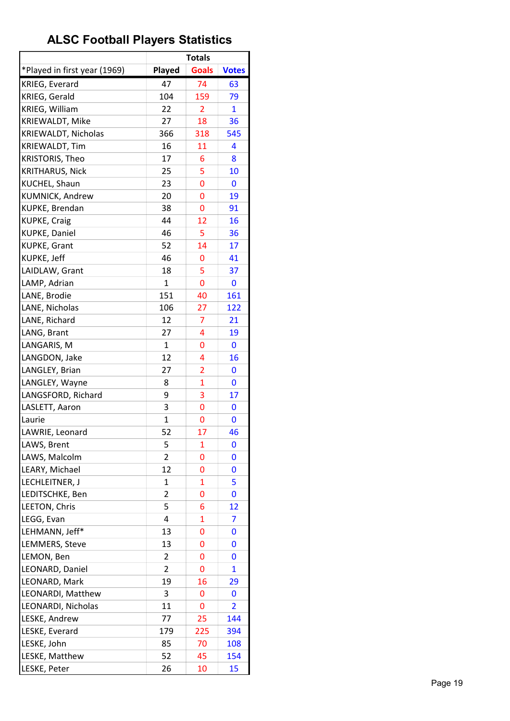|                              |                | <b>Totals</b>  |                |
|------------------------------|----------------|----------------|----------------|
| *Played in first year (1969) | Played         | <b>Goals</b>   | <b>Votes</b>   |
| KRIEG, Everard               | 47             | 74             | 63             |
| KRIEG, Gerald                | 104            | 159            | 79             |
| KRIEG, William               | 22             | $\overline{2}$ | 1              |
| KRIEWALDT, Mike              | 27             | 18             | 36             |
| KRIEWALDT, Nicholas          | 366            | 318            | 545            |
| <b>KRIEWALDT, Tim</b>        | 16             | 11             | 4              |
| <b>KRISTORIS, Theo</b>       | 17             | 6              | 8              |
| <b>KRITHARUS, Nick</b>       | 25             | 5              | 10             |
| KUCHEL, Shaun                | 23             | 0              | 0              |
| KUMNICK, Andrew              | 20             | 0              | 19             |
| KUPKE, Brendan               | 38             | 0              | 91             |
| <b>KUPKE, Craig</b>          | 44             | 12             | 16             |
| <b>KUPKE, Daniel</b>         | 46             | 5              | 36             |
| <b>KUPKE, Grant</b>          | 52             | 14             | 17             |
| KUPKE, Jeff                  | 46             | 0              | 41             |
| LAIDLAW, Grant               | 18             | 5              | 37             |
| LAMP, Adrian                 | $\mathbf{1}$   | 0              | 0              |
| LANE, Brodie                 | 151            | 40             | 161            |
| LANE, Nicholas               | 106            | 27             | 122            |
| LANE, Richard                | 12             | 7              | 21             |
| LANG, Brant                  | 27             | 4              | 19             |
| LANGARIS, M                  | $\mathbf{1}$   | 0              | 0              |
| LANGDON, Jake                | 12             | 4              | 16             |
| LANGLEY, Brian               | 27             | $\overline{2}$ | 0              |
| LANGLEY, Wayne               | 8              | $\overline{1}$ | 0              |
| LANGSFORD, Richard           | 9              | 3              | 17             |
| LASLETT, Aaron               | 3              | 0              | 0              |
| Laurie                       | 1              | 0              | 0              |
| LAWRIE, Leonard              | 52             | 17             | 46             |
| LAWS, Brent                  | 5              | 1              | 0              |
| LAWS, Malcolm                | $\overline{2}$ | 0              | 0              |
| LEARY, Michael               | 12             | 0              | 0              |
| LECHLEITNER, J               | 1              | 1              | 5              |
| LEDITSCHKE, Ben              | 2              | 0              | 0              |
| LEETON, Chris                | 5              | 6              | 12             |
| LEGG, Evan                   | 4              | $\overline{1}$ | 7              |
| LEHMANN, Jeff*               | 13             | 0              | 0              |
| LEMMERS, Steve               | 13             | 0              | 0              |
| LEMON, Ben                   | 2              | 0              | 0              |
| LEONARD, Daniel              | 2              | 0              | $\mathbf{1}$   |
| LEONARD, Mark                | 19             | 16             | 29             |
| LEONARDI, Matthew            | 3              | 0              | 0              |
| LEONARDI, Nicholas           | 11             | 0              | $\overline{2}$ |
| LESKE, Andrew                | 77             | 25             | 144            |
| LESKE, Everard               | 179            | 225            | 394            |
| LESKE, John                  | 85             | 70             | 108            |
| LESKE, Matthew               | 52             | 45             | 154            |
| LESKE, Peter                 | 26             | 10             | 15             |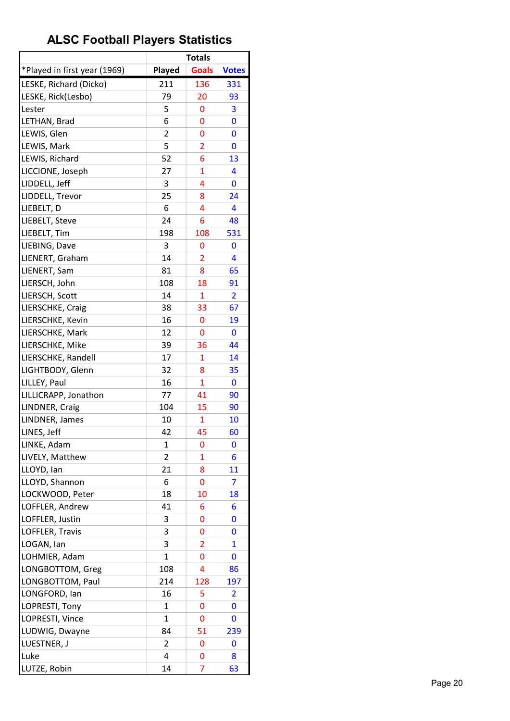|                              |                | <b>Totals</b>  |                |
|------------------------------|----------------|----------------|----------------|
| *Played in first year (1969) | Played         | <b>Goals</b>   | <b>Votes</b>   |
| LESKE, Richard (Dicko)       | 211            | 136            | 331            |
| LESKE, Rick(Lesbo)           | 79             | 20             | 93             |
| Lester                       | 5              | 0              | 3              |
| LETHAN, Brad                 | 6              | 0              | 0              |
| LEWIS, Glen                  | $\overline{2}$ | 0              | 0              |
| LEWIS, Mark                  | 5              | $\overline{2}$ | 0              |
| LEWIS, Richard               | 52             | 6              | 13             |
| LICCIONE, Joseph             | 27             | 1              | 4              |
| LIDDELL, Jeff                | 3              | 4              | 0              |
| LIDDELL, Trevor              | 25             | 8              | 24             |
| LIEBELT, D                   | 6              | 4              | 4              |
| LIEBELT, Steve               | 24             | 6              | 48             |
| LIEBELT, Tim                 | 198            | 108            | 531            |
| LIEBING, Dave                | 3              | 0              | 0              |
| LIENERT, Graham              | 14             | $\overline{2}$ | 4              |
| LIENERT, Sam                 | 81             | 8              | 65             |
| LIERSCH, John                | 108            | 18             | 91             |
| LIERSCH, Scott               | 14             | 1              | $\overline{2}$ |
| LIERSCHKE, Craig             | 38             | 33             | 67             |
| LIERSCHKE, Kevin             | 16             | 0              | 19             |
| LIERSCHKE, Mark              | 12             | 0              | 0              |
| LIERSCHKE, Mike              | 39             | 36             | 44             |
| LIERSCHKE, Randell           | 17             | 1              | 14             |
| LIGHTBODY, Glenn             | 32             | 8              | 35             |
| LILLEY, Paul                 | 16             | $\mathbf{1}$   | 0              |
| LILLICRAPP, Jonathon         | 77             | 41             | 90             |
| LINDNER, Craig               | 104            | 15             | 90             |
| LINDNER, James               | 10             | 1              | 10             |
| LINES, Jeff                  | 42             | 45             | 60             |
| LINKE, Adam                  | 1              | 0              | 0              |
| LIVELY, Matthew              | $\overline{2}$ | 1              | 6              |
| LLOYD, Ian                   | 21             | 8              | 11             |
| LLOYD, Shannon               | 6              | 0              | 7              |
| LOCKWOOD, Peter              | 18             | 10             | 18             |
| LOFFLER, Andrew              | 41             | 6              | 6              |
| LOFFLER, Justin              | 3              | 0              | 0              |
| LOFFLER, Travis              | 3              | 0              | 0              |
| LOGAN, Ian                   | 3              | $\overline{2}$ | $\overline{1}$ |
| LOHMIER, Adam                | 1              | 0              | 0              |
| LONGBOTTOM, Greg             | 108            | 4              | 86             |
| LONGBOTTOM, Paul             | 214            | 128            | 197            |
| LONGFORD, lan                | 16             | 5              | 2              |
| LOPRESTI, Tony               | $\mathbf{1}$   | 0              | 0              |
| LOPRESTI, Vince              | 1              | 0              | 0              |
| LUDWIG, Dwayne               | 84             | 51             | 239            |
| LUESTNER, J                  | 2              | 0              | 0              |
| Luke                         | 4              | 0              | 8              |
| LUTZE, Robin                 | 14             | 7              | 63             |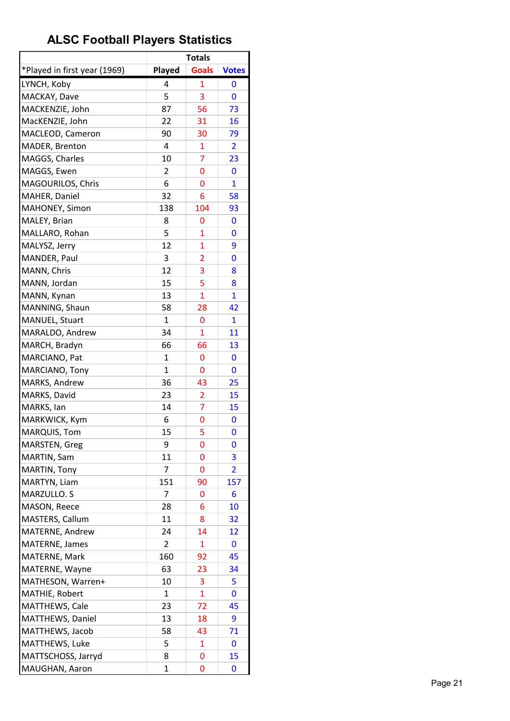|                              |                | <b>Totals</b>  |                         |
|------------------------------|----------------|----------------|-------------------------|
| *Played in first year (1969) | Played         | <b>Goals</b>   | <b>Votes</b>            |
| LYNCH, Koby                  | 4              | 1              | 0                       |
| MACKAY, Dave                 | 5              | 3              | 0                       |
| MACKENZIE, John              | 87             | 56             | 73                      |
| MacKENZIE, John              | 22             | 31             | 16                      |
| MACLEOD, Cameron             | 90             | 30             | 79                      |
| MADER, Brenton               | 4              | 1              | 2                       |
| MAGGS, Charles               | 10             | 7              | 23                      |
| MAGGS, Ewen                  | 2              | 0              | 0                       |
| MAGOURILOS, Chris            | 6              | 0              | $\mathbf{1}$            |
| MAHER, Daniel                | 32             | 6              | 58                      |
| MAHONEY, Simon               | 138            | 104            | 93                      |
| MALEY, Brian                 | 8              | 0              | 0                       |
| MALLARO, Rohan               | 5              | 1              | 0                       |
| MALYSZ, Jerry                | 12             | 1              | 9                       |
| MANDER, Paul                 | 3              | 2              | 0                       |
| MANN, Chris                  | 12             | 3              | 8                       |
| MANN, Jordan                 | 15             | 5              | 8                       |
| MANN, Kynan                  | 13             | 1              | 1                       |
| MANNING, Shaun               | 58             | 28             | 42                      |
| MANUEL, Stuart               | 1              | 0              | 1                       |
| MARALDO, Andrew              | 34             | $\overline{1}$ | 11                      |
| MARCH, Bradyn                | 66             | 66             | 13                      |
| MARCIANO, Pat                | 1              | 0              | 0                       |
| MARCIANO, Tony               | $\mathbf{1}$   | 0              | 0                       |
| MARKS, Andrew                | 36             | 43             | 25                      |
| MARKS, David                 | 23             | $\overline{2}$ | 15                      |
| MARKS, lan                   | 14             | $\overline{7}$ | 15                      |
| MARKWICK, Kym                | 6              | 0              | 0                       |
| MARQUIS, Tom                 | 15             | 5              | 0                       |
| MARSTEN, Greg                | 9              | 0              | 0                       |
| MARTIN, Sam                  | 11             | 0              | 3                       |
| MARTIN, Tony                 | 7              | 0              | $\overline{\mathbf{2}}$ |
| MARTYN, Liam                 | 151            | 90             | 157                     |
| MARZULLO. S                  | 7              | 0              | 6                       |
| MASON, Reece                 | 28             | 6              | 10                      |
| MASTERS, Callum              | 11             | 8              | 32                      |
| MATERNE, Andrew              | 24             | 14             | <u>12</u>               |
| MATERNE, James               | $\overline{2}$ | $\mathbf{1}$   | 0                       |
| MATERNE, Mark                | 160            | 92             | 45                      |
| MATERNE, Wayne               | 63             | 23             | 34                      |
| MATHESON, Warren+            | 10             | 3              | 5                       |
| MATHIE, Robert               | 1              | 1              | 0                       |
| MATTHEWS, Cale               | 23             | 72             | 45                      |
| MATTHEWS, Daniel             | 13             | 18             | 9                       |
| MATTHEWS, Jacob              | 58             | 43             | 71                      |
| MATTHEWS, Luke               | 5              | 1              | 0                       |
| MATTSCHOSS, Jarryd           | 8              | 0              | 15                      |
| MAUGHAN, Aaron               | 1              | 0              | 0                       |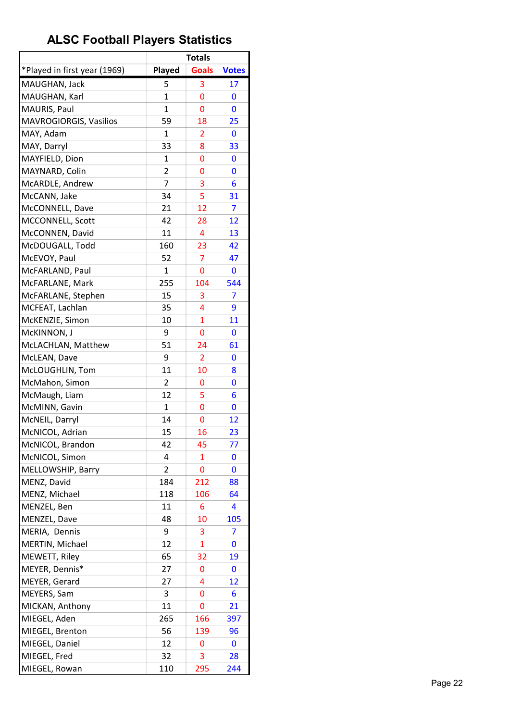|                              |                | <b>Totals</b>  |              |
|------------------------------|----------------|----------------|--------------|
| *Played in first year (1969) | Played         | <b>Goals</b>   | <b>Votes</b> |
| MAUGHAN, Jack                | 5              | 3              | 17           |
| MAUGHAN, Karl                | $\mathbf{1}$   | 0              | 0            |
| MAURIS, Paul                 | 1              | 0              | 0            |
| MAVROGIORGIS, Vasilios       | 59             | 18             | 25           |
| MAY, Adam                    | $\mathbf{1}$   | $\overline{2}$ | 0            |
| MAY, Darryl                  | 33             | 8              | 33           |
| MAYFIELD, Dion               | $\mathbf{1}$   | 0              | 0            |
| MAYNARD, Colin               | $\overline{2}$ | 0              | 0            |
| McARDLE, Andrew              | 7              | 3              | 6            |
| McCANN, Jake                 | 34             | 5              | 31           |
| McCONNELL, Dave              | 21             | 12             | 7            |
| MCCONNELL, Scott             | 42             | 28             | 12           |
| McCONNEN, David              | 11             | 4              | 13           |
| McDOUGALL, Todd              | 160            | 23             | 42           |
| McEVOY, Paul                 | 52             | $\overline{7}$ | 47           |
| McFARLAND, Paul              | $\mathbf{1}$   | 0              | 0            |
| McFARLANE, Mark              | 255            | 104            | 544          |
| McFARLANE, Stephen           | 15             | 3              | 7            |
| MCFEAT, Lachlan              | 35             | 4              | 9            |
| McKENZIE, Simon              | 10             | $\overline{1}$ | 11           |
| McKINNON, J                  | 9              | 0              | 0            |
| McLACHLAN, Matthew           | 51             | 24             | 61           |
| McLEAN, Dave                 | 9              | 2              | 0            |
| McLOUGHLIN, Tom              | 11             | 10             | 8            |
| McMahon, Simon               | 2              | 0              | 0            |
| McMaugh, Liam                | 12             | 5              | 6            |
| McMINN, Gavin                | $\mathbf{1}$   | 0              | 0            |
| McNEIL, Darryl               | 14             | 0              | 12           |
| McNICOL, Adrian              | 15             | 16             | 23           |
| McNICOL, Brandon             | 42             | 45             | 77           |
| McNICOL, Simon               | 4              | $\mathbf{1}$   | 0            |
| MELLOWSHIP, Barry            | 2              | 0              | 0            |
| MENZ, David                  | 184            | 212            | 88           |
| MENZ, Michael                | 118            | 106            | 64           |
| MENZEL, Ben                  | 11             | 6              | 4            |
| MENZEL, Dave                 | 48             | 10             | 105          |
| MERIA, Dennis                | 9              | 3              | 7            |
| MERTIN, Michael              | 12             | 1              | 0            |
| MEWETT, Riley                | 65             | 32             | 19           |
| MEYER, Dennis*               | 27             | 0              | 0            |
| MEYER, Gerard                | 27             | 4              | 12           |
| MEYERS, Sam                  | 3              | 0              | 6            |
| MICKAN, Anthony              | 11             | 0              | 21           |
| MIEGEL, Aden                 | 265            | 166            | 397          |
| MIEGEL, Brenton              | 56             | 139            | 96           |
| MIEGEL, Daniel               | 12             | 0              | 0            |
| MIEGEL, Fred                 | 32             | 3              | 28           |
| MIEGEL, Rowan                | 110            | 295            | 244          |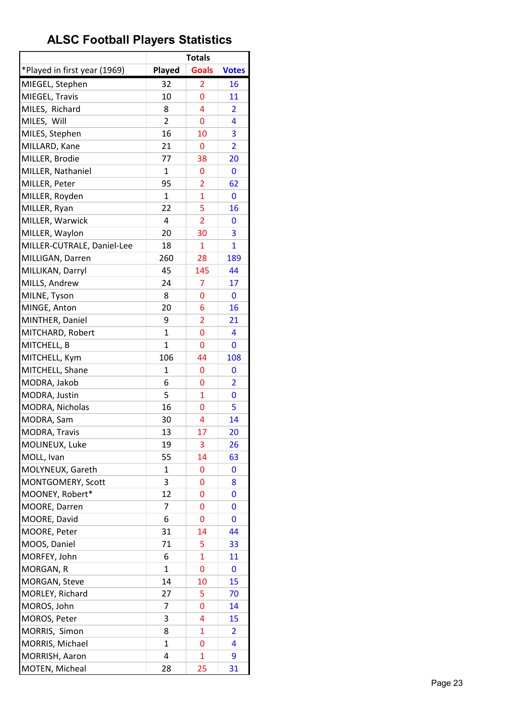| *Played in first year (1969)<br>Played<br><b>Goals</b><br><b>Votes</b><br>MIEGEL, Stephen<br>32<br>2<br>16<br>MIEGEL, Travis<br>10<br>0<br>11<br>MILES, Richard<br>4<br>8<br>$\overline{2}$<br>MILES, Will<br>2<br>0<br>4<br>16<br>3<br>MILES, Stephen<br>10<br>MILLARD, Kane<br>21<br>$\overline{2}$<br>0<br>MILLER, Brodie<br>77<br>38<br>20<br>MILLER, Nathaniel<br>$\mathbf{1}$<br>0<br>0<br>MILLER, Peter<br>95<br>$\overline{2}$<br>62<br>MILLER, Royden<br>1<br>$\overline{1}$<br>0<br>5<br>MILLER, Ryan<br>22<br>16<br>MILLER, Warwick<br>4<br>$\overline{2}$<br>0<br>20<br>3<br>MILLER, Waylon<br>30<br>$\overline{1}$<br>MILLER-CUTRALE, Daniel-Lee<br>18<br>$\mathbf{1}$<br>260<br>28<br>MILLIGAN, Darren<br>189<br>MILLIKAN, Darryl<br>45<br>145<br>44<br>MILLS, Andrew<br>24<br>7<br>17<br>MILNE, Tyson<br>8<br>0<br>0<br>MINGE, Anton<br>20<br>6<br>16<br>$\overline{2}$<br>MINTHER, Daniel<br>9<br>21<br>$\mathbf 1$<br>0<br>MITCHARD, Robert<br>4<br>$\mathbf 1$<br>MITCHELL, B<br>0<br>0<br>MITCHELL, Kym<br>106<br>44<br>108<br>MITCHELL, Shane<br>1<br>0<br>0<br>MODRA, Jakob<br>$\overline{2}$<br>6<br>0<br>MODRA, Justin<br>5<br>$\overline{1}$<br>0<br>16<br>0<br>5<br>MODRA, Nicholas<br>14<br>MODRA, Sam<br>30<br>4<br><b>MODRA, Travis</b><br>13<br>17<br>20<br>MOLINEUX, Luke<br>19<br>3<br>26<br>MOLL, Ivan<br>55<br>14<br>63<br>MOLYNEUX, Gareth<br>1<br>0<br>0<br>3<br>MONTGOMERY, Scott<br>0<br>8<br>MOONEY, Robert*<br>12<br>0<br>0<br>MOORE, Darren<br>7<br>0<br>0<br>MOORE, David<br>6<br>0<br>0<br>MOORE, Peter<br>31<br>44<br>14<br>MOOS, Daniel<br>71<br>5<br>33<br>$\overline{1}$<br>MORFEY, John<br>6<br>11<br>MORGAN, R<br>0<br>1<br>0<br>MORGAN, Steve<br>14<br>15<br>10<br>MORLEY, Richard<br>27<br>5<br>70<br>MOROS, John<br>7<br>0<br>14<br>MOROS, Peter<br>3<br>4<br>15<br>MORRIS, Simon<br>8<br>1<br>$\overline{2}$<br>MORRIS, Michael<br>1<br>0<br>4<br>MORRISH, Aaron<br>4<br>$\mathbf{1}$<br>9 |                |    | <b>Totals</b> |    |
|------------------------------------------------------------------------------------------------------------------------------------------------------------------------------------------------------------------------------------------------------------------------------------------------------------------------------------------------------------------------------------------------------------------------------------------------------------------------------------------------------------------------------------------------------------------------------------------------------------------------------------------------------------------------------------------------------------------------------------------------------------------------------------------------------------------------------------------------------------------------------------------------------------------------------------------------------------------------------------------------------------------------------------------------------------------------------------------------------------------------------------------------------------------------------------------------------------------------------------------------------------------------------------------------------------------------------------------------------------------------------------------------------------------------------------------------------------------------------------------------------------------------------------------------------------------------------------------------------------------------------------------------------------------------------------------------------------------------------------------------------------------------------------------------------------------------------------------------------------------------------------------------------------------------------------------------|----------------|----|---------------|----|
|                                                                                                                                                                                                                                                                                                                                                                                                                                                                                                                                                                                                                                                                                                                                                                                                                                                                                                                                                                                                                                                                                                                                                                                                                                                                                                                                                                                                                                                                                                                                                                                                                                                                                                                                                                                                                                                                                                                                                |                |    |               |    |
|                                                                                                                                                                                                                                                                                                                                                                                                                                                                                                                                                                                                                                                                                                                                                                                                                                                                                                                                                                                                                                                                                                                                                                                                                                                                                                                                                                                                                                                                                                                                                                                                                                                                                                                                                                                                                                                                                                                                                |                |    |               |    |
|                                                                                                                                                                                                                                                                                                                                                                                                                                                                                                                                                                                                                                                                                                                                                                                                                                                                                                                                                                                                                                                                                                                                                                                                                                                                                                                                                                                                                                                                                                                                                                                                                                                                                                                                                                                                                                                                                                                                                |                |    |               |    |
|                                                                                                                                                                                                                                                                                                                                                                                                                                                                                                                                                                                                                                                                                                                                                                                                                                                                                                                                                                                                                                                                                                                                                                                                                                                                                                                                                                                                                                                                                                                                                                                                                                                                                                                                                                                                                                                                                                                                                |                |    |               |    |
|                                                                                                                                                                                                                                                                                                                                                                                                                                                                                                                                                                                                                                                                                                                                                                                                                                                                                                                                                                                                                                                                                                                                                                                                                                                                                                                                                                                                                                                                                                                                                                                                                                                                                                                                                                                                                                                                                                                                                |                |    |               |    |
|                                                                                                                                                                                                                                                                                                                                                                                                                                                                                                                                                                                                                                                                                                                                                                                                                                                                                                                                                                                                                                                                                                                                                                                                                                                                                                                                                                                                                                                                                                                                                                                                                                                                                                                                                                                                                                                                                                                                                |                |    |               |    |
|                                                                                                                                                                                                                                                                                                                                                                                                                                                                                                                                                                                                                                                                                                                                                                                                                                                                                                                                                                                                                                                                                                                                                                                                                                                                                                                                                                                                                                                                                                                                                                                                                                                                                                                                                                                                                                                                                                                                                |                |    |               |    |
|                                                                                                                                                                                                                                                                                                                                                                                                                                                                                                                                                                                                                                                                                                                                                                                                                                                                                                                                                                                                                                                                                                                                                                                                                                                                                                                                                                                                                                                                                                                                                                                                                                                                                                                                                                                                                                                                                                                                                |                |    |               |    |
|                                                                                                                                                                                                                                                                                                                                                                                                                                                                                                                                                                                                                                                                                                                                                                                                                                                                                                                                                                                                                                                                                                                                                                                                                                                                                                                                                                                                                                                                                                                                                                                                                                                                                                                                                                                                                                                                                                                                                |                |    |               |    |
|                                                                                                                                                                                                                                                                                                                                                                                                                                                                                                                                                                                                                                                                                                                                                                                                                                                                                                                                                                                                                                                                                                                                                                                                                                                                                                                                                                                                                                                                                                                                                                                                                                                                                                                                                                                                                                                                                                                                                |                |    |               |    |
|                                                                                                                                                                                                                                                                                                                                                                                                                                                                                                                                                                                                                                                                                                                                                                                                                                                                                                                                                                                                                                                                                                                                                                                                                                                                                                                                                                                                                                                                                                                                                                                                                                                                                                                                                                                                                                                                                                                                                |                |    |               |    |
|                                                                                                                                                                                                                                                                                                                                                                                                                                                                                                                                                                                                                                                                                                                                                                                                                                                                                                                                                                                                                                                                                                                                                                                                                                                                                                                                                                                                                                                                                                                                                                                                                                                                                                                                                                                                                                                                                                                                                |                |    |               |    |
|                                                                                                                                                                                                                                                                                                                                                                                                                                                                                                                                                                                                                                                                                                                                                                                                                                                                                                                                                                                                                                                                                                                                                                                                                                                                                                                                                                                                                                                                                                                                                                                                                                                                                                                                                                                                                                                                                                                                                |                |    |               |    |
|                                                                                                                                                                                                                                                                                                                                                                                                                                                                                                                                                                                                                                                                                                                                                                                                                                                                                                                                                                                                                                                                                                                                                                                                                                                                                                                                                                                                                                                                                                                                                                                                                                                                                                                                                                                                                                                                                                                                                |                |    |               |    |
|                                                                                                                                                                                                                                                                                                                                                                                                                                                                                                                                                                                                                                                                                                                                                                                                                                                                                                                                                                                                                                                                                                                                                                                                                                                                                                                                                                                                                                                                                                                                                                                                                                                                                                                                                                                                                                                                                                                                                |                |    |               |    |
|                                                                                                                                                                                                                                                                                                                                                                                                                                                                                                                                                                                                                                                                                                                                                                                                                                                                                                                                                                                                                                                                                                                                                                                                                                                                                                                                                                                                                                                                                                                                                                                                                                                                                                                                                                                                                                                                                                                                                |                |    |               |    |
|                                                                                                                                                                                                                                                                                                                                                                                                                                                                                                                                                                                                                                                                                                                                                                                                                                                                                                                                                                                                                                                                                                                                                                                                                                                                                                                                                                                                                                                                                                                                                                                                                                                                                                                                                                                                                                                                                                                                                |                |    |               |    |
|                                                                                                                                                                                                                                                                                                                                                                                                                                                                                                                                                                                                                                                                                                                                                                                                                                                                                                                                                                                                                                                                                                                                                                                                                                                                                                                                                                                                                                                                                                                                                                                                                                                                                                                                                                                                                                                                                                                                                |                |    |               |    |
|                                                                                                                                                                                                                                                                                                                                                                                                                                                                                                                                                                                                                                                                                                                                                                                                                                                                                                                                                                                                                                                                                                                                                                                                                                                                                                                                                                                                                                                                                                                                                                                                                                                                                                                                                                                                                                                                                                                                                |                |    |               |    |
|                                                                                                                                                                                                                                                                                                                                                                                                                                                                                                                                                                                                                                                                                                                                                                                                                                                                                                                                                                                                                                                                                                                                                                                                                                                                                                                                                                                                                                                                                                                                                                                                                                                                                                                                                                                                                                                                                                                                                |                |    |               |    |
|                                                                                                                                                                                                                                                                                                                                                                                                                                                                                                                                                                                                                                                                                                                                                                                                                                                                                                                                                                                                                                                                                                                                                                                                                                                                                                                                                                                                                                                                                                                                                                                                                                                                                                                                                                                                                                                                                                                                                |                |    |               |    |
|                                                                                                                                                                                                                                                                                                                                                                                                                                                                                                                                                                                                                                                                                                                                                                                                                                                                                                                                                                                                                                                                                                                                                                                                                                                                                                                                                                                                                                                                                                                                                                                                                                                                                                                                                                                                                                                                                                                                                |                |    |               |    |
|                                                                                                                                                                                                                                                                                                                                                                                                                                                                                                                                                                                                                                                                                                                                                                                                                                                                                                                                                                                                                                                                                                                                                                                                                                                                                                                                                                                                                                                                                                                                                                                                                                                                                                                                                                                                                                                                                                                                                |                |    |               |    |
|                                                                                                                                                                                                                                                                                                                                                                                                                                                                                                                                                                                                                                                                                                                                                                                                                                                                                                                                                                                                                                                                                                                                                                                                                                                                                                                                                                                                                                                                                                                                                                                                                                                                                                                                                                                                                                                                                                                                                |                |    |               |    |
|                                                                                                                                                                                                                                                                                                                                                                                                                                                                                                                                                                                                                                                                                                                                                                                                                                                                                                                                                                                                                                                                                                                                                                                                                                                                                                                                                                                                                                                                                                                                                                                                                                                                                                                                                                                                                                                                                                                                                |                |    |               |    |
|                                                                                                                                                                                                                                                                                                                                                                                                                                                                                                                                                                                                                                                                                                                                                                                                                                                                                                                                                                                                                                                                                                                                                                                                                                                                                                                                                                                                                                                                                                                                                                                                                                                                                                                                                                                                                                                                                                                                                |                |    |               |    |
|                                                                                                                                                                                                                                                                                                                                                                                                                                                                                                                                                                                                                                                                                                                                                                                                                                                                                                                                                                                                                                                                                                                                                                                                                                                                                                                                                                                                                                                                                                                                                                                                                                                                                                                                                                                                                                                                                                                                                |                |    |               |    |
|                                                                                                                                                                                                                                                                                                                                                                                                                                                                                                                                                                                                                                                                                                                                                                                                                                                                                                                                                                                                                                                                                                                                                                                                                                                                                                                                                                                                                                                                                                                                                                                                                                                                                                                                                                                                                                                                                                                                                |                |    |               |    |
|                                                                                                                                                                                                                                                                                                                                                                                                                                                                                                                                                                                                                                                                                                                                                                                                                                                                                                                                                                                                                                                                                                                                                                                                                                                                                                                                                                                                                                                                                                                                                                                                                                                                                                                                                                                                                                                                                                                                                |                |    |               |    |
|                                                                                                                                                                                                                                                                                                                                                                                                                                                                                                                                                                                                                                                                                                                                                                                                                                                                                                                                                                                                                                                                                                                                                                                                                                                                                                                                                                                                                                                                                                                                                                                                                                                                                                                                                                                                                                                                                                                                                |                |    |               |    |
|                                                                                                                                                                                                                                                                                                                                                                                                                                                                                                                                                                                                                                                                                                                                                                                                                                                                                                                                                                                                                                                                                                                                                                                                                                                                                                                                                                                                                                                                                                                                                                                                                                                                                                                                                                                                                                                                                                                                                |                |    |               |    |
|                                                                                                                                                                                                                                                                                                                                                                                                                                                                                                                                                                                                                                                                                                                                                                                                                                                                                                                                                                                                                                                                                                                                                                                                                                                                                                                                                                                                                                                                                                                                                                                                                                                                                                                                                                                                                                                                                                                                                |                |    |               |    |
|                                                                                                                                                                                                                                                                                                                                                                                                                                                                                                                                                                                                                                                                                                                                                                                                                                                                                                                                                                                                                                                                                                                                                                                                                                                                                                                                                                                                                                                                                                                                                                                                                                                                                                                                                                                                                                                                                                                                                |                |    |               |    |
|                                                                                                                                                                                                                                                                                                                                                                                                                                                                                                                                                                                                                                                                                                                                                                                                                                                                                                                                                                                                                                                                                                                                                                                                                                                                                                                                                                                                                                                                                                                                                                                                                                                                                                                                                                                                                                                                                                                                                |                |    |               |    |
|                                                                                                                                                                                                                                                                                                                                                                                                                                                                                                                                                                                                                                                                                                                                                                                                                                                                                                                                                                                                                                                                                                                                                                                                                                                                                                                                                                                                                                                                                                                                                                                                                                                                                                                                                                                                                                                                                                                                                |                |    |               |    |
|                                                                                                                                                                                                                                                                                                                                                                                                                                                                                                                                                                                                                                                                                                                                                                                                                                                                                                                                                                                                                                                                                                                                                                                                                                                                                                                                                                                                                                                                                                                                                                                                                                                                                                                                                                                                                                                                                                                                                |                |    |               |    |
|                                                                                                                                                                                                                                                                                                                                                                                                                                                                                                                                                                                                                                                                                                                                                                                                                                                                                                                                                                                                                                                                                                                                                                                                                                                                                                                                                                                                                                                                                                                                                                                                                                                                                                                                                                                                                                                                                                                                                |                |    |               |    |
|                                                                                                                                                                                                                                                                                                                                                                                                                                                                                                                                                                                                                                                                                                                                                                                                                                                                                                                                                                                                                                                                                                                                                                                                                                                                                                                                                                                                                                                                                                                                                                                                                                                                                                                                                                                                                                                                                                                                                |                |    |               |    |
|                                                                                                                                                                                                                                                                                                                                                                                                                                                                                                                                                                                                                                                                                                                                                                                                                                                                                                                                                                                                                                                                                                                                                                                                                                                                                                                                                                                                                                                                                                                                                                                                                                                                                                                                                                                                                                                                                                                                                |                |    |               |    |
|                                                                                                                                                                                                                                                                                                                                                                                                                                                                                                                                                                                                                                                                                                                                                                                                                                                                                                                                                                                                                                                                                                                                                                                                                                                                                                                                                                                                                                                                                                                                                                                                                                                                                                                                                                                                                                                                                                                                                |                |    |               |    |
|                                                                                                                                                                                                                                                                                                                                                                                                                                                                                                                                                                                                                                                                                                                                                                                                                                                                                                                                                                                                                                                                                                                                                                                                                                                                                                                                                                                                                                                                                                                                                                                                                                                                                                                                                                                                                                                                                                                                                |                |    |               |    |
|                                                                                                                                                                                                                                                                                                                                                                                                                                                                                                                                                                                                                                                                                                                                                                                                                                                                                                                                                                                                                                                                                                                                                                                                                                                                                                                                                                                                                                                                                                                                                                                                                                                                                                                                                                                                                                                                                                                                                |                |    |               |    |
|                                                                                                                                                                                                                                                                                                                                                                                                                                                                                                                                                                                                                                                                                                                                                                                                                                                                                                                                                                                                                                                                                                                                                                                                                                                                                                                                                                                                                                                                                                                                                                                                                                                                                                                                                                                                                                                                                                                                                |                |    |               |    |
|                                                                                                                                                                                                                                                                                                                                                                                                                                                                                                                                                                                                                                                                                                                                                                                                                                                                                                                                                                                                                                                                                                                                                                                                                                                                                                                                                                                                                                                                                                                                                                                                                                                                                                                                                                                                                                                                                                                                                |                |    |               |    |
|                                                                                                                                                                                                                                                                                                                                                                                                                                                                                                                                                                                                                                                                                                                                                                                                                                                                                                                                                                                                                                                                                                                                                                                                                                                                                                                                                                                                                                                                                                                                                                                                                                                                                                                                                                                                                                                                                                                                                |                |    |               |    |
|                                                                                                                                                                                                                                                                                                                                                                                                                                                                                                                                                                                                                                                                                                                                                                                                                                                                                                                                                                                                                                                                                                                                                                                                                                                                                                                                                                                                                                                                                                                                                                                                                                                                                                                                                                                                                                                                                                                                                |                |    |               |    |
|                                                                                                                                                                                                                                                                                                                                                                                                                                                                                                                                                                                                                                                                                                                                                                                                                                                                                                                                                                                                                                                                                                                                                                                                                                                                                                                                                                                                                                                                                                                                                                                                                                                                                                                                                                                                                                                                                                                                                |                |    |               |    |
|                                                                                                                                                                                                                                                                                                                                                                                                                                                                                                                                                                                                                                                                                                                                                                                                                                                                                                                                                                                                                                                                                                                                                                                                                                                                                                                                                                                                                                                                                                                                                                                                                                                                                                                                                                                                                                                                                                                                                |                |    |               |    |
|                                                                                                                                                                                                                                                                                                                                                                                                                                                                                                                                                                                                                                                                                                                                                                                                                                                                                                                                                                                                                                                                                                                                                                                                                                                                                                                                                                                                                                                                                                                                                                                                                                                                                                                                                                                                                                                                                                                                                | MOTEN, Micheal | 28 | 25            | 31 |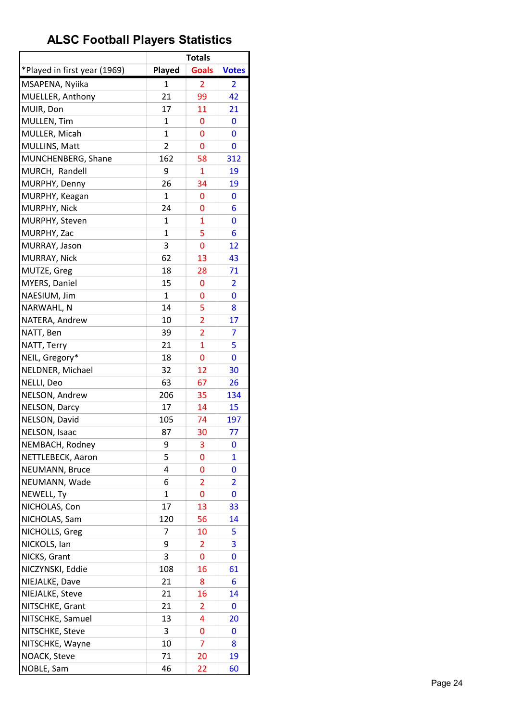|                                |              | <b>Totals</b>  |                         |
|--------------------------------|--------------|----------------|-------------------------|
| *Played in first year (1969)   | Played       | <b>Goals</b>   | <b>Votes</b>            |
| MSAPENA, Nyiika                | 1            | $\overline{2}$ | 2                       |
| MUELLER, Anthony               | 21           | 99             | 42                      |
| MUIR, Don                      | 17           | 11             | 21                      |
| MULLEN, Tim                    | 1            | 0              | 0                       |
| MULLER, Micah                  | $\mathbf{1}$ | 0              | 0                       |
| MULLINS, Matt                  | 2            | 0              | 0                       |
| MUNCHENBERG, Shane             | 162          | 58             | 312                     |
| MURCH, Randell                 | 9            | 1              | 19                      |
| MURPHY, Denny                  | 26           | 34             | 19                      |
| MURPHY, Keagan                 | $\mathbf{1}$ | 0              | 0                       |
| MURPHY, Nick                   | 24           | 0              | 6                       |
| MURPHY, Steven                 | $\mathbf{1}$ | $\mathbf{1}$   | 0                       |
| MURPHY, Zac                    | 1            | 5              | 6                       |
| MURRAY, Jason                  | 3            | 0              | 12                      |
| MURRAY, Nick                   | 62           | 13             | 43                      |
| MUTZE, Greg                    | 18           | 28             | 71                      |
| MYERS, Daniel                  | 15           | 0              | $\overline{\mathbf{2}}$ |
| NAESIUM, Jim                   | 1            | 0              | 0                       |
| NARWAHL, N                     | 14           | 5              | 8                       |
| NATERA, Andrew                 | 10           | $\overline{2}$ | 17                      |
| NATT, Ben                      | 39           | $\overline{2}$ | 7                       |
| NATT, Terry                    | 21           | $\overline{1}$ | 5                       |
| NEIL, Gregory*                 | 18           | 0              | 0                       |
| NELDNER, Michael               | 32           | 12             | 30                      |
| NELLI, Deo                     | 63           | 67             |                         |
|                                | 206          | 35             | 26<br>134               |
| NELSON, Andrew                 |              |                |                         |
| NELSON, Darcy<br>NELSON, David | 17<br>105    | 14<br>74       | 15                      |
|                                | 87           |                | 197                     |
| NELSON, Isaac                  |              | 30             | 77                      |
| NEMBACH, Rodney                | 9            | 3              | 0                       |
| NETTLEBECK, Aaron              | 5            | 0              | 1                       |
| NEUMANN, Bruce                 | 4            | 0              | 0                       |
| NEUMANN, Wade                  | 6            | $\overline{2}$ | $\overline{2}$          |
| NEWELL, Ty                     | 1            | 0              | 0                       |
| NICHOLAS, Con                  | 17           | 13             | 33                      |
| NICHOLAS, Sam                  | 120          | 56             | 14                      |
| NICHOLLS, Greg                 | 7            | 10             | 5                       |
| NICKOLS, Ian                   | 9            | $\overline{2}$ | 3                       |
| NICKS, Grant                   | 3            | 0              | 0                       |
| NICZYNSKI, Eddie               | 108          | 16             | 61                      |
| NIEJALKE, Dave                 | 21           | 8              | 6                       |
| NIEJALKE, Steve                | 21           | 16             | 14                      |
| NITSCHKE, Grant                | 21           | $\overline{2}$ | 0                       |
| NITSCHKE, Samuel               | 13           | 4              | 20                      |
| NITSCHKE, Steve                | 3            | 0              | 0                       |
| NITSCHKE, Wayne                | 10           | $\overline{7}$ | 8                       |
| NOACK, Steve                   | 71           | 20             | 19                      |
| NOBLE, Sam                     | 46           | 22             | 60                      |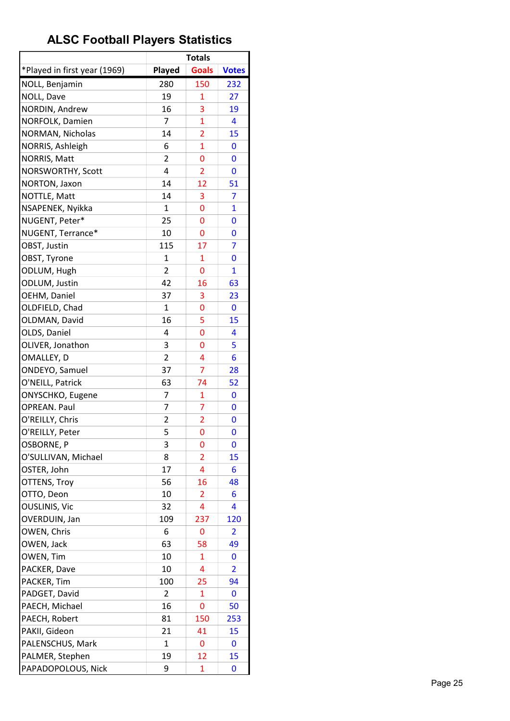|                              |                | <b>Totals</b>  |              |
|------------------------------|----------------|----------------|--------------|
| *Played in first year (1969) | Played         | <b>Goals</b>   | <b>Votes</b> |
| NOLL, Benjamin               | 280            | 150            | 232          |
| NOLL, Dave                   | 19             | $\mathbf{1}$   | 27           |
| NORDIN, Andrew               | 16             | 3              | 19           |
| NORFOLK, Damien              | 7              | 1              | 4            |
| NORMAN, Nicholas             | 14             | $\overline{2}$ | 15           |
| NORRIS, Ashleigh             | 6              | $\overline{1}$ | 0            |
| NORRIS, Matt                 | $\overline{2}$ | 0              | 0            |
| NORSWORTHY, Scott            | 4              | $\overline{2}$ | 0            |
| NORTON, Jaxon                | 14             | 12             | 51           |
| NOTTLE, Matt                 | 14             | 3              | 7            |
| NSAPENEK, Nyikka             | 1              | 0              | $\mathbf{1}$ |
| NUGENT, Peter*               | 25             | 0              | 0            |
| NUGENT, Terrance*            | 10             | 0              | 0            |
| OBST, Justin                 | 115            | 17             | 7            |
| OBST, Tyrone                 | $\mathbf{1}$   | 1              | 0            |
| ODLUM, Hugh                  | $\overline{2}$ | 0              | $\mathbf{1}$ |
| ODLUM, Justin                | 42             | 16             | 63           |
| OEHM, Daniel                 | 37             | 3              | 23           |
| OLDFIELD, Chad               | 1              | 0              | 0            |
| OLDMAN, David                | 16             | 5              | 15           |
| OLDS, Daniel                 | 4              | 0              | 4            |
| OLIVER, Jonathon             | 3              | 0              | 5            |
| OMALLEY, D                   | 2              | 4              | 6            |
| ONDEYO, Samuel               | 37             | 7              | 28           |
| O'NEILL, Patrick             | 63             | 74             | 52           |
| ONYSCHKO, Eugene             | 7              | $\mathbf{1}$   | 0            |
| <b>OPREAN. Paul</b>          | 7              | $\overline{7}$ | 0            |
| O'REILLY, Chris              | 2              | 2              | 0            |
| O'REILLY, Peter              | 5              | 0              | 0            |
| OSBORNE, P                   | 3              | 0              | 0            |
| O'SULLIVAN, Michael          | 8              | 2              | 15           |
| OSTER, John                  | 17             | 4              | 6            |
| OTTENS, Troy                 | 56             | 16             | 48           |
| OTTO, Deon                   | 10             | 2              | 6            |
| <b>OUSLINIS, Vic</b>         | 32             | 4              | 4            |
| OVERDUIN, Jan                | 109            | 237            | 120          |
| OWEN, Chris                  | 6              | 0              | 2            |
| OWEN, Jack                   | 63             | 58             | 49           |
| OWEN, Tim                    | 10             | 1              | 0            |
| PACKER, Dave                 | 10             | 4              | 2            |
| PACKER, Tim                  | 100            | 25             | 94           |
| PADGET, David                | 2              | 1              | 0            |
| PAECH, Michael               | 16             | 0              | 50           |
| PAECH, Robert                | 81             | 150            | 253          |
| PAKII, Gideon                | 21             | 41             | 15           |
| PALENSCHUS, Mark             | 1              | 0              | 0            |
| PALMER, Stephen              | 19             | 12             | 15           |
| PAPADOPOLOUS, Nick           | 9              | 1              | 0            |
|                              |                |                |              |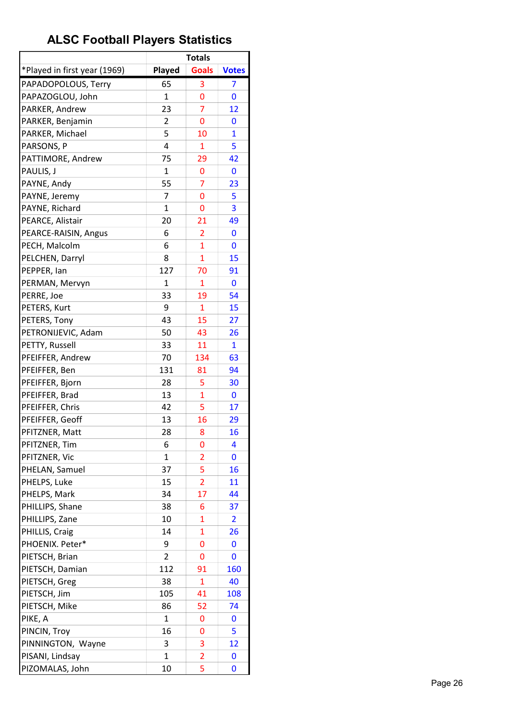| *Played in first year (1969)<br><b>Goals</b><br>Played<br><b>Votes</b><br>PAPADOPOLOUS, Terry<br>65<br>3<br>7<br>PAPAZOGLOU, John<br>$\mathbf{1}$<br>0<br>0<br>$\overline{7}$<br>PARKER, Andrew<br>23<br>12<br>PARKER, Benjamin<br>0<br>2<br>0<br>5<br>PARKER, Michael<br>10<br>$\mathbf{1}$<br>4<br>5<br>PARSONS, P<br>1<br>75<br>PATTIMORE, Andrew<br>29<br>42<br>PAULIS, J<br>$\mathbf{1}$<br>0<br>0<br>55<br>PAYNE, Andy<br>7<br>23<br>7<br>PAYNE, Jeremy<br>0<br>5<br>PAYNE, Richard<br>$\mathbf{1}$<br>3<br>0<br>PEARCE, Alistair<br>20<br>21<br>49<br>PEARCE-RAISIN, Angus<br>6<br>0<br>2<br>$\mathbf{1}$<br>PECH, Malcolm<br>6<br>0<br>$\mathbf{1}$<br>PELCHEN, Darryl<br>8<br>15<br>127<br>PEPPER, lan<br>70<br>91<br>$\mathbf{1}$<br>$\mathbf{1}$<br>PERMAN, Mervyn<br>$\mathbf{0}$<br>PERRE, Joe<br>33<br>54<br>19<br>PETERS, Kurt<br>9<br>15<br>$\mathbf{1}$<br>43<br>PETERS, Tony<br>15<br>27<br>PETRONIJEVIC, Adam<br>50<br>43<br>26<br>33<br>$\mathbf{1}$<br>PETTY, Russell<br>11<br>PFEIFFER, Andrew<br>70<br>134<br>63<br>131<br>PFEIFFER, Ben<br>94<br>81<br>PFEIFFER, Bjorn<br>28<br>5<br>30<br>13<br>PFEIFFER, Brad<br>1<br>$\mathbf 0$<br>5<br>PFEIFFER, Chris<br>42<br>17<br>PFEIFFER, Geoff<br>13<br>16<br>29<br>PFITZNER, Matt<br>28<br>8<br>16<br>PFITZNER, Tim<br>6<br>0<br>4<br>PFITZNER, Vic<br>1<br>2<br>0<br>5<br>37<br>PHELAN, Samuel<br>16<br>$\overline{2}$<br>PHELPS, Luke<br>15<br>11<br>PHELPS, Mark<br>34<br>17<br>44<br>PHILLIPS, Shane<br>38<br>6<br>37<br>10<br>$\mathbf{1}$<br>PHILLIPS, Zane<br>2<br>14<br>PHILLIS, Craig<br>1<br>26<br>PHOENIX. Peter*<br>9<br>0<br>0<br>PIETSCH, Brian<br>2<br>0<br>0<br>112<br>PIETSCH, Damian<br>91<br>160<br>38<br>$\mathbf{1}$<br>PIETSCH, Greg<br>40<br>PIETSCH, Jim<br>105<br>41<br>108<br>PIETSCH, Mike<br>86<br>52<br>74<br>PIKE, A<br>1<br>0<br>0<br>16<br>PINCIN, Troy<br>5<br>0<br>PINNINGTON, Wayne<br>3<br>12<br>3<br>$\mathbf{1}$<br>PISANI, Lindsay<br>$\overline{2}$<br>0<br>5<br>PIZOMALAS, John<br>10<br>0 |  | <b>Totals</b> |  |
|----------------------------------------------------------------------------------------------------------------------------------------------------------------------------------------------------------------------------------------------------------------------------------------------------------------------------------------------------------------------------------------------------------------------------------------------------------------------------------------------------------------------------------------------------------------------------------------------------------------------------------------------------------------------------------------------------------------------------------------------------------------------------------------------------------------------------------------------------------------------------------------------------------------------------------------------------------------------------------------------------------------------------------------------------------------------------------------------------------------------------------------------------------------------------------------------------------------------------------------------------------------------------------------------------------------------------------------------------------------------------------------------------------------------------------------------------------------------------------------------------------------------------------------------------------------------------------------------------------------------------------------------------------------------------------------------------------------------------------------------------------------------------------------------------------------------------------------------------------------------------------------------------------------------------------------------------------------------------------------------------------|--|---------------|--|
|                                                                                                                                                                                                                                                                                                                                                                                                                                                                                                                                                                                                                                                                                                                                                                                                                                                                                                                                                                                                                                                                                                                                                                                                                                                                                                                                                                                                                                                                                                                                                                                                                                                                                                                                                                                                                                                                                                                                                                                                          |  |               |  |
|                                                                                                                                                                                                                                                                                                                                                                                                                                                                                                                                                                                                                                                                                                                                                                                                                                                                                                                                                                                                                                                                                                                                                                                                                                                                                                                                                                                                                                                                                                                                                                                                                                                                                                                                                                                                                                                                                                                                                                                                          |  |               |  |
|                                                                                                                                                                                                                                                                                                                                                                                                                                                                                                                                                                                                                                                                                                                                                                                                                                                                                                                                                                                                                                                                                                                                                                                                                                                                                                                                                                                                                                                                                                                                                                                                                                                                                                                                                                                                                                                                                                                                                                                                          |  |               |  |
|                                                                                                                                                                                                                                                                                                                                                                                                                                                                                                                                                                                                                                                                                                                                                                                                                                                                                                                                                                                                                                                                                                                                                                                                                                                                                                                                                                                                                                                                                                                                                                                                                                                                                                                                                                                                                                                                                                                                                                                                          |  |               |  |
|                                                                                                                                                                                                                                                                                                                                                                                                                                                                                                                                                                                                                                                                                                                                                                                                                                                                                                                                                                                                                                                                                                                                                                                                                                                                                                                                                                                                                                                                                                                                                                                                                                                                                                                                                                                                                                                                                                                                                                                                          |  |               |  |
|                                                                                                                                                                                                                                                                                                                                                                                                                                                                                                                                                                                                                                                                                                                                                                                                                                                                                                                                                                                                                                                                                                                                                                                                                                                                                                                                                                                                                                                                                                                                                                                                                                                                                                                                                                                                                                                                                                                                                                                                          |  |               |  |
|                                                                                                                                                                                                                                                                                                                                                                                                                                                                                                                                                                                                                                                                                                                                                                                                                                                                                                                                                                                                                                                                                                                                                                                                                                                                                                                                                                                                                                                                                                                                                                                                                                                                                                                                                                                                                                                                                                                                                                                                          |  |               |  |
|                                                                                                                                                                                                                                                                                                                                                                                                                                                                                                                                                                                                                                                                                                                                                                                                                                                                                                                                                                                                                                                                                                                                                                                                                                                                                                                                                                                                                                                                                                                                                                                                                                                                                                                                                                                                                                                                                                                                                                                                          |  |               |  |
|                                                                                                                                                                                                                                                                                                                                                                                                                                                                                                                                                                                                                                                                                                                                                                                                                                                                                                                                                                                                                                                                                                                                                                                                                                                                                                                                                                                                                                                                                                                                                                                                                                                                                                                                                                                                                                                                                                                                                                                                          |  |               |  |
|                                                                                                                                                                                                                                                                                                                                                                                                                                                                                                                                                                                                                                                                                                                                                                                                                                                                                                                                                                                                                                                                                                                                                                                                                                                                                                                                                                                                                                                                                                                                                                                                                                                                                                                                                                                                                                                                                                                                                                                                          |  |               |  |
|                                                                                                                                                                                                                                                                                                                                                                                                                                                                                                                                                                                                                                                                                                                                                                                                                                                                                                                                                                                                                                                                                                                                                                                                                                                                                                                                                                                                                                                                                                                                                                                                                                                                                                                                                                                                                                                                                                                                                                                                          |  |               |  |
|                                                                                                                                                                                                                                                                                                                                                                                                                                                                                                                                                                                                                                                                                                                                                                                                                                                                                                                                                                                                                                                                                                                                                                                                                                                                                                                                                                                                                                                                                                                                                                                                                                                                                                                                                                                                                                                                                                                                                                                                          |  |               |  |
|                                                                                                                                                                                                                                                                                                                                                                                                                                                                                                                                                                                                                                                                                                                                                                                                                                                                                                                                                                                                                                                                                                                                                                                                                                                                                                                                                                                                                                                                                                                                                                                                                                                                                                                                                                                                                                                                                                                                                                                                          |  |               |  |
|                                                                                                                                                                                                                                                                                                                                                                                                                                                                                                                                                                                                                                                                                                                                                                                                                                                                                                                                                                                                                                                                                                                                                                                                                                                                                                                                                                                                                                                                                                                                                                                                                                                                                                                                                                                                                                                                                                                                                                                                          |  |               |  |
|                                                                                                                                                                                                                                                                                                                                                                                                                                                                                                                                                                                                                                                                                                                                                                                                                                                                                                                                                                                                                                                                                                                                                                                                                                                                                                                                                                                                                                                                                                                                                                                                                                                                                                                                                                                                                                                                                                                                                                                                          |  |               |  |
|                                                                                                                                                                                                                                                                                                                                                                                                                                                                                                                                                                                                                                                                                                                                                                                                                                                                                                                                                                                                                                                                                                                                                                                                                                                                                                                                                                                                                                                                                                                                                                                                                                                                                                                                                                                                                                                                                                                                                                                                          |  |               |  |
|                                                                                                                                                                                                                                                                                                                                                                                                                                                                                                                                                                                                                                                                                                                                                                                                                                                                                                                                                                                                                                                                                                                                                                                                                                                                                                                                                                                                                                                                                                                                                                                                                                                                                                                                                                                                                                                                                                                                                                                                          |  |               |  |
|                                                                                                                                                                                                                                                                                                                                                                                                                                                                                                                                                                                                                                                                                                                                                                                                                                                                                                                                                                                                                                                                                                                                                                                                                                                                                                                                                                                                                                                                                                                                                                                                                                                                                                                                                                                                                                                                                                                                                                                                          |  |               |  |
|                                                                                                                                                                                                                                                                                                                                                                                                                                                                                                                                                                                                                                                                                                                                                                                                                                                                                                                                                                                                                                                                                                                                                                                                                                                                                                                                                                                                                                                                                                                                                                                                                                                                                                                                                                                                                                                                                                                                                                                                          |  |               |  |
|                                                                                                                                                                                                                                                                                                                                                                                                                                                                                                                                                                                                                                                                                                                                                                                                                                                                                                                                                                                                                                                                                                                                                                                                                                                                                                                                                                                                                                                                                                                                                                                                                                                                                                                                                                                                                                                                                                                                                                                                          |  |               |  |
|                                                                                                                                                                                                                                                                                                                                                                                                                                                                                                                                                                                                                                                                                                                                                                                                                                                                                                                                                                                                                                                                                                                                                                                                                                                                                                                                                                                                                                                                                                                                                                                                                                                                                                                                                                                                                                                                                                                                                                                                          |  |               |  |
|                                                                                                                                                                                                                                                                                                                                                                                                                                                                                                                                                                                                                                                                                                                                                                                                                                                                                                                                                                                                                                                                                                                                                                                                                                                                                                                                                                                                                                                                                                                                                                                                                                                                                                                                                                                                                                                                                                                                                                                                          |  |               |  |
|                                                                                                                                                                                                                                                                                                                                                                                                                                                                                                                                                                                                                                                                                                                                                                                                                                                                                                                                                                                                                                                                                                                                                                                                                                                                                                                                                                                                                                                                                                                                                                                                                                                                                                                                                                                                                                                                                                                                                                                                          |  |               |  |
|                                                                                                                                                                                                                                                                                                                                                                                                                                                                                                                                                                                                                                                                                                                                                                                                                                                                                                                                                                                                                                                                                                                                                                                                                                                                                                                                                                                                                                                                                                                                                                                                                                                                                                                                                                                                                                                                                                                                                                                                          |  |               |  |
|                                                                                                                                                                                                                                                                                                                                                                                                                                                                                                                                                                                                                                                                                                                                                                                                                                                                                                                                                                                                                                                                                                                                                                                                                                                                                                                                                                                                                                                                                                                                                                                                                                                                                                                                                                                                                                                                                                                                                                                                          |  |               |  |
|                                                                                                                                                                                                                                                                                                                                                                                                                                                                                                                                                                                                                                                                                                                                                                                                                                                                                                                                                                                                                                                                                                                                                                                                                                                                                                                                                                                                                                                                                                                                                                                                                                                                                                                                                                                                                                                                                                                                                                                                          |  |               |  |
|                                                                                                                                                                                                                                                                                                                                                                                                                                                                                                                                                                                                                                                                                                                                                                                                                                                                                                                                                                                                                                                                                                                                                                                                                                                                                                                                                                                                                                                                                                                                                                                                                                                                                                                                                                                                                                                                                                                                                                                                          |  |               |  |
|                                                                                                                                                                                                                                                                                                                                                                                                                                                                                                                                                                                                                                                                                                                                                                                                                                                                                                                                                                                                                                                                                                                                                                                                                                                                                                                                                                                                                                                                                                                                                                                                                                                                                                                                                                                                                                                                                                                                                                                                          |  |               |  |
|                                                                                                                                                                                                                                                                                                                                                                                                                                                                                                                                                                                                                                                                                                                                                                                                                                                                                                                                                                                                                                                                                                                                                                                                                                                                                                                                                                                                                                                                                                                                                                                                                                                                                                                                                                                                                                                                                                                                                                                                          |  |               |  |
|                                                                                                                                                                                                                                                                                                                                                                                                                                                                                                                                                                                                                                                                                                                                                                                                                                                                                                                                                                                                                                                                                                                                                                                                                                                                                                                                                                                                                                                                                                                                                                                                                                                                                                                                                                                                                                                                                                                                                                                                          |  |               |  |
|                                                                                                                                                                                                                                                                                                                                                                                                                                                                                                                                                                                                                                                                                                                                                                                                                                                                                                                                                                                                                                                                                                                                                                                                                                                                                                                                                                                                                                                                                                                                                                                                                                                                                                                                                                                                                                                                                                                                                                                                          |  |               |  |
|                                                                                                                                                                                                                                                                                                                                                                                                                                                                                                                                                                                                                                                                                                                                                                                                                                                                                                                                                                                                                                                                                                                                                                                                                                                                                                                                                                                                                                                                                                                                                                                                                                                                                                                                                                                                                                                                                                                                                                                                          |  |               |  |
|                                                                                                                                                                                                                                                                                                                                                                                                                                                                                                                                                                                                                                                                                                                                                                                                                                                                                                                                                                                                                                                                                                                                                                                                                                                                                                                                                                                                                                                                                                                                                                                                                                                                                                                                                                                                                                                                                                                                                                                                          |  |               |  |
|                                                                                                                                                                                                                                                                                                                                                                                                                                                                                                                                                                                                                                                                                                                                                                                                                                                                                                                                                                                                                                                                                                                                                                                                                                                                                                                                                                                                                                                                                                                                                                                                                                                                                                                                                                                                                                                                                                                                                                                                          |  |               |  |
|                                                                                                                                                                                                                                                                                                                                                                                                                                                                                                                                                                                                                                                                                                                                                                                                                                                                                                                                                                                                                                                                                                                                                                                                                                                                                                                                                                                                                                                                                                                                                                                                                                                                                                                                                                                                                                                                                                                                                                                                          |  |               |  |
|                                                                                                                                                                                                                                                                                                                                                                                                                                                                                                                                                                                                                                                                                                                                                                                                                                                                                                                                                                                                                                                                                                                                                                                                                                                                                                                                                                                                                                                                                                                                                                                                                                                                                                                                                                                                                                                                                                                                                                                                          |  |               |  |
|                                                                                                                                                                                                                                                                                                                                                                                                                                                                                                                                                                                                                                                                                                                                                                                                                                                                                                                                                                                                                                                                                                                                                                                                                                                                                                                                                                                                                                                                                                                                                                                                                                                                                                                                                                                                                                                                                                                                                                                                          |  |               |  |
|                                                                                                                                                                                                                                                                                                                                                                                                                                                                                                                                                                                                                                                                                                                                                                                                                                                                                                                                                                                                                                                                                                                                                                                                                                                                                                                                                                                                                                                                                                                                                                                                                                                                                                                                                                                                                                                                                                                                                                                                          |  |               |  |
|                                                                                                                                                                                                                                                                                                                                                                                                                                                                                                                                                                                                                                                                                                                                                                                                                                                                                                                                                                                                                                                                                                                                                                                                                                                                                                                                                                                                                                                                                                                                                                                                                                                                                                                                                                                                                                                                                                                                                                                                          |  |               |  |
|                                                                                                                                                                                                                                                                                                                                                                                                                                                                                                                                                                                                                                                                                                                                                                                                                                                                                                                                                                                                                                                                                                                                                                                                                                                                                                                                                                                                                                                                                                                                                                                                                                                                                                                                                                                                                                                                                                                                                                                                          |  |               |  |
|                                                                                                                                                                                                                                                                                                                                                                                                                                                                                                                                                                                                                                                                                                                                                                                                                                                                                                                                                                                                                                                                                                                                                                                                                                                                                                                                                                                                                                                                                                                                                                                                                                                                                                                                                                                                                                                                                                                                                                                                          |  |               |  |
|                                                                                                                                                                                                                                                                                                                                                                                                                                                                                                                                                                                                                                                                                                                                                                                                                                                                                                                                                                                                                                                                                                                                                                                                                                                                                                                                                                                                                                                                                                                                                                                                                                                                                                                                                                                                                                                                                                                                                                                                          |  |               |  |
|                                                                                                                                                                                                                                                                                                                                                                                                                                                                                                                                                                                                                                                                                                                                                                                                                                                                                                                                                                                                                                                                                                                                                                                                                                                                                                                                                                                                                                                                                                                                                                                                                                                                                                                                                                                                                                                                                                                                                                                                          |  |               |  |
|                                                                                                                                                                                                                                                                                                                                                                                                                                                                                                                                                                                                                                                                                                                                                                                                                                                                                                                                                                                                                                                                                                                                                                                                                                                                                                                                                                                                                                                                                                                                                                                                                                                                                                                                                                                                                                                                                                                                                                                                          |  |               |  |
|                                                                                                                                                                                                                                                                                                                                                                                                                                                                                                                                                                                                                                                                                                                                                                                                                                                                                                                                                                                                                                                                                                                                                                                                                                                                                                                                                                                                                                                                                                                                                                                                                                                                                                                                                                                                                                                                                                                                                                                                          |  |               |  |
|                                                                                                                                                                                                                                                                                                                                                                                                                                                                                                                                                                                                                                                                                                                                                                                                                                                                                                                                                                                                                                                                                                                                                                                                                                                                                                                                                                                                                                                                                                                                                                                                                                                                                                                                                                                                                                                                                                                                                                                                          |  |               |  |
|                                                                                                                                                                                                                                                                                                                                                                                                                                                                                                                                                                                                                                                                                                                                                                                                                                                                                                                                                                                                                                                                                                                                                                                                                                                                                                                                                                                                                                                                                                                                                                                                                                                                                                                                                                                                                                                                                                                                                                                                          |  |               |  |
|                                                                                                                                                                                                                                                                                                                                                                                                                                                                                                                                                                                                                                                                                                                                                                                                                                                                                                                                                                                                                                                                                                                                                                                                                                                                                                                                                                                                                                                                                                                                                                                                                                                                                                                                                                                                                                                                                                                                                                                                          |  |               |  |
|                                                                                                                                                                                                                                                                                                                                                                                                                                                                                                                                                                                                                                                                                                                                                                                                                                                                                                                                                                                                                                                                                                                                                                                                                                                                                                                                                                                                                                                                                                                                                                                                                                                                                                                                                                                                                                                                                                                                                                                                          |  |               |  |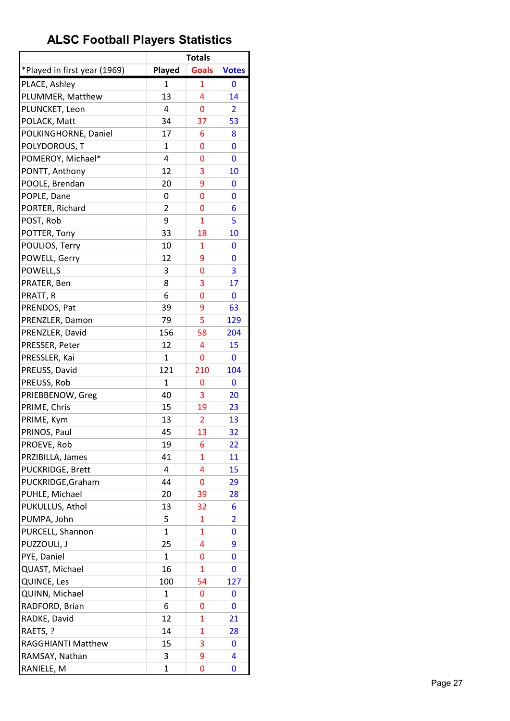|                              |                | <b>Totals</b>  |                         |
|------------------------------|----------------|----------------|-------------------------|
| *Played in first year (1969) | Played         | <b>Goals</b>   | <b>Votes</b>            |
| PLACE, Ashley                | 1              | $\mathbf{1}$   | 0                       |
| PLUMMER, Matthew             | 13             | 4              | 14                      |
| PLUNCKET, Leon               | 4              | 0              | $\overline{2}$          |
| POLACK, Matt                 | 34             | 37             | 53                      |
| POLKINGHORNE, Daniel         | 17             | 6              | 8                       |
| POLYDOROUS, T                | 1              | 0              | 0                       |
| POMEROY, Michael*            | 4              | 0              | 0                       |
| PONTT, Anthony               | 12             | 3              | 10                      |
| POOLE, Brendan               | 20             | 9              | 0                       |
| POPLE, Dane                  | 0              | 0              | 0                       |
| PORTER, Richard              | $\overline{2}$ | 0              | 6                       |
| POST, Rob                    | 9              | $\mathbf{1}$   | 5                       |
| POTTER, Tony                 | 33             | 18             | 10                      |
| POULIOS, Terry               | 10             | 1              | 0                       |
| POWELL, Gerry                | 12             | 9              | 0                       |
| POWELL,S                     | 3              | 0              | 3                       |
| PRATER, Ben                  | 8              | 3              | 17                      |
| PRATT, R                     | 6              | 0              | $\mathbf 0$             |
| PRENDOS, Pat                 | 39             | 9              | 63                      |
| PRENZLER, Damon              | 79             | 5              | 129                     |
| PRENZLER, David              | 156            | 58             | 204                     |
| PRESSER, Peter               | 12             | 4              | 15                      |
| PRESSLER, Kai                | $\mathbf{1}$   | 0              | $\mathbf 0$             |
| PREUSS, David                | 121            | 210            | 104                     |
| PREUSS, Rob                  | 1              | 0              | 0                       |
| PRIEBBENOW, Greg             | 40             | 3              | 20                      |
| PRIME, Chris                 | 15             | 19             | 23                      |
| PRIME, Kym                   | 13             | $\overline{2}$ | 13                      |
| PRINOS, Paul                 | 45             | 13             | 32                      |
| PROEVE, Rob                  | 19             | 6              | 22                      |
| PRZIBILLA, James             | 41             | 1              | 11                      |
| PUCKRIDGE, Brett             | 4              | 4              | 15                      |
| PUCKRIDGE, Graham            | 44             | 0              | 29                      |
| PUHLE, Michael               | 20             | 39             | 28                      |
| PUKULLUS, Athol              | 13             | 32             | 6                       |
| PUMPA, John                  | 5              | 1              | $\overline{\mathbf{2}}$ |
| PURCELL, Shannon             | $\mathbf{1}$   | $\mathbf{1}$   | 0                       |
| PUZZOULI, J                  | 25             | 4              | 9                       |
| PYE, Daniel                  | 1              | 0              | 0                       |
| QUAST, Michael               | 16             | $\mathbf{1}$   | 0                       |
| QUINCE, Les                  | 100            | 54             | 127                     |
| QUINN, Michael               | 1              | 0              | 0                       |
| RADFORD, Brian               | 6              | 0              | 0                       |
| RADKE, David                 | 12             | 1              | 21                      |
| RAETS, ?                     | 14             | 1              | 28                      |
| <b>RAGGHIANTI Matthew</b>    | 15             | 3              | 0                       |
| RAMSAY, Nathan               | 3              | 9              | 4                       |
| RANIELE, M                   | 1              | 0              | 0                       |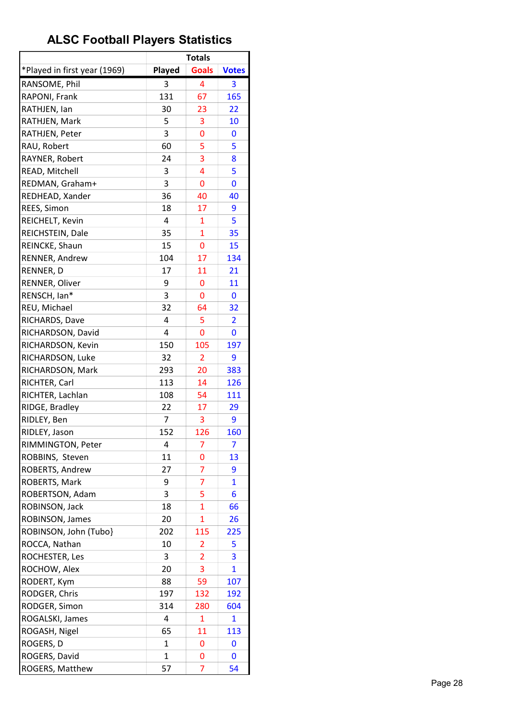|                              |              | <b>Totals</b>           |                         |
|------------------------------|--------------|-------------------------|-------------------------|
| *Played in first year (1969) | Played       | <b>Goals</b>            | <b>Votes</b>            |
| RANSOME, Phil                | 3            | 4                       | 3                       |
| RAPONI, Frank                | 131          | 67                      | 165                     |
| RATHJEN, Ian                 | 30           | 23                      | 22                      |
| RATHJEN, Mark                | 5            | 3                       | 10                      |
| RATHJEN, Peter               | 3            | 0                       | 0                       |
| RAU, Robert                  | 60           | 5                       | 5                       |
| RAYNER, Robert               | 24           | 3                       | 8                       |
| READ, Mitchell               | 3            | 4                       | 5                       |
| REDMAN, Graham+              | 3            | 0                       | 0                       |
| REDHEAD, Xander              | 36           | 40                      | 40                      |
| REES, Simon                  | 18           | 17                      | 9                       |
| REICHELT, Kevin              | 4            | 1                       | 5                       |
| REICHSTEIN, Dale             | 35           | 1                       | 35                      |
| REINCKE, Shaun               | 15           | 0                       | 15                      |
| RENNER, Andrew               | 104          | 17                      | 134                     |
| RENNER, D                    | 17           | 11                      | 21                      |
| RENNER, Oliver               | 9            | 0                       | 11                      |
| RENSCH, Ian*                 | 3            | 0                       | $\mathbf{0}$            |
| REU, Michael                 | 32           | 64                      | 32                      |
| RICHARDS, Dave               | 4            | 5                       | $\overline{\mathbf{2}}$ |
| RICHARDSON, David            | 4            | 0                       | 0                       |
|                              | 150          | 105                     | 197                     |
| RICHARDSON, Kevin            |              |                         |                         |
| RICHARDSON, Luke             | 32<br>293    | 2                       | 9<br>383                |
| RICHARDSON, Mark             |              | 20                      |                         |
| RICHTER, Carl                | 113          | 14                      | 126                     |
| RICHTER, Lachlan             | 108          | 54                      | 111                     |
| RIDGE, Bradley               | 22           | 17                      | 29                      |
| RIDLEY, Ben                  | 7            | 3                       | 9                       |
| RIDLEY, Jason                | 152          | 126                     | 160                     |
| RIMMINGTON, Peter            | 4            | 7                       | 7                       |
| ROBBINS, Steven              | 11           | 0                       | 13                      |
| ROBERTS, Andrew              | 27           | 7                       | 9                       |
| ROBERTS, Mark                | 9            | $\overline{7}$          | $\overline{1}$          |
| ROBERTSON, Adam              | 3            | 5                       | 6                       |
| ROBINSON, Jack               | 18           | $\mathbf{1}$            | 66                      |
| ROBINSON, James              | 20           | $\mathbf{1}$            | 26                      |
| ROBINSON, John (Tubo}        | 202          | 115                     | 225                     |
| ROCCA, Nathan                | 10           | $\overline{\mathbf{c}}$ | 5                       |
| ROCHESTER, Les               | 3            | 2                       | 3                       |
| ROCHOW, Alex                 | 20           | 3                       | $\mathbf{1}$            |
| RODERT, Kym                  | 88           | 59                      | 107                     |
| RODGER, Chris                | 197          | 132                     | 192                     |
| RODGER, Simon                | 314          | 280                     | 604                     |
| ROGALSKI, James              | 4            | 1                       | 1                       |
| ROGASH, Nigel                | 65           | 11                      | 113                     |
| ROGERS, D                    | 1            | 0                       | 0                       |
| ROGERS, David                | $\mathbf{1}$ | 0                       | 0                       |
| ROGERS, Matthew              | 57           | 7                       | 54                      |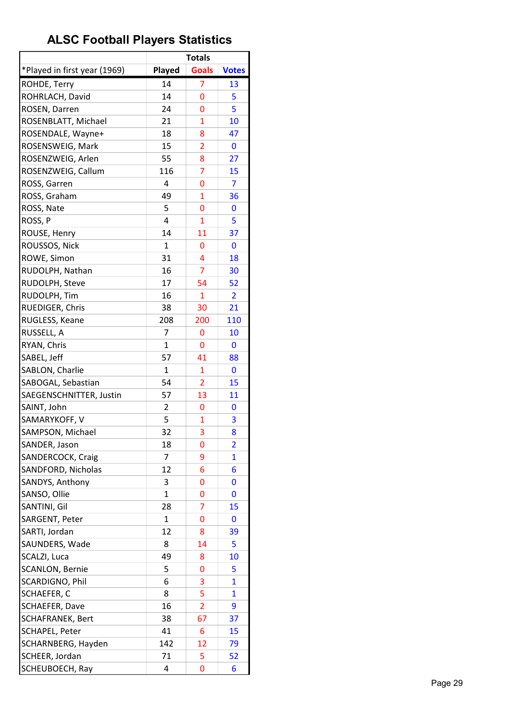| *Played in first year (1969)<br>Played<br><b>Goals</b><br><b>Votes</b><br>7<br>ROHDE, Terry<br>14<br>13<br>14<br>ROHRLACH, David<br>0<br>5<br>ROSEN, Darren<br>24<br>5<br>0<br>ROSENBLATT, Michael<br>21<br>10<br>1<br>18<br>ROSENDALE, Wayne+<br>8<br>47<br>15<br>ROSENSWEIG, Mark<br>$\overline{2}$<br>0<br>55<br>27<br>ROSENZWEIG, Arlen<br>8<br>$\overline{7}$<br>116<br>ROSENZWEIG, Callum<br>15<br>ROSS, Garren<br>4<br>0<br>7<br>49<br>$\mathbf{1}$<br>ROSS, Graham<br>36<br>ROSS, Nate<br>5<br>0<br>0<br>ROSS, P<br>4<br>5<br>1<br>14<br>ROUSE, Henry<br>11<br>37<br>ROUSSOS, Nick<br>$\mathbf{1}$<br>0<br>0<br>ROWE, Simon<br>31<br>4<br>18<br>$\overline{7}$<br>16<br>RUDOLPH, Nathan<br>30<br>RUDOLPH, Steve<br>17<br>54<br>52<br>RUDOLPH, Tim<br>16<br>$\overline{2}$<br>1<br>RUEDIGER, Chris<br>38<br>30<br>21<br>RUGLESS, Keane<br>208<br>200<br>110<br>RUSSELL, A<br>7<br>10<br>0<br>RYAN, Chris<br>0<br>$\mathbf{1}$<br>0<br>SABEL, Jeff<br>57<br>41<br>88<br>SABLON, Charlie<br>$\mathbf{1}$<br>$\mathbf{1}$<br>0<br>54<br>SABOGAL, Sebastian<br>$\overline{2}$<br>15<br>57<br>SAEGENSCHNITTER, Justin<br>13<br>11<br>SAINT, John<br>2<br>0<br>0 |               |   | <b>Totals</b> |   |
|-------------------------------------------------------------------------------------------------------------------------------------------------------------------------------------------------------------------------------------------------------------------------------------------------------------------------------------------------------------------------------------------------------------------------------------------------------------------------------------------------------------------------------------------------------------------------------------------------------------------------------------------------------------------------------------------------------------------------------------------------------------------------------------------------------------------------------------------------------------------------------------------------------------------------------------------------------------------------------------------------------------------------------------------------------------------------------------------------------------------------------------------------------------------|---------------|---|---------------|---|
|                                                                                                                                                                                                                                                                                                                                                                                                                                                                                                                                                                                                                                                                                                                                                                                                                                                                                                                                                                                                                                                                                                                                                                   |               |   |               |   |
|                                                                                                                                                                                                                                                                                                                                                                                                                                                                                                                                                                                                                                                                                                                                                                                                                                                                                                                                                                                                                                                                                                                                                                   |               |   |               |   |
|                                                                                                                                                                                                                                                                                                                                                                                                                                                                                                                                                                                                                                                                                                                                                                                                                                                                                                                                                                                                                                                                                                                                                                   |               |   |               |   |
|                                                                                                                                                                                                                                                                                                                                                                                                                                                                                                                                                                                                                                                                                                                                                                                                                                                                                                                                                                                                                                                                                                                                                                   |               |   |               |   |
|                                                                                                                                                                                                                                                                                                                                                                                                                                                                                                                                                                                                                                                                                                                                                                                                                                                                                                                                                                                                                                                                                                                                                                   |               |   |               |   |
|                                                                                                                                                                                                                                                                                                                                                                                                                                                                                                                                                                                                                                                                                                                                                                                                                                                                                                                                                                                                                                                                                                                                                                   |               |   |               |   |
|                                                                                                                                                                                                                                                                                                                                                                                                                                                                                                                                                                                                                                                                                                                                                                                                                                                                                                                                                                                                                                                                                                                                                                   |               |   |               |   |
|                                                                                                                                                                                                                                                                                                                                                                                                                                                                                                                                                                                                                                                                                                                                                                                                                                                                                                                                                                                                                                                                                                                                                                   |               |   |               |   |
|                                                                                                                                                                                                                                                                                                                                                                                                                                                                                                                                                                                                                                                                                                                                                                                                                                                                                                                                                                                                                                                                                                                                                                   |               |   |               |   |
|                                                                                                                                                                                                                                                                                                                                                                                                                                                                                                                                                                                                                                                                                                                                                                                                                                                                                                                                                                                                                                                                                                                                                                   |               |   |               |   |
|                                                                                                                                                                                                                                                                                                                                                                                                                                                                                                                                                                                                                                                                                                                                                                                                                                                                                                                                                                                                                                                                                                                                                                   |               |   |               |   |
|                                                                                                                                                                                                                                                                                                                                                                                                                                                                                                                                                                                                                                                                                                                                                                                                                                                                                                                                                                                                                                                                                                                                                                   |               |   |               |   |
|                                                                                                                                                                                                                                                                                                                                                                                                                                                                                                                                                                                                                                                                                                                                                                                                                                                                                                                                                                                                                                                                                                                                                                   |               |   |               |   |
|                                                                                                                                                                                                                                                                                                                                                                                                                                                                                                                                                                                                                                                                                                                                                                                                                                                                                                                                                                                                                                                                                                                                                                   |               |   |               |   |
|                                                                                                                                                                                                                                                                                                                                                                                                                                                                                                                                                                                                                                                                                                                                                                                                                                                                                                                                                                                                                                                                                                                                                                   |               |   |               |   |
|                                                                                                                                                                                                                                                                                                                                                                                                                                                                                                                                                                                                                                                                                                                                                                                                                                                                                                                                                                                                                                                                                                                                                                   |               |   |               |   |
|                                                                                                                                                                                                                                                                                                                                                                                                                                                                                                                                                                                                                                                                                                                                                                                                                                                                                                                                                                                                                                                                                                                                                                   |               |   |               |   |
|                                                                                                                                                                                                                                                                                                                                                                                                                                                                                                                                                                                                                                                                                                                                                                                                                                                                                                                                                                                                                                                                                                                                                                   |               |   |               |   |
|                                                                                                                                                                                                                                                                                                                                                                                                                                                                                                                                                                                                                                                                                                                                                                                                                                                                                                                                                                                                                                                                                                                                                                   |               |   |               |   |
|                                                                                                                                                                                                                                                                                                                                                                                                                                                                                                                                                                                                                                                                                                                                                                                                                                                                                                                                                                                                                                                                                                                                                                   |               |   |               |   |
|                                                                                                                                                                                                                                                                                                                                                                                                                                                                                                                                                                                                                                                                                                                                                                                                                                                                                                                                                                                                                                                                                                                                                                   |               |   |               |   |
|                                                                                                                                                                                                                                                                                                                                                                                                                                                                                                                                                                                                                                                                                                                                                                                                                                                                                                                                                                                                                                                                                                                                                                   |               |   |               |   |
|                                                                                                                                                                                                                                                                                                                                                                                                                                                                                                                                                                                                                                                                                                                                                                                                                                                                                                                                                                                                                                                                                                                                                                   |               |   |               |   |
|                                                                                                                                                                                                                                                                                                                                                                                                                                                                                                                                                                                                                                                                                                                                                                                                                                                                                                                                                                                                                                                                                                                                                                   |               |   |               |   |
|                                                                                                                                                                                                                                                                                                                                                                                                                                                                                                                                                                                                                                                                                                                                                                                                                                                                                                                                                                                                                                                                                                                                                                   |               |   |               |   |
|                                                                                                                                                                                                                                                                                                                                                                                                                                                                                                                                                                                                                                                                                                                                                                                                                                                                                                                                                                                                                                                                                                                                                                   |               |   |               |   |
|                                                                                                                                                                                                                                                                                                                                                                                                                                                                                                                                                                                                                                                                                                                                                                                                                                                                                                                                                                                                                                                                                                                                                                   |               |   |               |   |
|                                                                                                                                                                                                                                                                                                                                                                                                                                                                                                                                                                                                                                                                                                                                                                                                                                                                                                                                                                                                                                                                                                                                                                   |               |   |               |   |
| 1                                                                                                                                                                                                                                                                                                                                                                                                                                                                                                                                                                                                                                                                                                                                                                                                                                                                                                                                                                                                                                                                                                                                                                 | SAMARYKOFF, V | 5 |               | 3 |
| 3<br>SAMPSON, Michael<br>8<br>32                                                                                                                                                                                                                                                                                                                                                                                                                                                                                                                                                                                                                                                                                                                                                                                                                                                                                                                                                                                                                                                                                                                                  |               |   |               |   |
| SANDER, Jason<br>18<br>0<br>$\overline{2}$                                                                                                                                                                                                                                                                                                                                                                                                                                                                                                                                                                                                                                                                                                                                                                                                                                                                                                                                                                                                                                                                                                                        |               |   |               |   |
| SANDERCOCK, Craig<br>7<br>$\mathbf{1}$<br>9                                                                                                                                                                                                                                                                                                                                                                                                                                                                                                                                                                                                                                                                                                                                                                                                                                                                                                                                                                                                                                                                                                                       |               |   |               |   |
| SANDFORD, Nicholas<br>6<br>12<br>6                                                                                                                                                                                                                                                                                                                                                                                                                                                                                                                                                                                                                                                                                                                                                                                                                                                                                                                                                                                                                                                                                                                                |               |   |               |   |
| SANDYS, Anthony<br>3<br>0<br>0                                                                                                                                                                                                                                                                                                                                                                                                                                                                                                                                                                                                                                                                                                                                                                                                                                                                                                                                                                                                                                                                                                                                    |               |   |               |   |
| SANSO, Ollie<br>$\mathbf{1}$<br>0<br>0                                                                                                                                                                                                                                                                                                                                                                                                                                                                                                                                                                                                                                                                                                                                                                                                                                                                                                                                                                                                                                                                                                                            |               |   |               |   |
| SANTINI, Gil<br>28<br>7<br>15                                                                                                                                                                                                                                                                                                                                                                                                                                                                                                                                                                                                                                                                                                                                                                                                                                                                                                                                                                                                                                                                                                                                     |               |   |               |   |
| SARGENT, Peter<br>$\mathbf{1}$<br>0<br>0                                                                                                                                                                                                                                                                                                                                                                                                                                                                                                                                                                                                                                                                                                                                                                                                                                                                                                                                                                                                                                                                                                                          |               |   |               |   |
| SARTI, Jordan<br>12<br>39<br>8                                                                                                                                                                                                                                                                                                                                                                                                                                                                                                                                                                                                                                                                                                                                                                                                                                                                                                                                                                                                                                                                                                                                    |               |   |               |   |
| SAUNDERS, Wade<br>8<br>14<br>5                                                                                                                                                                                                                                                                                                                                                                                                                                                                                                                                                                                                                                                                                                                                                                                                                                                                                                                                                                                                                                                                                                                                    |               |   |               |   |
| SCALZI, Luca<br>49<br>8<br>10                                                                                                                                                                                                                                                                                                                                                                                                                                                                                                                                                                                                                                                                                                                                                                                                                                                                                                                                                                                                                                                                                                                                     |               |   |               |   |
| <b>SCANLON, Bernie</b><br>5<br>0<br>5                                                                                                                                                                                                                                                                                                                                                                                                                                                                                                                                                                                                                                                                                                                                                                                                                                                                                                                                                                                                                                                                                                                             |               |   |               |   |
| SCARDIGNO, Phil<br>6<br>3<br>$\mathbf{1}$                                                                                                                                                                                                                                                                                                                                                                                                                                                                                                                                                                                                                                                                                                                                                                                                                                                                                                                                                                                                                                                                                                                         |               |   |               |   |
| SCHAEFER, C<br>5<br>8<br>1                                                                                                                                                                                                                                                                                                                                                                                                                                                                                                                                                                                                                                                                                                                                                                                                                                                                                                                                                                                                                                                                                                                                        |               |   |               |   |
| 16<br>$\overline{2}$<br>SCHAEFER, Dave<br>9                                                                                                                                                                                                                                                                                                                                                                                                                                                                                                                                                                                                                                                                                                                                                                                                                                                                                                                                                                                                                                                                                                                       |               |   |               |   |
| <b>SCHAFRANEK, Bert</b><br>38<br>67<br>37                                                                                                                                                                                                                                                                                                                                                                                                                                                                                                                                                                                                                                                                                                                                                                                                                                                                                                                                                                                                                                                                                                                         |               |   |               |   |
| SCHAPEL, Peter<br>41<br>6<br>15                                                                                                                                                                                                                                                                                                                                                                                                                                                                                                                                                                                                                                                                                                                                                                                                                                                                                                                                                                                                                                                                                                                                   |               |   |               |   |
| SCHARNBERG, Hayden<br>142<br>12<br>79                                                                                                                                                                                                                                                                                                                                                                                                                                                                                                                                                                                                                                                                                                                                                                                                                                                                                                                                                                                                                                                                                                                             |               |   |               |   |
| SCHEER, Jordan<br>71<br>5<br>52                                                                                                                                                                                                                                                                                                                                                                                                                                                                                                                                                                                                                                                                                                                                                                                                                                                                                                                                                                                                                                                                                                                                   |               |   |               |   |
| 4<br>SCHEUBOECH, Ray<br>0<br>6                                                                                                                                                                                                                                                                                                                                                                                                                                                                                                                                                                                                                                                                                                                                                                                                                                                                                                                                                                                                                                                                                                                                    |               |   |               |   |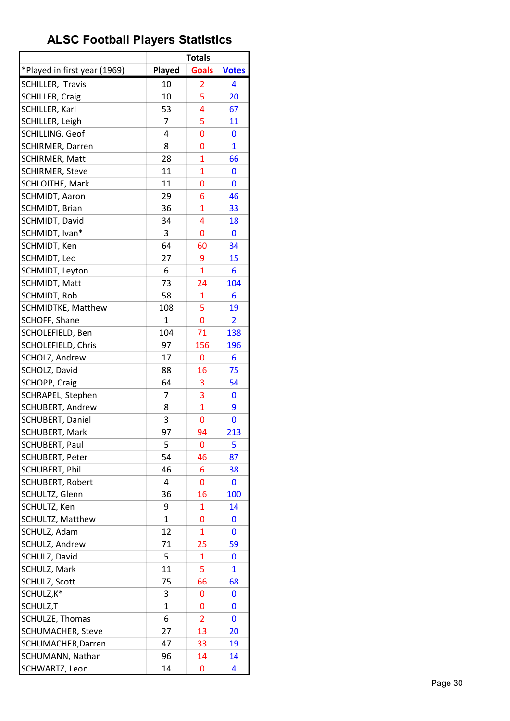|                              |              | <b>Totals</b>  |                |
|------------------------------|--------------|----------------|----------------|
| *Played in first year (1969) | Played       | <b>Goals</b>   | <b>Votes</b>   |
| SCHILLER, Travis             | 10           | 2              | 4              |
| <b>SCHILLER, Craig</b>       | 10           | 5              | 20             |
| SCHILLER, Karl               | 53           | 4              | 67             |
| SCHILLER, Leigh              | 7            | 5              | 11             |
| SCHILLING, Geof              | 4            | 0              | 0              |
| <b>SCHIRMER, Darren</b>      | 8            | 0              | $\mathbf{1}$   |
| <b>SCHIRMER, Matt</b>        | 28           | $\overline{1}$ | 66             |
| <b>SCHIRMER, Steve</b>       | 11           | $\overline{1}$ | 0              |
| SCHLOITHE, Mark              | 11           | 0              | 0              |
| SCHMIDT, Aaron               | 29           | 6              | 46             |
| SCHMIDT, Brian               | 36           | 1              | 33             |
| SCHMIDT, David               | 34           | 4              | 18             |
| SCHMIDT, Ivan*               | 3            | 0              | 0              |
| SCHMIDT, Ken                 | 64           | 60             | 34             |
| SCHMIDT, Leo                 | 27           | 9              | 15             |
| SCHMIDT, Leyton              | 6            | $\mathbf{1}$   | 6              |
| <b>SCHMIDT, Matt</b>         | 73           | 24             | 104            |
| SCHMIDT, Rob                 | 58           | 1              | 6              |
| <b>SCHMIDTKE, Matthew</b>    | 108          | 5              | 19             |
| SCHOFF, Shane                | $\mathbf{1}$ | 0              | $\overline{2}$ |
| SCHOLEFIELD, Ben             | 104          | 71             | 138            |
| SCHOLEFIELD, Chris           | 97           | 156            | 196            |
| SCHOLZ, Andrew               | 17           | 0              | 6              |
| SCHOLZ, David                | 88           | 16             | 75             |
| SCHOPP, Craig                | 64           | 3              | 54             |
| SCHRAPEL, Stephen            | 7            | 3              | 0              |
| <b>SCHUBERT, Andrew</b>      | 8            | $\mathbf{1}$   | 9              |
| SCHUBERT, Daniel             | 3            | 0              | 0              |
| <b>SCHUBERT, Mark</b>        | 97           | 94             | 213            |
| <b>SCHUBERT, Paul</b>        | 5            | 0              | 5              |
| <b>SCHUBERT, Peter</b>       | 54           | 46             | 87             |
| <b>SCHUBERT, Phil</b>        | 46           | 6              | 38             |
| SCHUBERT, Robert             | 4            | 0              | 0              |
| SCHULTZ, Glenn               | 36           | 16             | 100            |
| SCHULTZ, Ken                 | 9            | 1              | 14             |
| SCHULTZ, Matthew             | $\mathbf{1}$ | 0              | 0              |
| SCHULZ, Adam                 | 12           | $\mathbf{1}$   | 0              |
| <b>SCHULZ, Andrew</b>        | 71           | 25             | 59             |
| SCHULZ, David                | 5            | 1              | 0              |
| SCHULZ, Mark                 | 11           | 5              | $\mathbf{1}$   |
| SCHULZ, Scott                | 75           | 66             | 68             |
| SCHULZ, K*                   | 3            | 0              | 0              |
| SCHULZ,T                     | 1            | 0              | 0              |
| SCHULZE, Thomas              | 6            | 2              | 0              |
| <b>SCHUMACHER, Steve</b>     | 27           | 13             | 20             |
| SCHUMACHER, Darren           | 47           | 33             | 19             |
| SCHUMANN, Nathan             | 96           | 14             | 14             |
| SCHWARTZ, Leon               | 14           | 0              | 4              |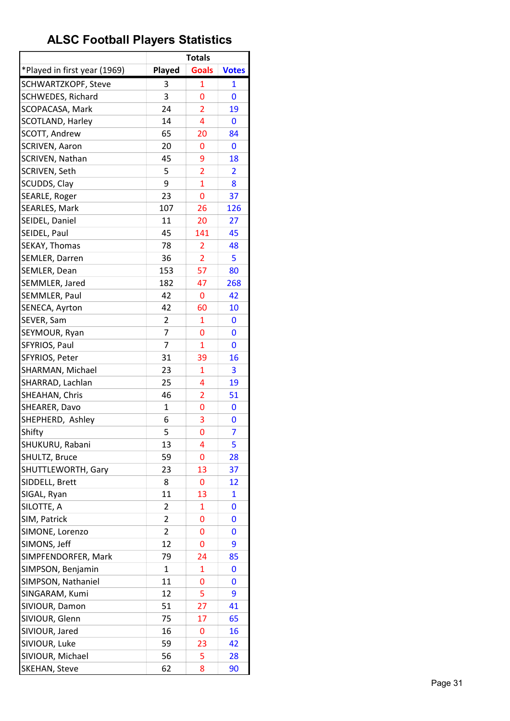|                              |        | <b>Totals</b>  |              |
|------------------------------|--------|----------------|--------------|
| *Played in first year (1969) | Played | <b>Goals</b>   | <b>Votes</b> |
| SCHWARTZKOPF, Steve          | 3      | 1              | 1            |
| <b>SCHWEDES, Richard</b>     | 3      | 0              | 0            |
| SCOPACASA, Mark              | 24     | $\overline{2}$ | 19           |
| <b>SCOTLAND, Harley</b>      | 14     | 4              | 0            |
| <b>SCOTT, Andrew</b>         | 65     | 20             | 84           |
| <b>SCRIVEN, Aaron</b>        | 20     | 0              | 0            |
| <b>SCRIVEN, Nathan</b>       | 45     | 9              | 18           |
| SCRIVEN, Seth                | 5      | $\overline{2}$ | 2            |
| SCUDDS, Clay                 | 9      | $\mathbf{1}$   | 8            |
| SEARLE, Roger                | 23     | 0              | 37           |
| <b>SEARLES, Mark</b>         | 107    | 26             | 126          |
| SEIDEL, Daniel               | 11     | 20             | 27           |
| SEIDEL, Paul                 | 45     | 141            | 45           |
| SEKAY, Thomas                | 78     | 2              | 48           |
| SEMLER, Darren               | 36     | 2              | 5            |
| SEMLER, Dean                 | 153    | 57             | 80           |
| SEMMLER, Jared               | 182    | 47             | 268          |
| <b>SEMMLER, Paul</b>         | 42     | 0              | 42           |
| SENECA, Ayrton               | 42     | 60             | 10           |
| SEVER, Sam                   | 2      | 1              | 0            |
| SEYMOUR, Ryan                | 7      | 0              | 0            |
| SFYRIOS, Paul                | 7      | $\mathbf{1}$   | 0            |
| SFYRIOS, Peter               | 31     |                | 16           |
| SHARMAN, Michael             | 23     | 39<br>1        | 3            |
|                              |        |                |              |
| SHARRAD, Lachlan             | 25     | 4              | 19           |
| SHEAHAN, Chris               | 46     | 2              | 51           |
| SHEARER, Davo                | 1      | 0              | 0            |
| SHEPHERD, Ashley             | 6      | 3              | 0            |
| Shifty                       | 5      | 0              | 7            |
| SHUKURU, Rabani              | 13     | 4              | 5            |
| SHULTZ, Bruce                | 59     | 0              | 28           |
| SHUTTLEWORTH, Gary           | 23     | 13             | 37           |
| SIDDELL, Brett               | 8      | 0              | 12           |
| SIGAL, Ryan                  | 11     | 13             | 1            |
| SILOTTE, A                   | 2      | 1              | 0            |
| SIM, Patrick                 | 2      | 0              | 0            |
| SIMONE, Lorenzo              | 2      | 0              | 0            |
| SIMONS, Jeff                 | 12     | 0              | 9            |
| SIMPFENDORFER, Mark          | 79     | 24             | 85           |
| SIMPSON, Benjamin            | 1      | 1              | 0            |
| SIMPSON, Nathaniel           | 11     | 0              | 0            |
| SINGARAM, Kumi               | 12     | 5              | 9            |
| SIVIOUR, Damon               | 51     | 27             | 41           |
| SIVIOUR, Glenn               | 75     | 17             | 65           |
| SIVIOUR, Jared               | 16     | 0              | 16           |
| SIVIOUR, Luke                | 59     | 23             | 42           |
| SIVIOUR, Michael             | 56     | 5              | 28           |
| SKEHAN, Steve                | 62     | 8              | 90           |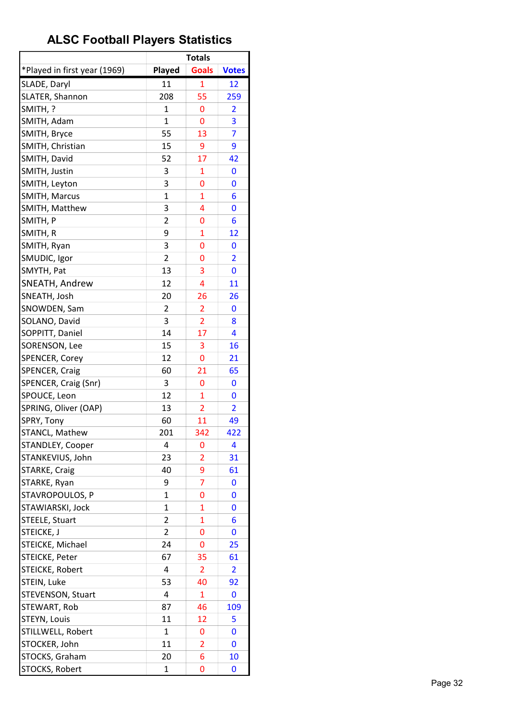|                              |                | <b>Totals</b>  |                         |
|------------------------------|----------------|----------------|-------------------------|
| *Played in first year (1969) | Played         | <b>Goals</b>   | <b>Votes</b>            |
| SLADE, Daryl                 | 11             | $\overline{1}$ | 12                      |
| SLATER, Shannon              | 208            | 55             | 259                     |
| SMITH, ?                     | 1              | 0              | $\overline{\mathbf{c}}$ |
| SMITH, Adam                  | $\mathbf{1}$   | 0              | 3                       |
| SMITH, Bryce                 | 55             | 13             | $\overline{7}$          |
| SMITH, Christian             | 15             | 9              | 9                       |
| SMITH, David                 | 52             | 17             | 42                      |
| SMITH, Justin                | 3              | 1              | 0                       |
| SMITH, Leyton                | 3              | 0              | 0                       |
| SMITH, Marcus                | $\mathbf{1}$   | $\overline{1}$ | 6                       |
| SMITH, Matthew               | 3              | 4              | 0                       |
| SMITH, P                     | $\overline{2}$ | 0              | 6                       |
| SMITH, R                     | 9              | 1              | 12                      |
| SMITH, Ryan                  | 3              | 0              | 0                       |
| SMUDIC, Igor                 | $\overline{2}$ | 0              | $\overline{2}$          |
| SMYTH, Pat                   | 13             | 3              | 0                       |
| SNEATH, Andrew               | 12             | 4              | 11                      |
| SNEATH, Josh                 | 20             | 26             | 26                      |
| SNOWDEN, Sam                 | 2              | $\overline{2}$ | 0                       |
| SOLANO, David                | 3              | $\overline{2}$ | 8                       |
| SOPPITT, Daniel              | 14             | 17             | 4                       |
| SORENSON, Lee                | 15             | 3              | 16                      |
| SPENCER, Corey               | 12             | 0              | 21                      |
| SPENCER, Craig               | 60             | 21             | 65                      |
| SPENCER, Craig (Snr)         | 3              | 0              | 0                       |
| SPOUCE, Leon                 | 12             | $\overline{1}$ | 0                       |
| SPRING, Oliver (OAP)         | 13             | $\overline{2}$ | $\overline{2}$          |
| SPRY, Tony                   | 60             | 11             | 49                      |
| STANCL, Mathew               | 201            | 342            | 422                     |
| STANDLEY, Cooper             | 4              | 0              | 4                       |
| STANKEVIUS, John             | 23             | 2              | 31                      |
| STARKE, Craig                | 40             | 9              | 61                      |
| STARKE, Ryan                 | 9              | $\overline{7}$ | 0                       |
| STAVROPOULOS, P              | 1              | 0              | 0                       |
| STAWIARSKI, Jock             | $\mathbf{1}$   | 1              | 0                       |
| STEELE, Stuart               | 2              | $\overline{1}$ | 6                       |
| STEICKE, J                   | 2              | 0              | 0                       |
| STEICKE, Michael             | 24             | 0              | 25                      |
| STEICKE, Peter               | 67             | 35             | 61                      |
| STEICKE, Robert              | 4              | 2              | $\overline{\mathbf{2}}$ |
| STEIN, Luke                  | 53             | 40             | 92                      |
| STEVENSON, Stuart            | 4              | $\mathbf{1}$   | 0                       |
| STEWART, Rob                 | 87             | 46             | 109                     |
| STEYN, Louis                 | 11             | 12             | 5                       |
| STILLWELL, Robert            | $\mathbf{1}$   | 0              | 0                       |
| STOCKER, John                | 11             | 2              | 0                       |
| STOCKS, Graham               | 20             | 6              | 10                      |
| STOCKS, Robert               | 1              | 0              | 0                       |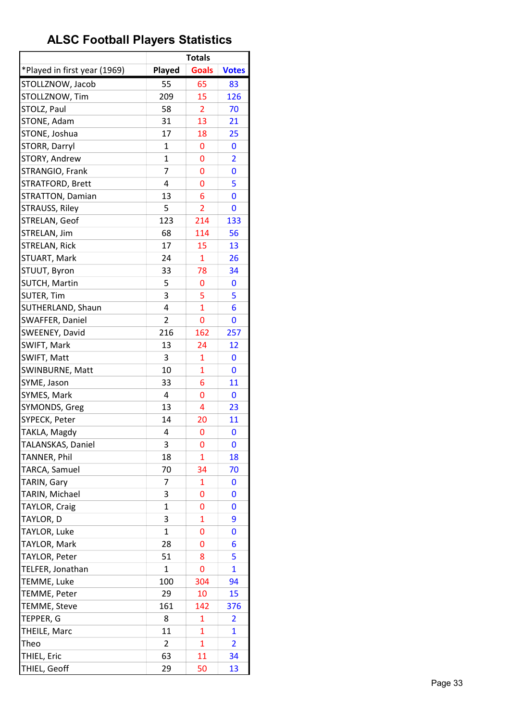|                              |                | <b>Totals</b>  |                         |
|------------------------------|----------------|----------------|-------------------------|
| *Played in first year (1969) | Played         | <b>Goals</b>   | <b>Votes</b>            |
| STOLLZNOW, Jacob             | 55             | 65             | 83                      |
| STOLLZNOW, Tim               | 209            | 15             | 126                     |
| STOLZ, Paul                  | 58             | 2              | 70                      |
| STONE, Adam                  | 31             | 13             | 21                      |
| STONE, Joshua                | 17             | 18             | 25                      |
| STORR, Darryl                | 1              | 0              | 0                       |
| STORY, Andrew                | $\mathbf{1}$   | 0              | $\overline{2}$          |
| STRANGIO, Frank              | 7              | 0              | 0                       |
| STRATFORD, Brett             | 4              | 0              | 5                       |
| STRATTON, Damian             | 13             | 6              | 0                       |
| STRAUSS, Riley               | 5              | $\overline{2}$ | 0                       |
| STRELAN, Geof                | 123            | 214            | 133                     |
| STRELAN, Jim                 | 68             | 114            | 56                      |
| STRELAN, Rick                | 17             | 15             | 13                      |
| STUART, Mark                 | 24             | $\mathbf{1}$   | 26                      |
| STUUT, Byron                 | 33             | 78             | 34                      |
| <b>SUTCH, Martin</b>         | 5              | 0              | 0                       |
| SUTER, Tim                   | 3              | 5              | 5                       |
| SUTHERLAND, Shaun            | 4              | 1              | 6                       |
| SWAFFER, Daniel              | $\overline{2}$ | 0              | 0                       |
| SWEENEY, David               | 216            | 162            | 257                     |
| SWIFT, Mark                  | 13             | 24             | 12                      |
| SWIFT, Matt                  | 3              | 1              | 0                       |
| SWINBURNE, Matt              | 10             | 1              | 0                       |
| SYME, Jason                  | 33             | 6              | 11                      |
| SYMES, Mark                  | 4              | 0              | 0                       |
| SYMONDS, Greg                | 13             | 4              | 23                      |
| SYPECK, Peter                | 14             | 20             | 11                      |
| TAKLA, Magdy                 | 4              | 0              | 0                       |
| TALANSKAS, Daniel            | 3              | 0              | 0                       |
| TANNER, Phil                 | 18             | 1              | 18                      |
| TARCA, Samuel                | 70             | 34             | 70                      |
| TARIN, Gary                  | 7              | 1              | 0                       |
| TARIN, Michael               | 3              | 0              | 0                       |
| TAYLOR, Craig                | 1              | 0              | 0                       |
| TAYLOR, D                    | 3              | 1              | 9                       |
| TAYLOR, Luke                 | 1              | 0              | 0                       |
| TAYLOR, Mark                 | 28             | 0              | 6                       |
| TAYLOR, Peter                | 51             | 8              | 5                       |
| TELFER, Jonathan             | 1              | 0              | $\mathbf{1}$            |
| TEMME, Luke                  | 100            | 304            | 94                      |
| TEMME, Peter                 | 29             | 10             | 15                      |
| TEMME, Steve                 | 161            | 142            | 376                     |
| TEPPER, G                    | 8              | 1              | 2                       |
| THEILE, Marc                 | 11             | 1              | $\mathbf{1}$            |
| Theo                         | 2              | 1              | $\overline{\mathbf{2}}$ |
| THIEL, Eric                  | 63             | 11             | 34                      |
| THIEL, Geoff                 | 29             | 50             | 13                      |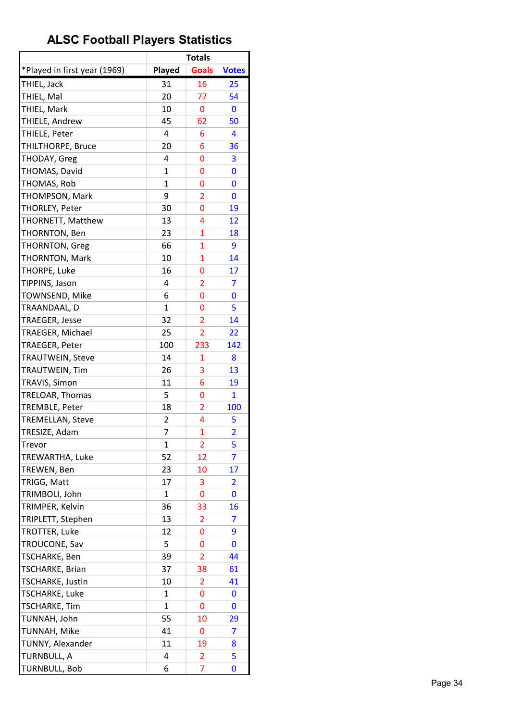|                              |                | <b>Totals</b>  |                         |
|------------------------------|----------------|----------------|-------------------------|
| *Played in first year (1969) | Played         | <b>Goals</b>   | <b>Votes</b>            |
| THIEL, Jack                  | 31             | 16             | 25                      |
| THIEL, Mal                   | 20             | 77             | 54                      |
| THIEL, Mark                  | 10             | 0              | 0                       |
| THIELE, Andrew               | 45             | 62             | 50                      |
| THIELE, Peter                | 4              | 6              | 4                       |
| THILTHORPE, Bruce            | 20             | 6              | 36                      |
| THODAY, Greg                 | 4              | 0              | 3                       |
| THOMAS, David                | $\mathbf{1}$   | 0              | 0                       |
| THOMAS, Rob                  | $\mathbf{1}$   | 0              | 0                       |
| THOMPSON, Mark               | 9              | $\overline{2}$ | 0                       |
| THORLEY, Peter               | 30             | 0              | 19                      |
| THORNETT, Matthew            | 13             | 4              | 12                      |
| THORNTON, Ben                | 23             | 1              | 18                      |
| <b>THORNTON, Greg</b>        | 66             | $\mathbf{1}$   | 9                       |
| <b>THORNTON, Mark</b>        | 10             | $\mathbf{1}$   | 14                      |
| THORPE, Luke                 | 16             | 0              | 17                      |
| TIPPINS, Jason               | 4              | $\overline{2}$ | 7                       |
| TOWNSEND, Mike               | 6              | 0              | 0                       |
| TRAANDAAL, D                 | $\mathbf{1}$   | 0              | 5                       |
| <b>TRAEGER, Jesse</b>        | 32             | $\overline{2}$ | 14                      |
| TRAEGER, Michael             | 25             | $\overline{2}$ | 22                      |
| TRAEGER, Peter               | 100            | 233            | 142                     |
| <b>TRAUTWEIN, Steve</b>      | 14             | 1              | 8                       |
| TRAUTWEIN, Tim               | 26             | 3              | 13                      |
| TRAVIS, Simon                | 11             | 6              | 19                      |
| TRELOAR, Thomas              | 5              | 0              | $\mathbf{1}$            |
| TREMBLE, Peter               | 18             | 2              | 100                     |
| <b>TREMELLAN, Steve</b>      | $\overline{2}$ | 4              | 5                       |
| TRESIZE, Adam                | 7              | $\mathbf{1}$   | $\overline{2}$          |
| Trevor                       | 1              | $\overline{2}$ | 5                       |
| TREWARTHA, Luke              | 52             | 12             | 7                       |
| TREWEN, Ben                  | 23             | 10             | 17                      |
| TRIGG, Matt                  | 17             | 3              | $\overline{\mathbf{c}}$ |
| TRIMBOLI, John               | 1              | 0              | 0                       |
| TRIMPER, Kelvin              | 36             | 33             | 16                      |
| TRIPLETT, Stephen            | 13             | $\overline{2}$ | 7                       |
| <b>TROTTER, Luke</b>         | 12             | 0              | 9                       |
| TROUCONE, Sav                | 5              | 0              | 0                       |
| TSCHARKE, Ben                | 39             | $\overline{2}$ | 44                      |
| TSCHARKE, Brian              | 37             | 38             | 61                      |
| TSCHARKE, Justin             | 10             | 2              | 41                      |
| TSCHARKE, Luke               | 1              | 0              | 0                       |
| <b>TSCHARKE, Tim</b>         | 1              | 0              | 0                       |
| TUNNAH, John                 | 55             | 10             | 29                      |
| TUNNAH, Mike                 | 41             | 0              | 7                       |
| TUNNY, Alexander             | 11             | 19             | 8                       |
| <b>TURNBULL, A</b>           | 4              | 2              | 5                       |
| <b>TURNBULL, Bob</b>         | 6              | 7              | 0                       |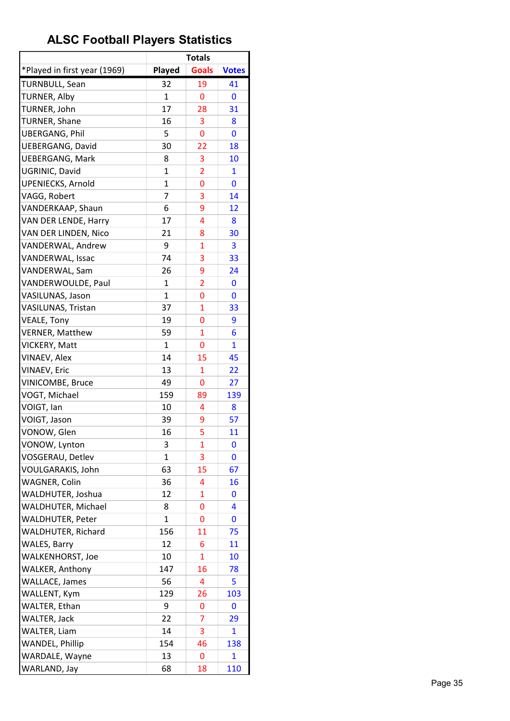|                              |              | <b>Totals</b>  |              |
|------------------------------|--------------|----------------|--------------|
| *Played in first year (1969) | Played       | <b>Goals</b>   | <b>Votes</b> |
| <b>TURNBULL, Sean</b>        | 32           | 19             | 41           |
| TURNER, Alby                 | $\mathbf{1}$ | 0              | 0            |
| TURNER, John                 | 17           | 28             | 31           |
| <b>TURNER, Shane</b>         | 16           | 3              | 8            |
| <b>UBERGANG, Phil</b>        | 5            | 0              | 0            |
| <b>UEBERGANG, David</b>      | 30           | 22             | 18           |
| <b>UEBERGANG, Mark</b>       | 8            | 3              | 10           |
| UGRINIC, David               | $\mathbf 1$  | $\overline{2}$ | 1            |
| <b>UPENIECKS, Arnold</b>     | 1            | 0              | 0            |
| VAGG, Robert                 | 7            | 3              | 14           |
| VANDERKAAP, Shaun            | 6            | 9              | <u>12</u>    |
| VAN DER LENDE, Harry         | 17           | 4              | 8            |
| VAN DER LINDEN, Nico         | 21           | 8              | 30           |
| VANDERWAL, Andrew            | 9            | 1              | 3            |
| VANDERWAL, Issac             | 74           | 3              | 33           |
| VANDERWAL, Sam               | 26           | 9              | 24           |
| VANDERWOULDE, Paul           | 1            | $\overline{2}$ | 0            |
| VASILUNAS, Jason             | 1            | 0              | 0            |
| VASILUNAS, Tristan           | 37           | $\mathbf{1}$   | 33           |
| <b>VEALE, Tony</b>           | 19           | 0              | 9            |
| <b>VERNER, Matthew</b>       | 59           | $\mathbf{1}$   | 6            |
| VICKERY, Matt                | $\mathbf{1}$ | 0              | $\mathbf{1}$ |
| VINAEV, Alex                 | 14           | 15             | 45           |
| VINAEV, Eric                 | 13           | $\mathbf{1}$   | 22           |
|                              | 49           | 0              |              |
| VINICOMBE, Bruce             |              |                | 27           |
| VOGT, Michael                | 159          | 89<br>4        | 139          |
| VOIGT, Ian<br>VOIGT, Jason   | 10           |                | 8            |
|                              | 39           | 9<br>5         | 57           |
| VONOW, Glen                  | 16           |                | 11           |
| VONOW, Lynton                | 3            | 1              | 0            |
| VOSGERAU, Detlev             | 1            | 3              | 0            |
| VOULGARAKIS, John            | 63           | 15             | 67           |
| <b>WAGNER, Colin</b>         | 36           | 4              | 16           |
| WALDHUTER, Joshua            | 12           | 1              | 0            |
| WALDHUTER, Michael           | 8            | 0              | 4            |
| WALDHUTER, Peter             | $\mathbf{1}$ | 0              | 0            |
| <b>WALDHUTER, Richard</b>    | 156          | 11             | 75           |
| <b>WALES, Barry</b>          | 12           | 6              | 11           |
| WALKENHORST, Joe             | 10           | 1              | 10           |
| <b>WALKER, Anthony</b>       | 147          | 16             | 78           |
| <b>WALLACE, James</b>        | 56           | 4              | 5            |
| WALLENT, Kym                 | 129          | 26             | 103          |
| WALTER, Ethan                | 9            | 0              | 0            |
| WALTER, Jack                 | 22           | 7              | 29           |
| <b>WALTER, Liam</b>          | 14           | 3              | $\mathbf{1}$ |
| <b>WANDEL, Phillip</b>       | 154          | 46             | 138          |
| WARDALE, Wayne               | 13           | 0              | $\mathbf{1}$ |
| WARLAND, Jay                 | 68           | 18             | 110          |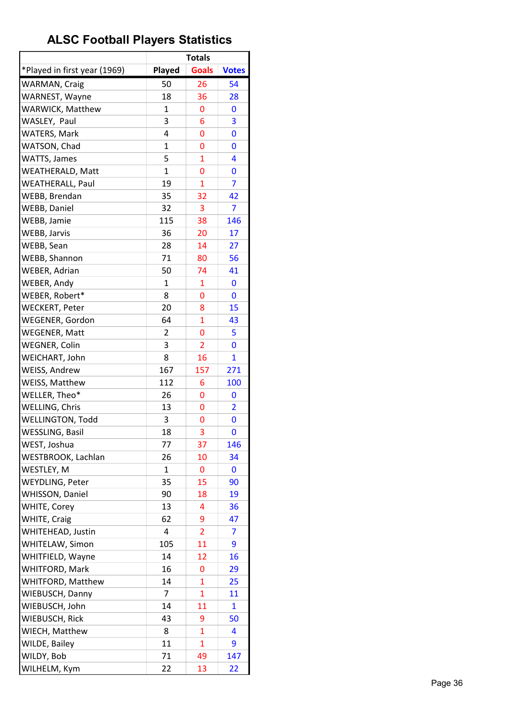|                              |              | <b>Totals</b>     |                |
|------------------------------|--------------|-------------------|----------------|
| *Played in first year (1969) | Played       | <b>Goals</b>      | <b>Votes</b>   |
| WARMAN, Craig                | 50           | 26                | 54             |
| WARNEST, Wayne               | 18           | 36                | 28             |
| WARWICK, Matthew             | $\mathbf{1}$ | 0                 | 0              |
| WASLEY, Paul                 | 3            | 6                 | 3              |
| <b>WATERS, Mark</b>          | 4            | 0                 | 0              |
| WATSON, Chad                 | $\mathbf 1$  | 0                 | 0              |
| <b>WATTS, James</b>          | 5            | $\mathbf{1}$      | 4              |
| WEATHERALD, Matt             | 1            | 0                 | 0              |
| <b>WEATHERALL, Paul</b>      | 19           | 1                 | 7              |
| WEBB, Brendan                | 35           | 32                | 42             |
| WEBB, Daniel                 | 32           | 3                 | 7              |
| WEBB, Jamie                  | 115          | 38                | 146            |
| WEBB, Jarvis                 | 36           | 20                | 17             |
| WEBB, Sean                   | 28           | 14                | 27             |
| WEBB, Shannon                | 71           | 80                | 56             |
| WEBER, Adrian                | 50           | 74                | 41             |
| WEBER, Andy                  | 1            | 1                 | 0              |
| WEBER, Robert*               | 8            | 0                 | 0              |
| <b>WECKERT, Peter</b>        | 20           | 8                 | 15             |
| WEGENER, Gordon              | 64           | $\mathbf{1}$      | 43             |
| <b>WEGENER, Matt</b>         | 2            | 0                 | 5              |
| <b>WEGNER, Colin</b>         | 3            | $\overline{2}$    | 0              |
| WEICHART, John               | 8            | 16                | 1              |
| WEISS, Andrew                | 167          | 157               | 271            |
| WEISS, Matthew               | 112          | 6                 | 100            |
| WELLER, Theo*                | 26           | 0                 | $\bf{0}$       |
| WELLING, Chris               | 13           | 0                 | $\overline{2}$ |
| <b>WELLINGTON, Todd</b>      | 3            | 0                 | 0              |
| <b>WESSLING, Basil</b>       | 18           | 3                 | 0              |
| WEST, Joshua                 | 77           | 37                | 146            |
| WESTBROOK, Lachlan           | 26           | 10                | 34             |
| WESTLEY, M                   | $\mathbf{1}$ | 0                 | 0              |
| WEYDLING, Peter              | 35           | 15                | 90             |
| WHISSON, Daniel              | 90           | 18                | 19             |
| <b>WHITE, Corey</b>          | 13           | 4                 | 36             |
| <b>WHITE, Craig</b>          | 62           | 9                 | 47             |
| WHITEHEAD, Justin            | 4            | $\overline{2}$    | 7              |
| WHITELAW, Simon              | 105          | 11                | 9              |
| WHITFIELD, Wayne             | 14           | 12                | 16             |
| WHITFORD, Mark               | 16           | 0                 | 29             |
| WHITFORD, Matthew            | 14           | $\mathbf{1}$      | 25             |
| WIEBUSCH, Danny              | 7            | 1                 | 11             |
| WIEBUSCH, John               | 14           | 11                | 1              |
| WIEBUSCH, Rick               | 43           |                   | 50             |
|                              |              | 9<br>$\mathbf{1}$ |                |
| WIECH, Matthew               | 8            |                   | 4              |
| <b>WILDE, Bailey</b>         | 11           | $\mathbf{1}$      | 9              |
| WILDY, Bob                   | 71           | 49                | 147            |
| WILHELM, Kym                 | 22           | 13                | 22             |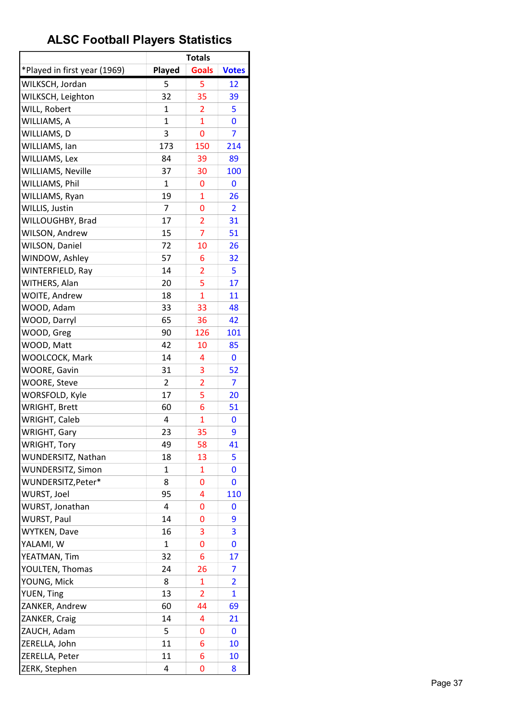| *Played in first year (1969)<br><b>Goals</b><br>Played<br><b>Votes</b><br>WILKSCH, Jordan<br>5<br>5<br>12<br>WILKSCH, Leighton<br>35<br>32<br>39<br>WILL, Robert<br>$\mathbf{1}$<br>$\overline{2}$<br>5<br>WILLIAMS, A<br>$\mathbf{1}$<br>1<br>0<br>WILLIAMS, D<br>3<br>0<br>7<br>173<br>WILLIAMS, Ian<br>150<br>214<br>WILLIAMS, Lex<br>84<br>39<br>89<br><b>WILLIAMS, Neville</b><br>37<br>100<br>30<br>WILLIAMS, Phil<br>$\mathbf{1}$<br>0<br>0<br>19<br>$\mathbf{1}$<br>WILLIAMS, Ryan<br>26<br>WILLIS, Justin<br>7<br>0<br>2<br>WILLOUGHBY, Brad<br>17<br>$\overline{2}$<br>31<br>$\overline{7}$<br>WILSON, Andrew<br>15<br>51<br><b>WILSON, Daniel</b><br>72<br>10<br>26<br>WINDOW, Ashley<br>57<br>6<br>32<br>WINTERFIELD, Ray<br>14<br>5<br>$\overline{2}$<br>5<br>WITHERS, Alan<br>20<br>17<br>$\overline{1}$<br><b>WOITE, Andrew</b><br>18<br>11<br>WOOD, Adam<br>33<br>33<br>48<br>WOOD, Darryl<br>65<br>36<br>42<br>WOOD, Greg<br>90<br>126<br>101<br>WOOD, Matt<br>42<br>85<br>10<br>WOOLCOCK, Mark<br>14<br>4<br>0<br>WOORE, Gavin<br>31<br>3<br>52<br><b>WOORE, Steve</b><br>2<br>7<br>2<br>5<br>WORSFOLD, Kyle<br>17<br>20<br><b>WRIGHT, Brett</b><br>6<br>60<br>51<br>WRIGHT, Caleb<br>4<br>$\mathbf{1}$<br>0<br>WRIGHT, Gary<br>35<br>9<br>23<br><b>WRIGHT, Tory</b><br>49<br>58<br>41<br>WUNDERSITZ, Nathan<br>18<br>5<br>13<br>WUNDERSITZ, Simon<br>1<br>0<br>1<br>WUNDERSITZ, Peter*<br>8<br>0<br>0<br>WURST, Joel<br>95<br>4<br>110<br>WURST, Jonathan<br>4<br>0<br>0<br>14<br><b>WURST, Paul</b><br>0<br>9<br>WYTKEN, Dave<br>3<br>16<br>3<br>YALAMI, W<br>$\mathbf{1}$<br>0<br>0<br>6<br>YEATMAN, Tim<br>32<br>17<br>YOULTEN, Thomas<br>24<br>26<br>7<br>YOUNG, Mick<br>8<br>$\mathbf{1}$<br>$\overline{2}$<br><b>YUEN, Ting</b><br>13<br>$\mathbf{1}$<br>2<br>ZANKER, Andrew<br>60<br>44<br>69<br>ZANKER, Craig<br>14<br>21<br>4<br>5<br>ZAUCH, Adam<br>0<br>0<br>11<br>ZERELLA, John<br>6<br>10<br>11<br>ZERELLA, Peter<br>6<br>10 |               |   | <b>Totals</b> |   |  |
|--------------------------------------------------------------------------------------------------------------------------------------------------------------------------------------------------------------------------------------------------------------------------------------------------------------------------------------------------------------------------------------------------------------------------------------------------------------------------------------------------------------------------------------------------------------------------------------------------------------------------------------------------------------------------------------------------------------------------------------------------------------------------------------------------------------------------------------------------------------------------------------------------------------------------------------------------------------------------------------------------------------------------------------------------------------------------------------------------------------------------------------------------------------------------------------------------------------------------------------------------------------------------------------------------------------------------------------------------------------------------------------------------------------------------------------------------------------------------------------------------------------------------------------------------------------------------------------------------------------------------------------------------------------------------------------------------------------------------------------------------------------------------------------------------------------------------------------------------------------------------------------------------------------------------------------------------------------|---------------|---|---------------|---|--|
|                                                                                                                                                                                                                                                                                                                                                                                                                                                                                                                                                                                                                                                                                                                                                                                                                                                                                                                                                                                                                                                                                                                                                                                                                                                                                                                                                                                                                                                                                                                                                                                                                                                                                                                                                                                                                                                                                                                                                              |               |   |               |   |  |
|                                                                                                                                                                                                                                                                                                                                                                                                                                                                                                                                                                                                                                                                                                                                                                                                                                                                                                                                                                                                                                                                                                                                                                                                                                                                                                                                                                                                                                                                                                                                                                                                                                                                                                                                                                                                                                                                                                                                                              |               |   |               |   |  |
|                                                                                                                                                                                                                                                                                                                                                                                                                                                                                                                                                                                                                                                                                                                                                                                                                                                                                                                                                                                                                                                                                                                                                                                                                                                                                                                                                                                                                                                                                                                                                                                                                                                                                                                                                                                                                                                                                                                                                              |               |   |               |   |  |
|                                                                                                                                                                                                                                                                                                                                                                                                                                                                                                                                                                                                                                                                                                                                                                                                                                                                                                                                                                                                                                                                                                                                                                                                                                                                                                                                                                                                                                                                                                                                                                                                                                                                                                                                                                                                                                                                                                                                                              |               |   |               |   |  |
|                                                                                                                                                                                                                                                                                                                                                                                                                                                                                                                                                                                                                                                                                                                                                                                                                                                                                                                                                                                                                                                                                                                                                                                                                                                                                                                                                                                                                                                                                                                                                                                                                                                                                                                                                                                                                                                                                                                                                              |               |   |               |   |  |
|                                                                                                                                                                                                                                                                                                                                                                                                                                                                                                                                                                                                                                                                                                                                                                                                                                                                                                                                                                                                                                                                                                                                                                                                                                                                                                                                                                                                                                                                                                                                                                                                                                                                                                                                                                                                                                                                                                                                                              |               |   |               |   |  |
|                                                                                                                                                                                                                                                                                                                                                                                                                                                                                                                                                                                                                                                                                                                                                                                                                                                                                                                                                                                                                                                                                                                                                                                                                                                                                                                                                                                                                                                                                                                                                                                                                                                                                                                                                                                                                                                                                                                                                              |               |   |               |   |  |
|                                                                                                                                                                                                                                                                                                                                                                                                                                                                                                                                                                                                                                                                                                                                                                                                                                                                                                                                                                                                                                                                                                                                                                                                                                                                                                                                                                                                                                                                                                                                                                                                                                                                                                                                                                                                                                                                                                                                                              |               |   |               |   |  |
|                                                                                                                                                                                                                                                                                                                                                                                                                                                                                                                                                                                                                                                                                                                                                                                                                                                                                                                                                                                                                                                                                                                                                                                                                                                                                                                                                                                                                                                                                                                                                                                                                                                                                                                                                                                                                                                                                                                                                              |               |   |               |   |  |
|                                                                                                                                                                                                                                                                                                                                                                                                                                                                                                                                                                                                                                                                                                                                                                                                                                                                                                                                                                                                                                                                                                                                                                                                                                                                                                                                                                                                                                                                                                                                                                                                                                                                                                                                                                                                                                                                                                                                                              |               |   |               |   |  |
|                                                                                                                                                                                                                                                                                                                                                                                                                                                                                                                                                                                                                                                                                                                                                                                                                                                                                                                                                                                                                                                                                                                                                                                                                                                                                                                                                                                                                                                                                                                                                                                                                                                                                                                                                                                                                                                                                                                                                              |               |   |               |   |  |
|                                                                                                                                                                                                                                                                                                                                                                                                                                                                                                                                                                                                                                                                                                                                                                                                                                                                                                                                                                                                                                                                                                                                                                                                                                                                                                                                                                                                                                                                                                                                                                                                                                                                                                                                                                                                                                                                                                                                                              |               |   |               |   |  |
|                                                                                                                                                                                                                                                                                                                                                                                                                                                                                                                                                                                                                                                                                                                                                                                                                                                                                                                                                                                                                                                                                                                                                                                                                                                                                                                                                                                                                                                                                                                                                                                                                                                                                                                                                                                                                                                                                                                                                              |               |   |               |   |  |
|                                                                                                                                                                                                                                                                                                                                                                                                                                                                                                                                                                                                                                                                                                                                                                                                                                                                                                                                                                                                                                                                                                                                                                                                                                                                                                                                                                                                                                                                                                                                                                                                                                                                                                                                                                                                                                                                                                                                                              |               |   |               |   |  |
|                                                                                                                                                                                                                                                                                                                                                                                                                                                                                                                                                                                                                                                                                                                                                                                                                                                                                                                                                                                                                                                                                                                                                                                                                                                                                                                                                                                                                                                                                                                                                                                                                                                                                                                                                                                                                                                                                                                                                              |               |   |               |   |  |
|                                                                                                                                                                                                                                                                                                                                                                                                                                                                                                                                                                                                                                                                                                                                                                                                                                                                                                                                                                                                                                                                                                                                                                                                                                                                                                                                                                                                                                                                                                                                                                                                                                                                                                                                                                                                                                                                                                                                                              |               |   |               |   |  |
|                                                                                                                                                                                                                                                                                                                                                                                                                                                                                                                                                                                                                                                                                                                                                                                                                                                                                                                                                                                                                                                                                                                                                                                                                                                                                                                                                                                                                                                                                                                                                                                                                                                                                                                                                                                                                                                                                                                                                              |               |   |               |   |  |
|                                                                                                                                                                                                                                                                                                                                                                                                                                                                                                                                                                                                                                                                                                                                                                                                                                                                                                                                                                                                                                                                                                                                                                                                                                                                                                                                                                                                                                                                                                                                                                                                                                                                                                                                                                                                                                                                                                                                                              |               |   |               |   |  |
|                                                                                                                                                                                                                                                                                                                                                                                                                                                                                                                                                                                                                                                                                                                                                                                                                                                                                                                                                                                                                                                                                                                                                                                                                                                                                                                                                                                                                                                                                                                                                                                                                                                                                                                                                                                                                                                                                                                                                              |               |   |               |   |  |
|                                                                                                                                                                                                                                                                                                                                                                                                                                                                                                                                                                                                                                                                                                                                                                                                                                                                                                                                                                                                                                                                                                                                                                                                                                                                                                                                                                                                                                                                                                                                                                                                                                                                                                                                                                                                                                                                                                                                                              |               |   |               |   |  |
|                                                                                                                                                                                                                                                                                                                                                                                                                                                                                                                                                                                                                                                                                                                                                                                                                                                                                                                                                                                                                                                                                                                                                                                                                                                                                                                                                                                                                                                                                                                                                                                                                                                                                                                                                                                                                                                                                                                                                              |               |   |               |   |  |
|                                                                                                                                                                                                                                                                                                                                                                                                                                                                                                                                                                                                                                                                                                                                                                                                                                                                                                                                                                                                                                                                                                                                                                                                                                                                                                                                                                                                                                                                                                                                                                                                                                                                                                                                                                                                                                                                                                                                                              |               |   |               |   |  |
|                                                                                                                                                                                                                                                                                                                                                                                                                                                                                                                                                                                                                                                                                                                                                                                                                                                                                                                                                                                                                                                                                                                                                                                                                                                                                                                                                                                                                                                                                                                                                                                                                                                                                                                                                                                                                                                                                                                                                              |               |   |               |   |  |
|                                                                                                                                                                                                                                                                                                                                                                                                                                                                                                                                                                                                                                                                                                                                                                                                                                                                                                                                                                                                                                                                                                                                                                                                                                                                                                                                                                                                                                                                                                                                                                                                                                                                                                                                                                                                                                                                                                                                                              |               |   |               |   |  |
|                                                                                                                                                                                                                                                                                                                                                                                                                                                                                                                                                                                                                                                                                                                                                                                                                                                                                                                                                                                                                                                                                                                                                                                                                                                                                                                                                                                                                                                                                                                                                                                                                                                                                                                                                                                                                                                                                                                                                              |               |   |               |   |  |
|                                                                                                                                                                                                                                                                                                                                                                                                                                                                                                                                                                                                                                                                                                                                                                                                                                                                                                                                                                                                                                                                                                                                                                                                                                                                                                                                                                                                                                                                                                                                                                                                                                                                                                                                                                                                                                                                                                                                                              |               |   |               |   |  |
|                                                                                                                                                                                                                                                                                                                                                                                                                                                                                                                                                                                                                                                                                                                                                                                                                                                                                                                                                                                                                                                                                                                                                                                                                                                                                                                                                                                                                                                                                                                                                                                                                                                                                                                                                                                                                                                                                                                                                              |               |   |               |   |  |
|                                                                                                                                                                                                                                                                                                                                                                                                                                                                                                                                                                                                                                                                                                                                                                                                                                                                                                                                                                                                                                                                                                                                                                                                                                                                                                                                                                                                                                                                                                                                                                                                                                                                                                                                                                                                                                                                                                                                                              |               |   |               |   |  |
|                                                                                                                                                                                                                                                                                                                                                                                                                                                                                                                                                                                                                                                                                                                                                                                                                                                                                                                                                                                                                                                                                                                                                                                                                                                                                                                                                                                                                                                                                                                                                                                                                                                                                                                                                                                                                                                                                                                                                              |               |   |               |   |  |
|                                                                                                                                                                                                                                                                                                                                                                                                                                                                                                                                                                                                                                                                                                                                                                                                                                                                                                                                                                                                                                                                                                                                                                                                                                                                                                                                                                                                                                                                                                                                                                                                                                                                                                                                                                                                                                                                                                                                                              |               |   |               |   |  |
|                                                                                                                                                                                                                                                                                                                                                                                                                                                                                                                                                                                                                                                                                                                                                                                                                                                                                                                                                                                                                                                                                                                                                                                                                                                                                                                                                                                                                                                                                                                                                                                                                                                                                                                                                                                                                                                                                                                                                              |               |   |               |   |  |
|                                                                                                                                                                                                                                                                                                                                                                                                                                                                                                                                                                                                                                                                                                                                                                                                                                                                                                                                                                                                                                                                                                                                                                                                                                                                                                                                                                                                                                                                                                                                                                                                                                                                                                                                                                                                                                                                                                                                                              |               |   |               |   |  |
|                                                                                                                                                                                                                                                                                                                                                                                                                                                                                                                                                                                                                                                                                                                                                                                                                                                                                                                                                                                                                                                                                                                                                                                                                                                                                                                                                                                                                                                                                                                                                                                                                                                                                                                                                                                                                                                                                                                                                              |               |   |               |   |  |
|                                                                                                                                                                                                                                                                                                                                                                                                                                                                                                                                                                                                                                                                                                                                                                                                                                                                                                                                                                                                                                                                                                                                                                                                                                                                                                                                                                                                                                                                                                                                                                                                                                                                                                                                                                                                                                                                                                                                                              |               |   |               |   |  |
|                                                                                                                                                                                                                                                                                                                                                                                                                                                                                                                                                                                                                                                                                                                                                                                                                                                                                                                                                                                                                                                                                                                                                                                                                                                                                                                                                                                                                                                                                                                                                                                                                                                                                                                                                                                                                                                                                                                                                              |               |   |               |   |  |
|                                                                                                                                                                                                                                                                                                                                                                                                                                                                                                                                                                                                                                                                                                                                                                                                                                                                                                                                                                                                                                                                                                                                                                                                                                                                                                                                                                                                                                                                                                                                                                                                                                                                                                                                                                                                                                                                                                                                                              |               |   |               |   |  |
|                                                                                                                                                                                                                                                                                                                                                                                                                                                                                                                                                                                                                                                                                                                                                                                                                                                                                                                                                                                                                                                                                                                                                                                                                                                                                                                                                                                                                                                                                                                                                                                                                                                                                                                                                                                                                                                                                                                                                              |               |   |               |   |  |
|                                                                                                                                                                                                                                                                                                                                                                                                                                                                                                                                                                                                                                                                                                                                                                                                                                                                                                                                                                                                                                                                                                                                                                                                                                                                                                                                                                                                                                                                                                                                                                                                                                                                                                                                                                                                                                                                                                                                                              |               |   |               |   |  |
|                                                                                                                                                                                                                                                                                                                                                                                                                                                                                                                                                                                                                                                                                                                                                                                                                                                                                                                                                                                                                                                                                                                                                                                                                                                                                                                                                                                                                                                                                                                                                                                                                                                                                                                                                                                                                                                                                                                                                              |               |   |               |   |  |
|                                                                                                                                                                                                                                                                                                                                                                                                                                                                                                                                                                                                                                                                                                                                                                                                                                                                                                                                                                                                                                                                                                                                                                                                                                                                                                                                                                                                                                                                                                                                                                                                                                                                                                                                                                                                                                                                                                                                                              |               |   |               |   |  |
|                                                                                                                                                                                                                                                                                                                                                                                                                                                                                                                                                                                                                                                                                                                                                                                                                                                                                                                                                                                                                                                                                                                                                                                                                                                                                                                                                                                                                                                                                                                                                                                                                                                                                                                                                                                                                                                                                                                                                              |               |   |               |   |  |
|                                                                                                                                                                                                                                                                                                                                                                                                                                                                                                                                                                                                                                                                                                                                                                                                                                                                                                                                                                                                                                                                                                                                                                                                                                                                                                                                                                                                                                                                                                                                                                                                                                                                                                                                                                                                                                                                                                                                                              |               |   |               |   |  |
|                                                                                                                                                                                                                                                                                                                                                                                                                                                                                                                                                                                                                                                                                                                                                                                                                                                                                                                                                                                                                                                                                                                                                                                                                                                                                                                                                                                                                                                                                                                                                                                                                                                                                                                                                                                                                                                                                                                                                              |               |   |               |   |  |
|                                                                                                                                                                                                                                                                                                                                                                                                                                                                                                                                                                                                                                                                                                                                                                                                                                                                                                                                                                                                                                                                                                                                                                                                                                                                                                                                                                                                                                                                                                                                                                                                                                                                                                                                                                                                                                                                                                                                                              |               |   |               |   |  |
|                                                                                                                                                                                                                                                                                                                                                                                                                                                                                                                                                                                                                                                                                                                                                                                                                                                                                                                                                                                                                                                                                                                                                                                                                                                                                                                                                                                                                                                                                                                                                                                                                                                                                                                                                                                                                                                                                                                                                              |               |   |               |   |  |
|                                                                                                                                                                                                                                                                                                                                                                                                                                                                                                                                                                                                                                                                                                                                                                                                                                                                                                                                                                                                                                                                                                                                                                                                                                                                                                                                                                                                                                                                                                                                                                                                                                                                                                                                                                                                                                                                                                                                                              |               |   |               |   |  |
|                                                                                                                                                                                                                                                                                                                                                                                                                                                                                                                                                                                                                                                                                                                                                                                                                                                                                                                                                                                                                                                                                                                                                                                                                                                                                                                                                                                                                                                                                                                                                                                                                                                                                                                                                                                                                                                                                                                                                              |               |   |               |   |  |
|                                                                                                                                                                                                                                                                                                                                                                                                                                                                                                                                                                                                                                                                                                                                                                                                                                                                                                                                                                                                                                                                                                                                                                                                                                                                                                                                                                                                                                                                                                                                                                                                                                                                                                                                                                                                                                                                                                                                                              |               |   |               |   |  |
|                                                                                                                                                                                                                                                                                                                                                                                                                                                                                                                                                                                                                                                                                                                                                                                                                                                                                                                                                                                                                                                                                                                                                                                                                                                                                                                                                                                                                                                                                                                                                                                                                                                                                                                                                                                                                                                                                                                                                              | ZERK, Stephen | 4 | 0             | 8 |  |